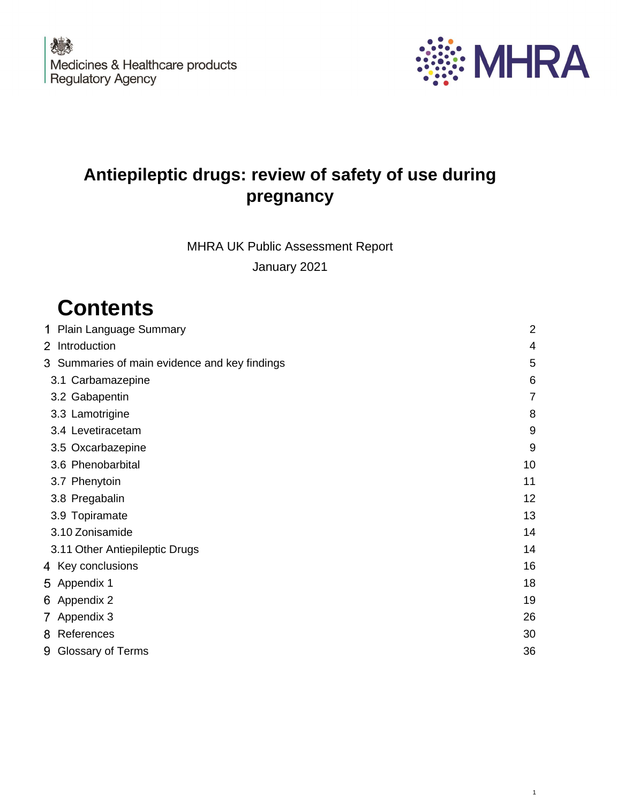农业 Medicines & Healthcare products **Regulatory Agency** 



1

# **Antiepileptic drugs: review of safety of use during pregnancy**

MHRA UK Public Assessment Report

January 2021

# **Contents**

| 1 Plain Language Summary                      | $\overline{2}$ |
|-----------------------------------------------|----------------|
| 2 Introduction                                | 4              |
| 3 Summaries of main evidence and key findings | 5              |
| 3.1 Carbamazepine                             | 6              |
| 3.2 Gabapentin                                |                |
| 3.3 Lamotrigine                               | 8              |
| 3.4 Levetiracetam                             | 9              |
| 3.5 Oxcarbazepine                             | 9              |
| 3.6 Phenobarbital                             | 10             |
| 3.7 Phenytoin                                 | 11             |
| 3.8 Pregabalin                                | 12             |
| 3.9 Topiramate                                | 13             |
| 3.10 Zonisamide                               | 14             |
| 3.11 Other Antiepileptic Drugs                | 14             |

| 4 Key conclusions   | 16 |
|---------------------|----|
| 5 Appendix 1        | 18 |
| 6 Appendix 2        | 19 |
| 7 Appendix 3        | 26 |
| 8 References        | 30 |
| 9 Glossary of Terms | 36 |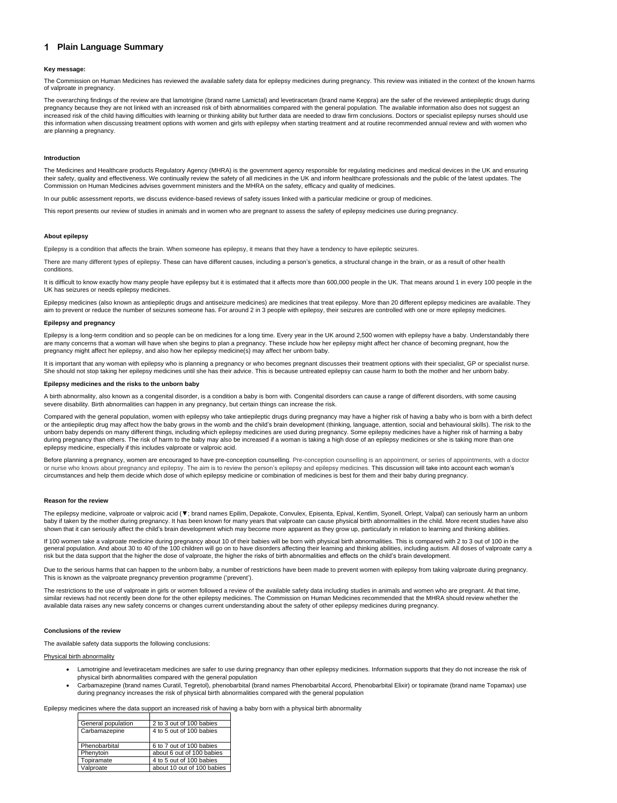## <span id="page-1-0"></span>**Plain Language Summary**

#### **Key message:**

The Commission on Human Medicines has reviewed the available safety data for epilepsy medicines during pregnancy. This review was initiated in the context of the known harms of valproate in pregnancy.

The overarching findings of the review are that lamotrigine (brand name Lamictal) and levetiracetam (brand name Keppra) are the safer of the reviewed antiepileptic drugs during pregnancy because they are not linked with an increased risk of birth abnormalities compared with the general population. The available information also does not suggest an increased risk of the child having difficulties with learning or thinking ability but further data are needed to draw firm conclusions. Doctors or specialist epilepsy nurses should use this information when discussing treatment options with women and girls with epilepsy when starting treatment and at routine recommended annual review and with women who are planning a pregnancy.

#### **Introduction**

It is difficult to know exactly how many people have epilepsy but it is estimated that it affects more than 600,000 people in the UK. That means around 1 in every 100 people in the UK has seizures or needs epilepsy medicines.

The Medicines and Healthcare products Regulatory Agency (MHRA) is the government agency responsible for regulating medicines and medical devices in the UK and ensuring their safety, quality and effectiveness. We continually review the safety of all medicines in the UK and inform healthcare professionals and the public of the latest updates. The Commission on Human Medicines advises government ministers and the MHRA on the safety, efficacy and quality of medicines.

In our public assessment reports, we discuss evidence-based reviews of safety issues linked with a particular medicine or group of medicines.

This report presents our review of studies in animals and in women who are pregnant to assess the safety of epilepsy medicines use during pregnancy.

#### **About epilepsy**

Epilepsy is a condition that affects the brain. When someone has epilepsy, it means that they have a tendency to have epileptic seizures.

There are many different types of epilepsy. These can have different causes, including a person's genetics, a structural change in the brain, or as a result of other health conditions.

Epilepsy medicines (also known as antiepileptic drugs and antiseizure medicines) are medicines that treat epilepsy. More than 20 different epilepsy medicines are available. They aim to prevent or reduce the number of seizures someone has. For around 2 in 3 people with epilepsy, their seizures are controlled with one or more epilepsy medicines.

The epilepsy medicine, valproate or valproic acid (▼; brand names Epilim, Depakote, Convulex, Episenta, Epival, Kentlim, Syonell, Orlept, Valpal) can seriously harm an unborn baby if taken by the mother during pregnancy. It has been known for many years that valproate can cause physical birth abnormalities in the child. More recent studies have also shown that it can seriously affect the child's brain development which may become more apparent as they grow up, particularly in relation to learning and thinking abilities.

#### **Epilepsy and pregnancy**

Epilepsy is a long-term condition and so people can be on medicines for a long time. Every year in the UK around 2,500 women with epilepsy have a baby. Understandably there are many concerns that a woman will have when she begins to plan a pregnancy. These include how her epilepsy might affect her chance of becoming pregnant, how the pregnancy might affect her epilepsy, and also how her epilepsy medicine(s) may affect her unborn baby.

Due to the serious harms that can happen to the unborn baby, a number of restrictions have been made to prevent women with epilepsy from taking valproate during pregnancy. This is known as the valproate pregnancy prevention programme ('prevent').

It is important that any woman with epilepsy who is planning a pregnancy or who becomes pregnant discusses their treatment options with their specialist, GP or specialist nurse. She should not stop taking her epilepsy medicines until she has their advice. This is because untreated epilepsy can cause harm to both the mother and her unborn baby.

The restrictions to the use of valproate in girls or women followed a review of the available safety data including studies in animals and women who are pregnant. At that time, similar reviews had not recently been done for the other epilepsy medicines. The Commission on Human Medicines recommended that the MHRA should review whether the available data raises any new safety concerns or changes current understanding about the safety of other epilepsy medicines during pregnancy.

#### **Epilepsy medicines and the risks to the unborn baby**

A birth abnormality, also known as a congenital disorder, is a condition a baby is born with. Congenital disorders can cause a range of different disorders, with some causing severe disability. Birth abnormalities can happen in any pregnancy, but certain things can increase the risk.

Compared with the general population, women with epilepsy who take antiepileptic drugs during pregnancy may have a higher risk of having a baby who is born with a birth defect or the antiepileptic drug may affect how the baby grows in the womb and the child's brain development (thinking, language, attention, social and behavioural skills). The risk to the unborn baby depends on many different things, including which epilepsy medicines are used during pregnancy. Some epilepsy medicines have a higher risk of harming a baby during pregnancy than others. The risk of harm to the baby may also be increased if a woman is taking a high dose of an epilepsy medicines or she is taking more than one epilepsy medicine, especially if this includes valproate or valproic acid.

Before planning a pregnancy, women are encouraged to have pre-conception counselling. Pre-conception counselling is an appointment, or series of appointments, with a doctor or nurse who knows about pregnancy and epilepsy. The aim is to review the person's epilepsy and epilepsy medicines. This discussion will take into account each woman's circumstances and help them decide which dose of which epilepsy medicine or combination of medicines is best for them and their baby during pregnancy.

#### **Reason for the review**

If 100 women take a valproate medicine during pregnancy about 10 of their babies will be born with physical birth abnormalities. This is compared with 2 to 3 out of 100 in the general population. And about 30 to 40 of the 100 children will go on to have disorders affecting their learning and thinking abilities, including autism. All doses of valproate carry a risk but the data support that the higher the dose of valproate, the higher the risks of birth abnormalities and effects on the child's brain development.

#### **Conclusions of the review**

The available safety data supports the following conclusions:

#### Physical birth abnormality

- Lamotrigine and levetiracetam medicines are safer to use during pregnancy than other epilepsy medicines. Information supports that they do not increase the risk of physical birth abnormalities compared with the general population
- Carbamazepine (brand names Curatil, Tegretol), phenobarbital (brand names Phenobarbital Accord, Phenobarbital Elixir) or topiramate (brand name Topamax) use during pregnancy increases the risk of physical birth abnormalities compared with the general population

Epilepsy medicines where the data support an increased risk of having a baby born with a physical birth abnormality

| General population | 2 to 3 out of 100 babies   |
|--------------------|----------------------------|
| Carbamazepine      | 4 to 5 out of 100 babies   |
| Phenobarbital      | 6 to 7 out of 100 babies   |
| Phenytoin          | about 6 out of 100 babies  |
| Topiramate         | 4 to 5 out of 100 babies   |
| Valproate          | about 10 out of 100 babies |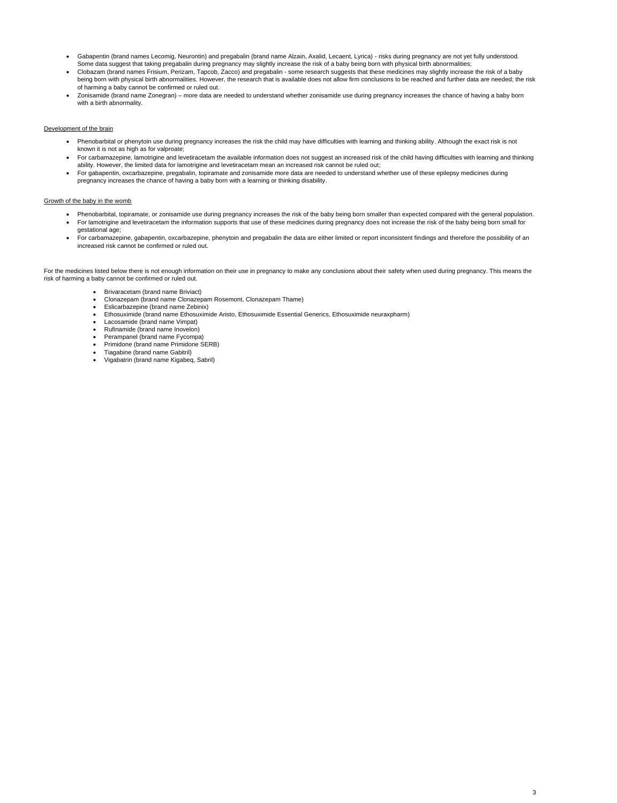3

- Gabapentin (brand names Lecomig, Neurontin) and pregabalin (brand name Alzain, Axalid, Lecaent, Lyrica) risks during pregnancy are not yet fully understood. Some data suggest that taking pregabalin during pregnancy may slightly increase the risk of a baby being born with physical birth abnormalities;
- Clobazam (brand names Frisium, Perizam, Tapcob, Zacco) and pregabalin some research suggests that these medicines may slightly increase the risk of a baby being born with physical birth abnormalities. However, the research that is available does not allow firm conclusions to be reached and further data are needed; the risk of harming a baby cannot be confirmed or ruled out.
- Zonisamide (brand name Zonegran) more data are needed to understand whether zonisamide use during pregnancy increases the chance of having a baby born with a birth abnormality.

#### Development of the brain

- Phenobarbital or phenytoin use during pregnancy increases the risk the child may have difficulties with learning and thinking ability. Although the exact risk is not known it is not as high as for valproate;
- For carbamazepine, lamotrigine and levetiracetam the available information does not suggest an increased risk of the child having difficulties with learning and thinking ability. However, the limited data for lamotrigine and levetiracetam mean an increased risk cannot be ruled out;
- For gabapentin, oxcarbazepine, pregabalin, topiramate and zonisamide more data are needed to understand whether use of these epilepsy medicines during pregnancy increases the chance of having a baby born with a learning or thinking disability.

#### Growth of the baby in the womb

- Phenobarbital, topiramate, or zonisamide use during pregnancy increases the risk of the baby being born smaller than expected compared with the general population.
- For lamotrigine and levetiracetam the information supports that use of these medicines during pregnancy does not increase the risk of the baby being born small for gestational age;
- For carbamazepine, gabapentin, oxcarbazepine, phenytoin and pregabalin the data are either limited or report inconsistent findings and therefore the possibility of an increased risk cannot be confirmed or ruled out.

For the medicines listed below there is not enough information on their use in pregnancy to make any conclusions about their safety when used during pregnancy. This means the risk of harming a baby cannot be confirmed or ruled out.

- Brivaracetam (brand name Briviact)
- Clonazepam (brand name Clonazepam Rosemont, Clonazepam Thame)
- Eslicarbazepine (brand name Zebinix)
- Ethosuximide (brand name Ethosuximide Aristo, Ethosuximide Essential Generics, Ethosuximide neuraxpharm)
- Lacosamide (brand name Vimpat)
- Rufinamide (brand name Inovelon)
- Perampanel (brand name Fycompa)
- Primidone (brand name Primidone SERB)
- Tiagabine (brand name Gabitril)
- Vigabatrin (brand name Kigabeq, Sabril)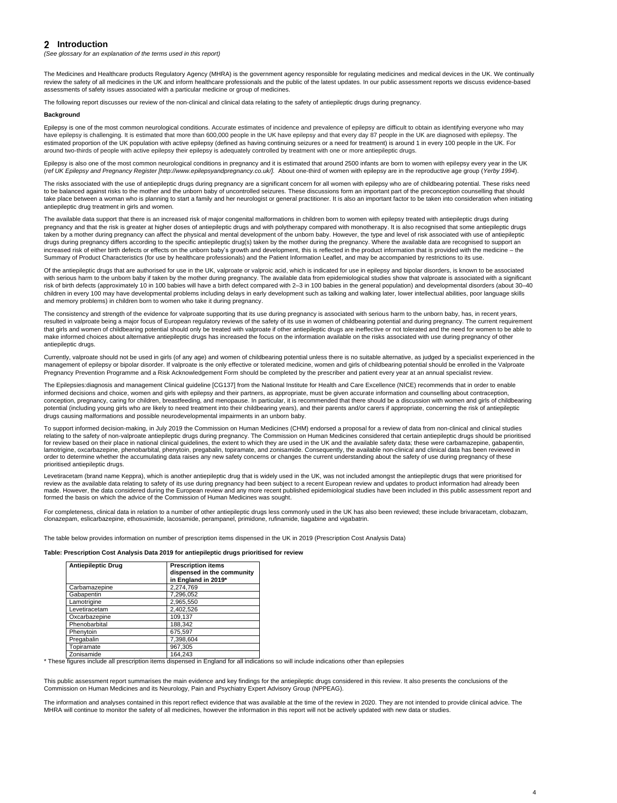## <span id="page-3-0"></span>2 Introduction

*(See glossary for an explanation of the terms used in this report)*

The Medicines and Healthcare products Regulatory Agency (MHRA) is the government agency responsible for regulating medicines and medical devices in the UK. We continually review the safety of all medicines in the UK and inform healthcare professionals and the public of the latest updates. In our public assessment reports we discuss evidence-based assessments of safety issues associated with a particular medicine or group of medicines.

The following report discusses our review of the non-clinical and clinical data relating to the safety of antiepileptic drugs during pregnancy.

#### **Background**

Epilepsy is one of the most common neurological conditions. Accurate estimates of incidence and prevalence of epilepsy are difficult to obtain as identifying everyone who may have epilepsy is challenging. It is estimated that more than 600,000 people in the UK have epilepsy and that every day 87 people in the UK are diagnosed with epilepsy. The estimated proportion of the UK population with active epilepsy (defined as having continuing seizures or a need for treatment) is around 1 in every 100 people in the UK. For around two-thirds of people with active epilepsy their epilepsy is adequately controlled by treatment with one or more antiepileptic drugs.

Epilepsy is also one of the most common neurological conditions in pregnancy and it is estimated that around 2500 infants are born to women with epilepsy every year in the UK (*ref UK Epilepsy and Pregnancy Register [http://www.epilepsyandpregnancy.co.uk/].* About one-third of women with epilepsy are in the reproductive age group (*Yerby 1994*).

The risks associated with the use of antiepileptic drugs during pregnancy are a significant concern for all women with epilepsy who are of childbearing potential. These risks need to be balanced against risks to the mother and the unborn baby of uncontrolled seizures. These discussions form an important part of the preconception counselling that should take place between a woman who is planning to start a family and her neurologist or general practitioner. It is also an important factor to be taken into consideration when initiating antiepileptic drug treatment in girls and women.

Of the antiepileptic drugs that are authorised for use in the UK, valproate or valproic acid, which is indicated for use in epilepsy and bipolar disorders, is known to be associated with serious harm to the unborn baby if taken by the mother during pregnancy. The available data from epidemiological studies show that valproate is associated with a significant risk of birth defects (approximately 10 in 100 babies will have a birth defect compared with 2–3 in 100 babies in the general population) and developmental disorders (about 30–40 children in every 100 may have developmental problems including delays in early development such as talking and walking later, lower intellectual abilities, poor language skills and memory problems) in children born to women who take it during pregnancy.

The available data support that there is an increased risk of major congenital malformations in children born to women with epilepsy treated with antiepileptic drugs during pregnancy and that the risk is greater at higher doses of antiepileptic drugs and with polytherapy compared with monotherapy. It is also recognised that some antiepileptic drugs taken by a mother during pregnancy can affect the physical and mental development of the unborn baby. However, the type and level of risk associated with use of antiepileptic drugs during pregnancy differs according to the specific antiepileptic drug(s) taken by the mother during the pregnancy. Where the available data are recognised to support an increased risk of either birth defects or effects on the unborn baby's growth and development, this is reflected in the product information that is provided with the medicine – the Summary of Product Characteristics (for use by healthcare professionals) and the Patient Information Leaflet, and may be accompanied by restrictions to its use.

For completeness, clinical data in relation to a number of other antiepileptic drugs less commonly used in the UK has also been reviewed; these include brivaracetam, clobazam, clonazepam, eslicarbazepine, ethosuximide, lacosamide, perampanel, primidone, rufinamide, tiagabine and vigabatrin.

The consistency and strength of the evidence for valproate supporting that its use during pregnancy is associated with serious harm to the unborn baby, has, in recent years, resulted in valproate being a major focus of European regulatory reviews of the safety of its use in women of childbearing potential and during pregnancy. The current requirement that girls and women of childbearing potential should only be treated with valproate if other antiepileptic drugs are ineffective or not tolerated and the need for women to be able to make informed choices about alternative antiepileptic drugs has increased the focus on the information available on the risks associated with use during pregnancy of other antiepileptic drugs.

Currently, valproate should not be used in girls (of any age) and women of childbearing potential unless there is no suitable alternative, as judged by a specialist experienced in the management of epilepsy or bipolar disorder. If valproate is the only effective or tolerated medicine, women and girls of childbearing potential should be enrolled in the Valproate Pregnancy Prevention Programme and a Risk Acknowledgement Form should be completed by the prescriber and patient every year at an annual specialist review.

The Epilepsies:diagnosis and management Clinical guideline [CG137] from the National Institute for Health and Care Excellence (NICE) recommends that in order to enable informed decisions and choice, women and girls with epilepsy and their partners, as appropriate, must be given accurate information and counselling about contraception, conception, pregnancy, caring for children, breastfeeding, and menopause. In particular, it is recommended that there should be a discussion with women and girls of childbearing potential (including young girls who are likely to need treatment into their childbearing years), and their parents and/or carers if appropriate, concerning the risk of antiepileptic drugs causing malformations and possible neurodevelopmental impairments in an unborn baby.

To support informed decision-making, in July 2019 the Commission on Human Medicines (CHM) endorsed a proposal for a review of data from non-clinical and clinical studies relating to the safety of non-valproate antiepileptic drugs during pregnancy. The Commission on Human Medicines considered that certain antiepileptic drugs should be prioritised for review based on their place in national clinical guidelines, the extent to which they are used in the UK and the available safety data; these were carbamazepine, gabapentin, lamotrigine, oxcarbazepine, phenobarbital, phenytoin, pregabalin, topiramate, and zonisamide. Consequently, the available non-clinical and clinical data has been reviewed in order to determine whether the accumulating data raises any new safety concerns or changes the current understanding about the safety of use during pregnancy of these prioritised antiepileptic drugs.

Levetiracetam (brand name Keppra), which is another antiepileptic drug that is widely used in the UK, was not included amongst the antiepileptic drugs that were prioritised for review as the available data relating to safety of its use during pregnancy had been subject to a recent European review and updates to product information had already been made. However, the data considered during the European review and any more recent published epidemiological studies have been included in this public assessment report and formed the basis on which the advice of the Commission of Human Medicines was sought.

The table below provides information on number of prescription items dispensed in the UK in 2019 (Prescription Cost Analysis Data)

#### **Table: Prescription Cost Analysis Data 2019 for antiepileptic drugs prioritised for review**

| <b>Antiepileptic Drug</b> | <b>Prescription items</b><br>dispensed in the community<br>in England in 2019* |
|---------------------------|--------------------------------------------------------------------------------|
| Carbamazepine             | 2,274,769                                                                      |
| Gabapentin                | 7,296,052                                                                      |
| Lamotrigine               | 2,965,550                                                                      |
| Levetiracetam             | 2,402,526                                                                      |
| Oxcarbazepine             | 109,137                                                                        |
| Phenobarbital             | 188,342                                                                        |
| Phenytoin                 | 675,597                                                                        |
| Pregabalin                | 7,398,604                                                                      |
| Topiramate                | 967,305                                                                        |
| Zonisamide                | 164,243                                                                        |

\* These figures include all prescription items dispensed in England for all indications so will include indications other than epilepsies

This public assessment report summarises the main evidence and key findings for the antiepileptic drugs considered in this review. It also presents the conclusions of the Commission on Human Medicines and its Neurology, Pain and Psychiatry Expert Advisory Group (NPPEAG).

The information and analyses contained in this report reflect evidence that was available at the time of the review in 2020. They are not intended to provide clinical advice. The MHRA will continue to monitor the safety of all medicines, however the information in this report will not be actively updated with new data or studies.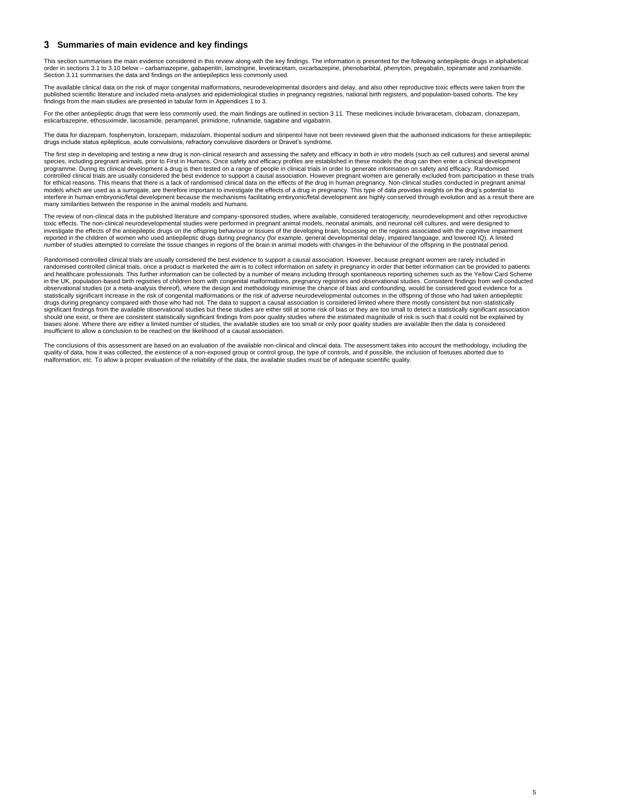5

## <span id="page-4-0"></span>**Summaries of main evidence and key findings**

This section summarises the main evidence considered in this review along with the key findings. The information is presented for the following antiepileptic drugs in alphabetical order in sections 3.1 to 3.10 below – carbamazepine, gabapentin, lamotrigine, levetiracetam, oxcarbazepine, phenobarbital, phenytoin, pregabalin, topiramate and zonisamide. Section 3.11 summarises the data and findings on the antiepileptics less commonly used.

The available clinical data on the risk of major congenital malformations, neurodevelopmental disorders and delay, and also other reproductive toxic effects were taken from the published scientific literature and included meta-analyses and epidemiological studies in pregnancy registries, national birth registers, and population-based cohorts. The key findings from the main studies are presented in tabular form in Appendices 1 to 3.

For the other antiepileptic drugs that were less commonly used, the main findings are outlined in section 3.11. These medicines include brivaracetam, clobazam, clonazepam, eslicarbazepine, ethosuximide, lacosamide, perampanel, primidone, rufinamide, tiagabine and vigabatrin.

The data for diazepam, fosphenytoin, lorazepam, midazolam, thiopental sodium and stiripentol have not been reviewed given that the authorised indications for these antiepileptic drugs include status epilepticus, acute convulsions, refractory convulsive disorders or Dravet's syndrome.

The first step in developing and testing a new drug is non-clinical research and assessing the safety and efficacy in both *in vitro* models (such as cell cultures) and several animal species, including pregnant animals, prior to First in Humans. Once safety and efficacy profiles are established in these models the drug can then enter a clinical development programme. During its clinical development a drug is then tested on a range of people in clinical trials in order to generate information on safety and efficacy. Randomised controlled clinical trials are usually considered the best evidence to support a causal association. However pregnant women are generally excluded from participation in these trials for ethical reasons. This means that there is a lack of randomised clinical data on the effects of the drug in human pregnancy. Non-clinical studies conducted in pregnant animal models which are used as a surrogate, are therefore important to investigate the effects of a drug in pregnancy. This type of data provides insights on the drug's potential to interfere in human embryonic/fetal development because the mechanisms facilitating embryonic/fetal development are highly conserved through evolution and as a result there are many similarities between the response in the animal models and humans.

The review of non-clinical data in the published literature and company-sponsored studies, where available, considered teratogenicity, neurodevelopment and other reproductive toxic effects. The non-clinical neurodevelopmental studies were performed in pregnant animal models, neonatal animals, and neuronal cell cultures, and were designed to investigate the effects of the antiepileptic drugs on the offspring behaviour or tissues of the developing brain, focussing on the regions associated with the cognitive impairment reported in the children of women who used antiepileptic drugs during pregnancy (for example, general developmental delay, impaired language, and lowered IQ). A limited number of studies attempted to correlate the tissue changes in regions of the brain in animal models with changes in the behaviour of the offspring in the postnatal period.

Randomised controlled clinical trials are usually considered the best evidence to support a causal association. However, because pregnant women are rarely included in randomised controlled clinical trials, once a product is marketed the aim is to collect information on safety in pregnancy in order that better information can be provided to patients and healthcare professionals. This further information can be collected by a number of means including through spontaneous reporting schemes such as the Yellow Card Scheme in the UK, population-based birth registries of children born with congenital malformations, pregnancy registries and observational studies. Consistent findings from well conducted observational studies (or a meta-analysis thereof), where the design and methodology minimise the chance of bias and confounding, would be considered good evidence for a statistically significant increase in the risk of congenital malformations or the risk of adverse neurodevelopmental outcomes in the offspring of those who had taken antiepileptic drugs during pregnancy compared with those who had not. The data to support a causal association is considered limited where there mostly consistent but non-statistically significant findings from the available observational studies but these studies are either still at some risk of bias or they are too small to detect a statistically significant association should one exist, or there are consistent statistically significant findings from poor quality studies where the estimated magnitude of risk is such that it could not be explained by biases alone. Where there are either a limited number of studies, the available studies are too small or only poor quality studies are available then the data is considered insufficient to allow a conclusion to be reached on the likelihood of a causal association.

The conclusions of this assessment are based on an evaluation of the available non-clinical and clinical data. The assessment takes into account the methodology, including the quality of data, how it was collected, the existence of a non-exposed group or control group, the type of controls, and if possible, the inclusion of foetuses aborted due to malformation, etc. To allow a proper evaluation of the reliability of the data, the available studies must be of adequate scientific quality.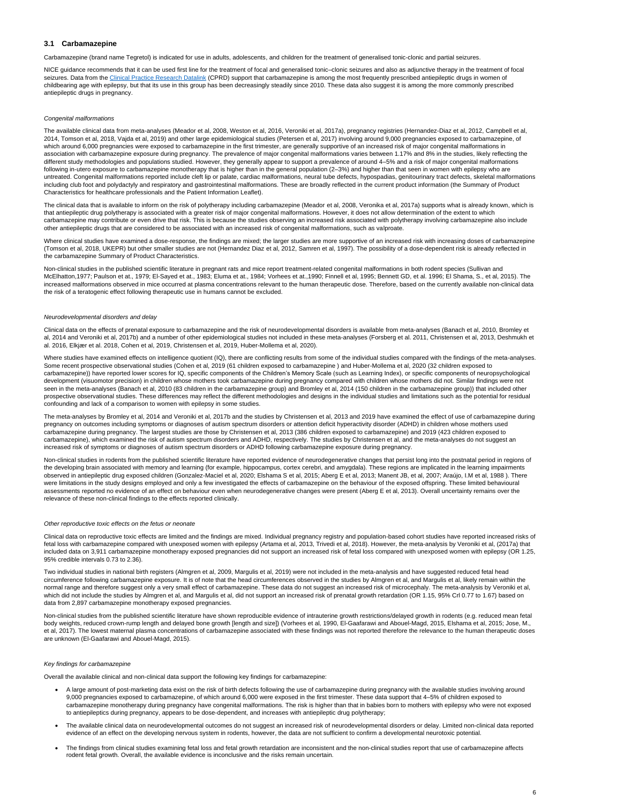### <span id="page-5-0"></span>**3.1 Carbamazepine**

Carbamazepine (brand name Tegretol) is indicated for use in adults, adolescents, and children for the treatment of generalised tonic-clonic and partial seizures.

NICE guidance recommends that it can be used first line for the treatment of focal and generalised tonic–clonic seizures and also as adjunctive therapy in the treatment of focal seizures. Data from the [Clinical Practice Research Datalink](https://www.cprd.com/) (CPRD) support that carbamazepine is among the most frequently prescribed antiepileptic drugs in women of childbearing age with epilepsy, but that its use in this group has been decreasingly steadily since 2010. These data also suggest it is among the more commonly prescribed antiepileptic drugs in pregnancy.

#### *Congenital malformations*

The available clinical data from meta-analyses (Meador et al, 2008, Weston et al, 2016, Veroniki et al, 2017a), pregnancy registries (Hernandez-Diaz et al, 2012, Campbell et al, 2014, Tomson et al, 2018, Vajda et al, 2019) and other large epidemiological studies (Petersen et al, 2017) involving around 9,000 pregnancies exposed to carbamazepine, of which around 6,000 pregnancies were exposed to carbamazepine in the first trimester, are generally supportive of an increased risk of major congenital malformations in association with carbamazepine exposure during pregnancy. The prevalence of major congenital malformations varies between 1.17% and 8% in the studies, likely reflecting the different study methodologies and populations studied. However, they generally appear to support a prevalence of around 4–5% and a risk of major congenital malformations following in-utero exposure to carbamazepine monotherapy that is higher than in the general population (2–3%) and higher than that seen in women with epilepsy who are untreated. Congenital malformations reported include cleft lip or palate, cardiac malformations, neural tube defects, hypospadias, genitourinary tract defects, skeletal malformations including club foot and polydactyly and respiratory and gastrointestinal malformations. These are broadly reflected in the current product information (the Summary of Product Characteristics for healthcare professionals and the Patient Information Leaflet).

The clinical data that is available to inform on the risk of polytherapy including carbamazepine (Meador et al, 2008, Veronika et al, 2017a) supports what is already known, which is that antiepileptic drug polytherapy is associated with a greater risk of major congenital malformations. However, it does not allow determination of the extent to which carbamazepine may contribute or even drive that risk. This is because the studies observing an increased risk associated with polytherapy involving carbamazepine also include other antiepileptic drugs that are considered to be associated with an increased risk of congenital malformations, such as valproate.

Where clinical studies have examined a dose-response, the findings are mixed; the larger studies are more supportive of an increased risk with increasing doses of carbamazepine (Tomson et al, 2018, UKEPR) but other smaller studies are not (Hernandez Diaz et al, 2012, Samren et al, 1997). The possibility of a dose-dependent risk is already reflected in the carbamazepine Summary of Product Characteristics.

Where studies have examined effects on intelligence quotient (IQ), there are conflicting results from some of the individual studies compared with the findings of the meta-analyses. Some recent prospective observational studies (Cohen et al, 2019 (61 children exposed to carbamazepine ) and Huber-Mollema et al, 2020 (32 children exposed to carbamazepine)) have reported lower scores for IQ, specific components of the Children's Memory Scale (such as Learning Index), or specific components of neuropsychological development (visuomotor precision) in children whose mothers took carbamazepine during pregnancy compared with children whose mothers did not. Similar findings were not seen in the meta-analyses (Banach et al, 2010 (83 children in the carbamazepine group) and Bromley et al, 2014 (150 children in the carbamazepine group)) that included other prospective observational studies. These differences may reflect the different methodologies and designs in the individual studies and limitations such as the potential for residual confounding and lack of a comparison to women with epilepsy in some studies.

Non-clinical studies in the published scientific literature in pregnant rats and mice report treatment-related congenital malformations in both rodent species (Sullivan and McElhatton,1977; Paulson et at., 1979; El-Sayed et at., 1983; Eluma et at., 1984; Vorhees et at.,1990; Finnell et al, 1995; Bennett GD, et al. 1996; El Shama, S., et al, 2015). The increased malformations observed in mice occurred at plasma concentrations relevant to the human therapeutic dose. Therefore, based on the currently available non-clinical data the risk of a teratogenic effect following therapeutic use in humans cannot be excluded.

#### *Neurodevelopmental disorders and delay*

Clinical data on the effects of prenatal exposure to carbamazepine and the risk of neurodevelopmental disorders is available from meta-analyses (Banach et al, 2010, Bromley et al, 2014 and Veroniki et al, 2017b) and a number of other epidemiological studies not included in these meta-analyses (Forsberg et al. 2011, Christensen et al, 2013, Deshmukh et al. 2016, Elkjær et al. 2018, Cohen et al, 2019, Christensen et al, 2019, Huber-Mollema et al, 2020).

- A large amount of post-marketing data exist on the risk of birth defects following the use of carbamazepine during pregnancy with the available studies involving around 9,000 pregnancies exposed to carbamazepine, of which around 6,000 were exposed in the first trimester. These data support that 4–5% of children exposed to carbamazepine monotherapy during pregnancy have congenital malformations. The risk is higher than that in babies born to mothers with epilepsy who were not exposed to antiepileptics during pregnancy, appears to be dose-dependent, and increases with antiepileptic drug polytherapy;
- The available clinical data on neurodevelopmental outcomes do not suggest an increased risk of neurodevelopmental disorders or delay. Limited non-clinical data reported evidence of an effect on the developing nervous system in rodents, however, the data are not sufficient to confirm a developmental neurotoxic potential.
- The findings from clinical studies examining fetal loss and fetal growth retardation are inconsistent and the non-clinical studies report that use of carbamazepine affects rodent fetal growth. Overall, the available evidence is inconclusive and the risks remain uncertain.

The meta-analyses by Bromley et al, 2014 and Veroniki et al, 2017b and the studies by Christensen et al, 2013 and 2019 have examined the effect of use of carbamazepine during pregnancy on outcomes including symptoms or diagnoses of autism spectrum disorders or attention deficit hyperactivity disorder (ADHD) in children whose mothers used carbamazepine during pregnancy. The largest studies are those by Christensen et al, 2013 (386 children exposed to carbamazepine) and 2019 (423 children exposed to carbamazepine), which examined the risk of autism spectrum disorders and ADHD, respectively. The studies by Christensen et al, and the meta-analyses do not suggest an increased risk of symptoms or diagnoses of autism spectrum disorders or ADHD following carbamazepine exposure during pregnancy.

Non-clinical studies in rodents from the published scientific literature have reported evidence of neurodegenerative changes that persist long into the postnatal period in regions of the developing brain associated with memory and learning (for example, hippocampus, cortex cerebri, and amygdala). These regions are implicated in the learning impairments observed in antiepileptic drug exposed children (Gonzalez-Maciel et al, 2020; Elshama S et al, 2015; Aberg E et al, 2013; Manent JB, et al, 2007; Araújo, I.M et al, 1988 ). There were limitations in the study designs employed and only a few investigated the effects of carbamazepine on the behaviour of the exposed offspring. These limited behavioural assessments reported no evidence of an effect on behaviour even when neurodegenerative changes were present (Aberg E et al, 2013). Overall uncertainty remains over the relevance of these non-clinical findings to the effects reported clinically.

#### *Other reproductive toxic effects on the fetus or neonate*

Clinical data on reproductive toxic effects are limited and the findings are mixed. Individual pregnancy registry and population-based cohort studies have reported increased risks of fetal loss with carbamazepine compared with unexposed women with epilepsy (Artama et al, 2013, Trivedi et al, 2018). However, the meta-analysis by Veroniki et al, (2017a) that included data on 3,911 carbamazepine monotherapy exposed pregnancies did not support an increased risk of fetal loss compared with unexposed women with epilepsy (OR 1.25,

#### 95% credible intervals 0.73 to 2.36).

Two individual studies in national birth registers (Almgren et al, 2009, Margulis et al, 2019) were not included in the meta-analysis and have suggested reduced fetal head circumference following carbamazepine exposure. It is of note that the head circumferences observed in the studies by Almgren et al, and Margulis et al, likely remain within the normal range and therefore suggest only a very small effect of carbamazepine. These data do not suggest an increased risk of microcephaly. The meta-analysis by Veroniki et al, which did not include the studies by Almgren et al, and Margulis et al, did not support an increased risk of prenatal growth retardation (OR 1.15, 95% Crl 0.77 to 1.67) based on data from 2,897 carbamazepine monotherapy exposed pregnancies.

Non-clinical studies from the published scientific literature have shown reproducible evidence of intrauterine growth restrictions/delayed growth in rodents (e.g. reduced mean fetal body weights, reduced crown-rump length and delayed bone growth [length and size]) (Vorhees et al, 1990, El-Gaafarawi and Abouel-Magd, 2015, Elshama et al, 2015; Jose, M., et al, 2017). The lowest maternal plasma concentrations of carbamazepine associated with these findings was not reported therefore the relevance to the human therapeutic doses are unknown (El-Gaafarawi and Abouel-Magd, 2015).

#### *Key findings for carbamazepine*

Overall the available clinical and non-clinical data support the following key findings for carbamazepine: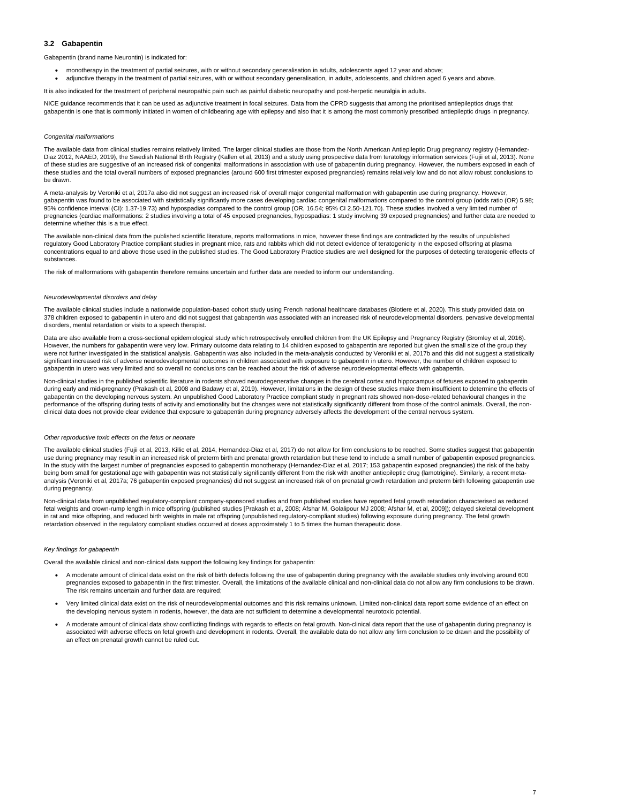### <span id="page-6-0"></span>**3.2 Gabapentin**

Gabapentin (brand name Neurontin) is indicated for:

- monotherapy in the treatment of partial seizures, with or without secondary generalisation in adults, adolescents aged 12 year and above;
- adjunctive therapy in the treatment of partial seizures, with or without secondary generalisation, in adults, adolescents, and children aged 6 years and above.

NICE guidance recommends that it can be used as adjunctive treatment in focal seizures. Data from the CPRD suggests that among the prioritised antiepileptics drugs that gabapentin is one that is commonly initiated in women of childbearing age with epilepsy and also that it is among the most commonly prescribed antiepileptic drugs in pregnancy.

It is also indicated for the treatment of peripheral neuropathic pain such as painful diabetic neuropathy and post-herpetic neuralgia in adults.

The available data from clinical studies remains relatively limited. The larger clinical studies are those from the North American Antiepileptic Drug pregnancy registry (Hernandez-Diaz 2012, NAAED, 2019), the Swedish National Birth Registry (Kallen et al, 2013) and a study using prospective data from teratology information services (Fujii et al, 2013). None of these studies are suggestive of an increased risk of congenital malformations in association with use of gabapentin during pregnancy. However, the numbers exposed in each of these studies and the total overall numbers of exposed pregnancies (around 600 first trimester exposed pregnancies) remains relatively low and do not allow robust conclusions to be drawn.

#### *Congenital malformations*

A meta-analysis by Veroniki et al, 2017a also did not suggest an increased risk of overall major congenital malformation with gabapentin use during pregnancy. However, gabapentin was found to be associated with statistically significantly more cases developing cardiac congenital malformations compared to the control group (odds ratio (OR) 5.98; 95% confidence interval (CI): 1.37-19.73) and hypospadias compared to the control group (OR, 16.54; 95% CI 2.50-121.70). These studies involved a very limited number of pregnancies (cardiac malformations: 2 studies involving a total of 45 exposed pregnancies, hypospadias: 1 study involving 39 exposed pregnancies) and further data are needed to determine whether this is a true effect.

Data are also available from a cross-sectional epidemiological study which retrospectively enrolled children from the UK Epilepsy and Pregnancy Registry (Bromley et al, 2016). However, the numbers for gabapentin were very low. Primary outcome data relating to 14 children exposed to gabapentin are reported but given the small size of the group they were not further investigated in the statistical analysis. Gabapentin was also included in the meta-analysis conducted by Veroniki et al, 2017b and this did not suggest a statistically significant increased risk of adverse neurodevelopmental outcomes in children associated with exposure to gabapentin in utero. However, the number of children exposed to gabapentin in utero was very limited and so overall no conclusions can be reached about the risk of adverse neurodevelopmental effects with gabapentin.

The available non-clinical data from the published scientific literature, reports malformations in mice, however these findings are contradicted by the results of unpublished regulatory Good Laboratory Practice compliant studies in pregnant mice, rats and rabbits which did not detect evidence of teratogenicity in the exposed offspring at plasma concentrations equal to and above those used in the published studies. The Good Laboratory Practice studies are well designed for the purposes of detecting teratogenic effects of substances.

The risk of malformations with gabapentin therefore remains uncertain and further data are needed to inform our understanding.

#### *Neurodevelopmental disorders and delay*

The available clinical studies include a nationwide population-based cohort study using French national healthcare databases (Blotiere et al, 2020). This study provided data on 378 children exposed to gabapentin in utero and did not suggest that gabapentin was associated with an increased risk of neurodevelopmental disorders, pervasive developmental disorders, mental retardation or visits to a speech therapist.

Non-clinical studies in the published scientific literature in rodents showed neurodegenerative changes in the cerebral cortex and hippocampus of fetuses exposed to gabapentin during early and mid-pregnancy (Prakash et al, 2008 and Badawy et al, 2019). However, limitations in the design of these studies make them insufficient to determine the effects of gabapentin on the developing nervous system. An unpublished Good Laboratory Practice compliant study in pregnant rats showed non-dose-related behavioural changes in the performance of the offspring during tests of activity and emotionality but the changes were not statistically significantly different from those of the control animals. Overall, the nonclinical data does not provide clear evidence that exposure to gabapentin during pregnancy adversely affects the development of the central nervous system.

#### *Other reproductive toxic effects on the fetus or neonate*

The available clinical studies (Fujii et al, 2013, Killic et al, 2014, Hernandez-Diaz et al, 2017) do not allow for firm conclusions to be reached. Some studies suggest that gabapentin use during pregnancy may result in an increased risk of preterm birth and prenatal growth retardation but these tend to include a small number of gabapentin exposed pregnancies. In the study with the largest number of pregnancies exposed to gabapentin monotherapy (Hernandez-Diaz et al, 2017; 153 gabapentin exposed pregnancies) the risk of the baby being born small for gestational age with gabapentin was not statistically significantly different from the risk with another antiepileptic drug (lamotrigine). Similarly, a recent metaanalysis (Veroniki et al, 2017a; 76 gabapentin exposed pregnancies) did not suggest an increased risk of on prenatal growth retardation and preterm birth following gabapentin use during pregnancy.

Non-clinical data from unpublished regulatory-compliant company-sponsored studies and from published studies have reported fetal growth retardation characterised as reduced fetal weights and crown-rump length in mice offspring (published studies [Prakash et al, 2008; Afshar M, Golalipour MJ 2008; Afshar M, et al, 2009]); delayed skeletal development in rat and mice offspring, and reduced birth weights in male rat offspring (unpublished regulatory-compliant studies) following exposure during pregnancy. The fetal growth retardation observed in the regulatory compliant studies occurred at doses approximately 1 to 5 times the human therapeutic dose.

Overall the available clinical and non-clinical data support the following key findings for gabapentin:

- A moderate amount of clinical data exist on the risk of birth defects following the use of gabapentin during pregnancy with the available studies only involving around 600 pregnancies exposed to gabapentin in the first trimester. Overall, the limitations of the available clinical and non-clinical data do not allow any firm conclusions to be drawn. The risk remains uncertain and further data are required;
- Very limited clinical data exist on the risk of neurodevelopmental outcomes and this risk remains unknown. Limited non-clinical data report some evidence of an effect on the developing nervous system in rodents, however, the data are not sufficient to determine a developmental neurotoxic potential.
- A moderate amount of clinical data show conflicting findings with regards to effects on fetal growth. Non-clinical data report that the use of gabapentin during pregnancy is associated with adverse effects on fetal growth and development in rodents. Overall, the available data do not allow any firm conclusion to be drawn and the possibility of an effect on prenatal growth cannot be ruled out.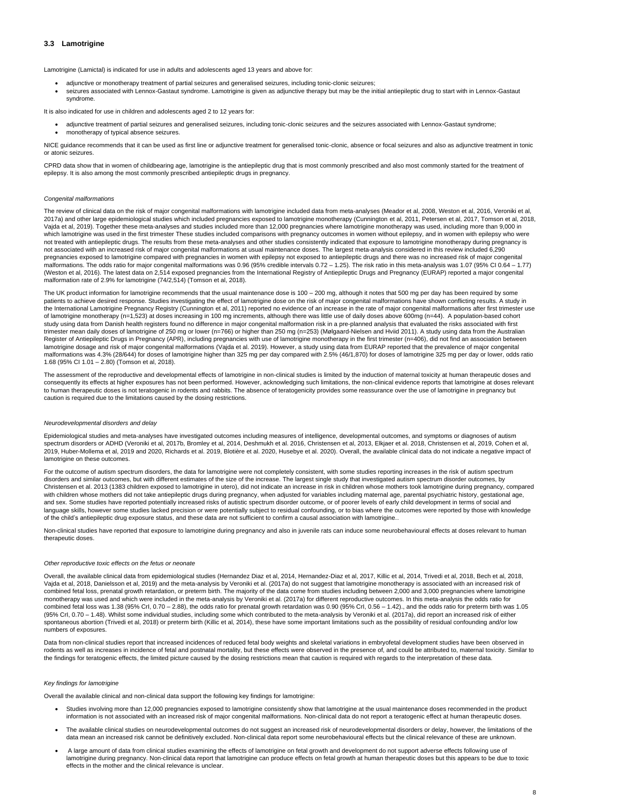#### <span id="page-7-0"></span>**3.3 Lamotrigine**

Lamotrigine (Lamictal) is indicated for use in adults and adolescents aged 13 years and above for:

- adjunctive or monotherapy treatment of partial seizures and generalised seizures, including tonic-clonic seizures;
- seizures associated with Lennox-Gastaut syndrome. Lamotrigine is given as adjunctive therapy but may be the initial antiepileptic drug to start with in Lennox-Gastaut syndrome.

NICE guidance recommends that it can be used as first line or adjunctive treatment for generalised tonic-clonic, absence or focal seizures and also as adjunctive treatment in tonic or atonic seizures.

It is also indicated for use in children and adolescents aged 2 to 12 years for:

- adjunctive treatment of partial seizures and generalised seizures, including tonic-clonic seizures and the seizures associated with Lennox-Gastaut syndrome;
- monotherapy of typical absence seizures.

CPRD data show that in women of childbearing age, lamotrigine is the antiepileptic drug that is most commonly prescribed and also most commonly started for the treatment of epilepsy. It is also among the most commonly prescribed antiepileptic drugs in pregnancy.

#### *Congenital malformations*

The review of clinical data on the risk of major congenital malformations with lamotrigine included data from meta-analyses (Meador et al, 2008, Weston et al, 2016, Veroniki et al, 2017a) and other large epidemiological studies which included pregnancies exposed to lamotrigine monotherapy (Cunnington et al, 2011, Petersen et al, 2017, Tomson et al, 2018, Vajda et al, 2019). Together these meta-analyses and studies included more than 12,000 pregnancies where lamotrigine monotherapy was used, including more than 9,000 in which lamotrigine was used in the first trimester These studies included comparisons with pregnancy outcomes in women without epilepsy, and in women with epilepsy who were not treated with antiepileptic drugs. The results from these meta-analyses and other studies consistently indicated that exposure to lamotrigine monotherapy during pregnancy is not associated with an increased risk of major congenital malformations at usual maintenance doses. The largest meta-analysis considered in this review included 6,290 pregnancies exposed to lamotrigine compared with pregnancies in women with epilepsy not exposed to antiepileptic drugs and there was no increased risk of major congenital malformations. The odds ratio for major congenital malformations was 0.96 (95% credible intervals 0.72 – 1.25). The risk ratio in this meta-analysis was 1.07 (95% CI 0.64 – 1.77) (Weston et al, 2016). The latest data on 2,514 exposed pregnancies from the International Registry of Antiepileptic Drugs and Pregnancy (EURAP) reported a major congenital malformation rate of 2.9% for lamotrigine (74/2,514) (Tomson et al, 2018).

Non-clinical studies have reported that exposure to lamotrigine during pregnancy and also in juvenile rats can induce some neurobehavioural effects at doses relevant to human therapeutic doses.

The UK product information for lamotrigine recommends that the usual maintenance dose is 100 – 200 mg, although it notes that 500 mg per day has been required by some patients to achieve desired response. Studies investigating the effect of lamotrigine dose on the risk of major congenital malformations have shown conflicting results. A study in the International Lamotrigine Pregnancy Registry (Cunnington et al, 2011) reported no evidence of an increase in the rate of major congenital malformations after first trimester use of lamotrigine monotherapy (n=1,523) at doses increasing in 100 mg increments, although there was little use of daily doses above 600mg (n=44). A population-based cohort study using data from Danish health registers found no difference in major congenital malformation risk in a pre-planned analysis that evaluated the risks associated with first trimester mean daily doses of lamotrigine of 250 mg or lower (n=766) or higher than 250 mg (n=253) (Mølgaard-Nielsen and Hviid 2011). A study using data from the Australian Register of Antiepileptic Drugs in Pregnancy (APR), including pregnancies with use of lamotrigine monotherapy in the first trimester (n=406), did not find an association between lamotrigine dosage and risk of major congenital malformations (Vajda et al. 2019). However, a study using data from EURAP reported that the prevalence of major congenital malformations was 4.3% (28/644) for doses of lamotrigine higher than 325 mg per day compared with 2.5% (46/1,870) for doses of lamotrigine 325 mg per day or lower, odds ratio 1.68 (95% CI 1.01 – 2.80) (Tomson et al, 2018).

Overall, the available clinical data from epidemiological studies (Hernandez Diaz et al, 2014, Hernandez-Diaz et al, 2017, Killic et al, 2014, Trivedi et al, 2018, Bech et al, 2018, Vajda et al, 2018, Danielsson et al, 2019) and the meta-analysis by Veroniki et al. (2017a) do not suggest that lamotrigine monotherapy is associated with an increased risk of combined fetal loss, prenatal growth retardation, or preterm birth. The majority of the data come from studies including between 2,000 and 3,000 pregnancies where lamotrigine monotherapy was used and which were included in the meta-analysis by Veroniki et al. (2017a) for different reproductive outcomes. In this meta-analysis the odds ratio for combined fetal loss was 1.38 (95% Crl, 0.70 – 2.88), the odds ratio for prenatal growth retardation was 0.90 (95% Crl, 0.56 – 1.42)., and the odds ratio for preterm birth was 1.05 (95% CrI, 0.70 – 1.48). Whilst some individual studies, including some which contributed to the meta-analysis by Veroniki et al. (2017a), did report an increased risk of either spontaneous abortion (Trivedi et al, 2018) or preterm birth (Killic et al, 2014), these have some important limitations such as the possibility of residual confounding and/or low numbers of exposures.

The assessment of the reproductive and developmental effects of lamotrigine in non-clinical studies is limited by the induction of maternal toxicity at human therapeutic doses and consequently its effects at higher exposures has not been performed. However, acknowledging such limitations, the non-clinical evidence reports that lamotrigine at doses relevant to human therapeutic doses is not teratogenic in rodents and rabbits. The absence of teratogenicity provides some reassurance over the use of lamotrigine in pregnancy but caution is required due to the limitations caused by the dosing restrictions.

#### *Neurodevelopmental disorders and delay*

Epidemiological studies and meta-analyses have investigated outcomes including measures of intelligence, developmental outcomes, and symptoms or diagnoses of autism spectrum disorders or ADHD (Veroniki et al, 2017b, Bromley et al, 2014, Deshmukh et al. 2016, Christensen et al, 2013, Elkjaer et al. 2018, Christensen et al, 2019, Cohen et al, 2019, Huber-Mollema et al, 2019 and 2020, Richards et al. 2019, Blotière et al. 2020, Husebye et al. 2020). Overall, the available clinical data do not indicate a negative impact of lamotrigine on these outcomes.

For the outcome of autism spectrum disorders, the data for lamotrigine were not completely consistent, with some studies reporting increases in the risk of autism spectrum disorders and similar outcomes, but with different estimates of the size of the increase. The largest single study that investigated autism spectrum disorder outcomes, by Christensen et al. 2013 (1383 children exposed to lamotrigine in utero), did not indicate an increase in risk in children whose mothers took lamotrigine during pregnancy, compared with children whose mothers did not take antiepileptic drugs during pregnancy, when adjusted for variables including maternal age, parental psychiatric history, gestational age, and sex. Some studies have reported potentially increased risks of autistic spectrum disorder outcome, or of poorer levels of early child development in terms of social and language skills, however some studies lacked precision or were potentially subject to residual confounding, or to bias where the outcomes were reported by those with knowledge of the child's antiepileptic drug exposure status, and these data are not sufficient to confirm a causal association with lamotrigine..

*Other reproductive toxic effects on the fetus or neonate*

Data from non-clinical studies report that increased incidences of reduced fetal body weights and skeletal variations in embryofetal development studies have been observed in rodents as well as increases in incidence of fetal and postnatal mortality, but these effects were observed in the presence of, and could be attributed to, maternal toxicity. Similar to the findings for teratogenic effects, the limited picture caused by the dosing restrictions mean that caution is required with regards to the interpretation of these data.

#### *Key findings for lamotrigine*

Overall the available clinical and non-clinical data support the following key findings for lamotrigine:

- Studies involving more than 12,000 pregnancies exposed to lamotrigine consistently show that lamotrigine at the usual maintenance doses recommended in the product information is not associated with an increased risk of major congenital malformations. Non-clinical data do not report a teratogenic effect at human therapeutic doses.
- The available clinical studies on neurodevelopmental outcomes do not suggest an increased risk of neurodevelopmental disorders or delay, however, the limitations of the data mean an increased risk cannot be definitively excluded. Non-clinical data report some neurobehavioural effects but the clinical relevance of these are unknown.
- A large amount of data from clinical studies examining the effects of lamotrigine on fetal growth and development do not support adverse effects following use of lamotrigine during pregnancy. Non-clinical data report that lamotrigine can produce effects on fetal growth at human therapeutic doses but this appears to be due to toxic effects in the mother and the clinical relevance is unclear.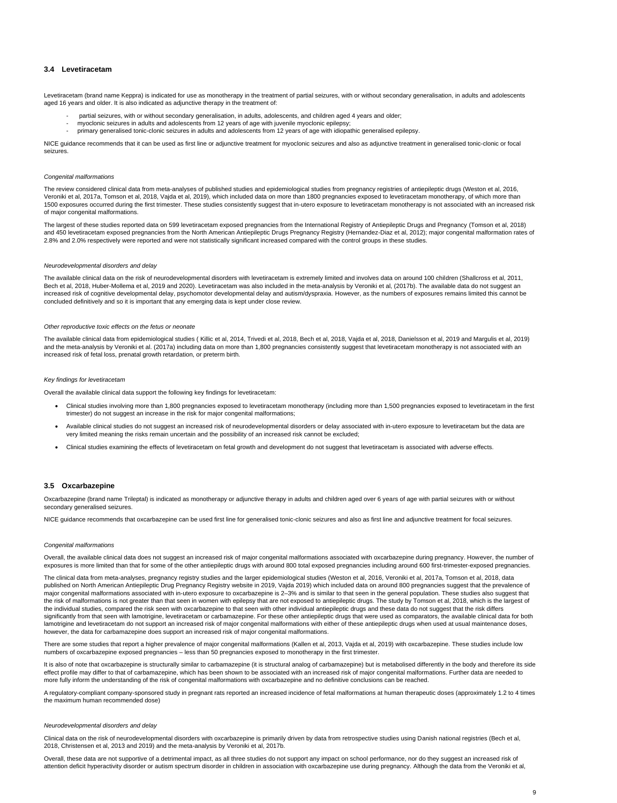#### <span id="page-8-0"></span>**3.4 Levetiracetam**

Levetiracetam (brand name Keppra) is indicated for use as monotherapy in the treatment of partial seizures, with or without secondary generalisation, in adults and adolescents aged 16 years and older. It is also indicated as adjunctive therapy in the treatment of:

- partial seizures, with or without secondary generalisation, in adults, adolescents, and children aged 4 years and older;
- myoclonic seizures in adults and adolescents from 12 years of age with juvenile myoclonic epilepsy;
- primary generalised tonic-clonic seizures in adults and adolescents from 12 years of age with idiopathic generalised epilepsy.

NICE guidance recommends that it can be used as first line or adjunctive treatment for myoclonic seizures and also as adjunctive treatment in generalised tonic-clonic or focal seizures.

#### *Congenital malformations*

The review considered clinical data from meta-analyses of published studies and epidemiological studies from pregnancy registries of antiepileptic drugs (Weston et al, 2016, Veroniki et al, 2017a, Tomson et al, 2018, Vajda et al, 2019), which included data on more than 1800 pregnancies exposed to levetiracetam monotherapy, of which more than 1500 exposures occurred during the first trimester. These studies consistently suggest that in-utero exposure to levetiracetam monotherapy is not associated with an increased risk of major congenital malformations.

The largest of these studies reported data on 599 levetiracetam exposed pregnancies from the International Registry of Antiepileptic Drugs and Pregnancy (Tomson et al, 2018) and 450 levetiracetam exposed pregnancies from the North American Antiepileptic Drugs Pregnancy Registry (Hernandez-Diaz et al, 2012); major congenital malformation rates of 2.8% and 2.0% respectively were reported and were not statistically significant increased compared with the control groups in these studies.

#### *Neurodevelopmental disorders and delay*

The available clinical data on the risk of neurodevelopmental disorders with levetiracetam is extremely limited and involves data on around 100 children (Shallcross et al, 2011, Bech et al, 2018, Huber-Mollema et al, 2019 and 2020). Levetiracetam was also included in the meta-analysis by Veroniki et al, (2017b). The available data do not suggest an increased risk of cognitive developmental delay, psychomotor developmental delay and autism/dyspraxia. However, as the numbers of exposures remains limited this cannot be concluded definitively and so it is important that any emerging data is kept under close review.

#### *Other reproductive toxic effects on the fetus or neonate*

The available clinical data from epidemiological studies ( Killic et al, 2014, Trivedi et al, 2018, Bech et al, 2018, Vajda et al, 2018, Danielsson et al, 2019 and Margulis et al, 2019) and the meta-analysis by Veroniki et al. (2017a) including data on more than 1,800 pregnancies consistently suggest that levetiracetam monotherapy is not associated with an increased risk of fetal loss, prenatal growth retardation, or preterm birth.

#### *Key findings for levetiracetam*

Overall the available clinical data support the following key findings for levetiracetam:

It is also of note that oxcarbazepine is structurally similar to carbamazepine (it is structural analog of carbamazepine) but is metabolised differently in the body and therefore its side effect profile may differ to that of carbamazepine, which has been shown to be associated with an increased risk of major congenital malformations. Further data are needed to more fully inform the understanding of the risk of congenital malformations with oxcarbazepine and no definitive conclusions can be reached.

- Clinical studies involving more than 1,800 pregnancies exposed to levetiracetam monotherapy (including more than 1,500 pregnancies exposed to levetiracetam in the first trimester) do not suggest an increase in the risk for major congenital malformations;
- Available clinical studies do not suggest an increased risk of neurodevelopmental disorders or delay associated with in-utero exposure to levetiracetam but the data are very limited meaning the risks remain uncertain and the possibility of an increased risk cannot be excluded;
- Clinical studies examining the effects of levetiracetam on fetal growth and development do not suggest that levetiracetam is associated with adverse effects.

#### <span id="page-8-1"></span>**3.5 Oxcarbazepine**

Oxcarbazepine (brand name Trileptal) is indicated as monotherapy or adjunctive therapy in adults and children aged over 6 years of age with partial seizures with or without secondary generalised seizures.

NICE guidance recommends that oxcarbazepine can be used first line for generalised tonic-clonic seizures and also as first line and adjunctive treatment for focal seizures.

#### *Congenital malformations*

Overall, the available clinical data does not suggest an increased risk of major congenital malformations associated with oxcarbazepine during pregnancy. However, the number of exposures is more limited than that for some of the other antiepileptic drugs with around 800 total exposed pregnancies including around 600 first-trimester-exposed pregnancies.

The clinical data from meta-analyses, pregnancy registry studies and the larger epidemiological studies (Weston et al, 2016, Veroniki et al, 2017a, Tomson et al, 2018, data published on North American Antiepileptic Drug Pregnancy Registry website in 2019, Vajda 2019) which included data on around 800 pregnancies suggest that the prevalence of major congenital malformations associated with in-utero exposure to oxcarbazepine is 2–3% and is similar to that seen in the general population. These studies also suggest that the risk of malformations is not greater than that seen in women with epilepsy that are not exposed to antiepileptic drugs. The study by Tomson et al, 2018, which is the largest of the individual studies, compared the risk seen with oxcarbazepine to that seen with other individual antiepileptic drugs and these data do not suggest that the risk differs significantly from that seen with lamotrigine, levetiracetam or carbamazepine. For these other antiepileptic drugs that were used as comparators, the available clinical data for both lamotrigine and levetiracetam do not support an increased risk of major congenital malformations with either of these antiepileptic drugs when used at usual maintenance doses, however, the data for carbamazepine does support an increased risk of major congenital malformations.

There are some studies that report a higher prevalence of major congenital malformations (Kallen et al, 2013, Vajda et al, 2019) with oxcarbazepine. These studies include low numbers of oxcarbazepine exposed pregnancies – less than 50 pregnancies exposed to monotherapy in the first trimester.

A regulatory-compliant company-sponsored study in pregnant rats reported an increased incidence of fetal malformations at human therapeutic doses (approximately 1.2 to 4 times the maximum human recommended dose)

*Neurodevelopmental disorders and delay*

Clinical data on the risk of neurodevelopmental disorders with oxcarbazepine is primarily driven by data from retrospective studies using Danish national registries (Bech et al, 2018, Christensen et al, 2013 and 2019) and the meta-analysis by Veroniki et al, 2017b.

Overall, these data are not supportive of a detrimental impact, as all three studies do not support any impact on school performance, nor do they suggest an increased risk of attention deficit hyperactivity disorder or autism spectrum disorder in children in association with oxcarbazepine use during pregnancy. Although the data from the Veroniki et al,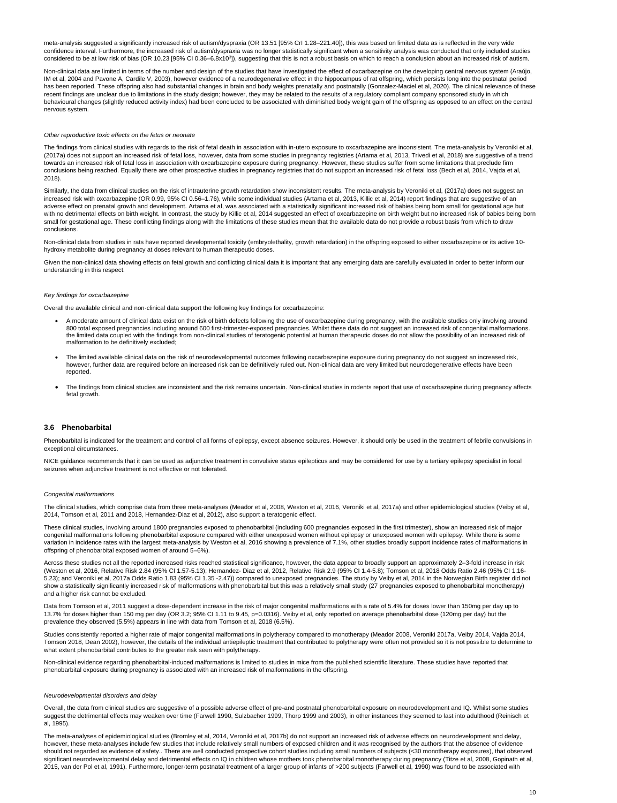meta-analysis suggested a significantly increased risk of autism/dyspraxia (OR 13.51 [95% CrI 1.28–221.40]), this was based on limited data as is reflected in the very wide confidence interval. Furthermore, the increased risk of autism/dyspraxia was no longer statistically significant when a sensitivity analysis was conducted that only included studies considered to be at low risk of bias (OR 10.23 [95% CI 0.36–6.8x10<sup>3</sup>]), suggesting that this is not a robust basis on which to reach a conclusion about an increased risk of autism.

Non-clinical data are limited in terms of the number and design of the studies that have investigated the effect of oxcarbazepine on the developing central nervous system (Araújo, IM et al, 2004 and Pavone A, Cardile V, 2003), however evidence of a neurodegenerative effect in the hippocampus of rat offspring, which persists long into the postnatal period has been reported. These offspring also had substantial changes in brain and body weights prenatally and postnatally (Gonzalez-Maciel et al, 2020). The clinical relevance of these recent findings are unclear due to limitations in the study design; however, they may be related to the results of a regulatory compliant company sponsored study in which behavioural changes (slightly reduced activity index) had been concluded to be associated with diminished body weight gain of the offspring as opposed to an effect on the central nervous system.

The findings from clinical studies with regards to the risk of fetal death in association with in-utero exposure to oxcarbazepine are inconsistent. The meta-analysis by Veroniki et al, (2017a) does not support an increased risk of fetal loss, however, data from some studies in pregnancy registries (Artama et al, 2013, Trivedi et al, 2018) are suggestive of a trend towards an increased risk of fetal loss in association with oxcarbazepine exposure during pregnancy. However, these studies suffer from some limitations that preclude firm conclusions being reached. Equally there are other prospective studies in pregnancy registries that do not support an increased risk of fetal loss (Bech et al, 2014, Vajda et al, 2018).

#### *Other reproductive toxic effects on the fetus or neonate*

Similarly, the data from clinical studies on the risk of intrauterine growth retardation show inconsistent results. The meta-analysis by Veroniki et al, (2017a) does not suggest an increased risk with oxcarbazepine (OR 0.99, 95% CI 0.56–1.76), while some individual studies (Artama et al, 2013, Killic et al, 2014) report findings that are suggestive of an adverse effect on prenatal growth and development. Artama et al, was associated with a statistically significant increased risk of babies being born small for gestational age but with no detrimental effects on birth weight. In contrast, the study by Killic et al, 2014 suggested an effect of oxcarbazepine on birth weight but no increased risk of babies being born small for gestational age. These conflicting findings along with the limitations of these studies mean that the available data do not provide a robust basis from which to draw conclusions.

Given the non-clinical data showing effects on fetal growth and conflicting clinical data it is important that any emerging data are carefully evaluated in order to better inform our understanding in this respect.

Phenobarbital is indicated for the treatment and control of all forms of epilepsy, except absence seizures. However, it should only be used in the treatment of febrile convulsions in exceptional circumstances.

NICE guidance recommends that it can be used as adjunctive treatment in convulsive status epilepticus and may be considered for use by a tertiary epilepsy specialist in focal seizures when adjunctive treatment is not effective or not tolerated.

Non-clinical data from studies in rats have reported developmental toxicity (embryolethality, growth retardation) in the offspring exposed to either oxcarbazepine or its active 10 hydroxy metabolite during pregnancy at doses relevant to human therapeutic doses.

#### *Key findings for oxcarbazepine*

Data from Tomson et al, 2011 suggest a dose-dependent increase in the risk of major congenital malformations with a rate of 5.4% for doses lower than 150mg per day up to 13.7% for doses higher than 150 mg per day (OR 3.2; 95% CI 1.11 to 9.45, p=0.0316). Veiby et al, only reported on average phenobarbital dose (120mg per day) but the prevalence they observed (5.5%) appears in line with data from Tomson et al, 2018 (6.5%).

Overall the available clinical and non-clinical data support the following key findings for oxcarbazepine:

- A moderate amount of clinical data exist on the risk of birth defects following the use of oxcarbazepine during pregnancy, with the available studies only involving around 800 total exposed pregnancies including around 600 first-trimester-exposed pregnancies. Whilst these data do not suggest an increased risk of congenital malformations. the limited data coupled with the findings from non-clinical studies of teratogenic potential at human therapeutic doses do not allow the possibility of an increased risk of malformation to be definitively excluded;
- The limited available clinical data on the risk of neurodevelopmental outcomes following oxcarbazepine exposure during pregnancy do not suggest an increased risk, however, further data are required before an increased risk can be definitively ruled out. Non-clinical data are very limited but neurodegenerative effects have been reported.
- The findings from clinical studies are inconsistent and the risk remains uncertain. Non-clinical studies in rodents report that use of oxcarbazepine during pregnancy affects fetal growth.

#### <span id="page-9-0"></span>**3.6 Phenobarbital**

#### *Congenital malformations*

The clinical studies, which comprise data from three meta-analyses (Meador et al, 2008, Weston et al, 2016, Veroniki et al, 2017a) and other epidemiological studies (Veiby et al, 2014, Tomson et al, 2011 and 2018, Hernandez-Diaz et al, 2012), also support a teratogenic effect.

These clinical studies, involving around 1800 pregnancies exposed to phenobarbital (including 600 pregnancies exposed in the first trimester), show an increased risk of major congenital malformations following phenobarbital exposure compared with either unexposed women without epilepsy or unexposed women with epilepsy. While there is some variation in incidence rates with the largest meta-analysis by Weston et al, 2016 showing a prevalence of 7.1%, other studies broadly support incidence rates of malformations in offspring of phenobarbital exposed women of around 5–6%).

Across these studies not all the reported increased risks reached statistical significance, however, the data appear to broadly support an approximately 2–3-fold increase in risk (Weston et al, 2016, Relative Risk 2.84 (95% CI 1.57-5.13); Hernandez- Diaz et al, 2012, Relative Risk 2.9 (95% CI 1.4-5.8); Tomson et al, 2018 Odds Ratio 2.46 (95% CI 1.16- 5.23); and Veroniki et al, 2017a Odds Ratio 1.83 (95% CI 1.35 -2.47)) compared to unexposed pregnancies. The study by Veiby et al, 2014 in the Norwegian Birth register did not show a statistically significantly increased risk of malformations with phenobarbital but this was a relatively small study (27 pregnancies exposed to phenobarbital monotherapy) and a higher risk cannot be excluded.

Studies consistently reported a higher rate of major congenital malformations in polytherapy compared to monotherapy (Meador 2008, Veroniki 2017a, Veiby 2014, Vajda 2014, Tomson 2018, Dean 2002), however, the details of the individual antiepileptic treatment that contributed to polytherapy were often not provided so it is not possible to determine to what extent phenobarbital contributes to the greater risk seen with polytherapy.

Non-clinical evidence regarding phenobarbital-induced malformations is limited to studies in mice from the published scientific literature. These studies have reported that phenobarbital exposure during pregnancy is associated with an increased risk of malformations in the offspring.

*Neurodevelopmental disorders and delay*

Overall, the data from clinical studies are suggestive of a possible adverse effect of pre-and postnatal phenobarbital exposure on neurodevelopment and IQ. Whilst some studies suggest the detrimental effects may weaken over time (Farwell 1990, Sulzbacher 1999, Thorp 1999 and 2003), in other instances they seemed to last into adulthood (Reinisch et al, 1995).

The meta-analyses of epidemiological studies (Bromley et al, 2014, Veroniki et al, 2017b) do not support an increased risk of adverse effects on neurodevelopment and delay, however, these meta-analyses include few studies that include relatively small numbers of exposed children and it was recognised by the authors that the absence of evidence should not regarded as evidence of safety.. There are well conducted prospective cohort studies including small numbers of subjects (<30 monotherapy exposures), that observed significant neurodevelopmental delay and detrimental effects on IQ in children whose mothers took phenobarbital monotherapy during pregnancy (Titze et al, 2008, Gopinath et al, 2015, van der Pol et al, 1991). Furthermore, longer-term postnatal treatment of a larger group of infants of >200 subjects (Farwell et al, 1990) was found to be associated with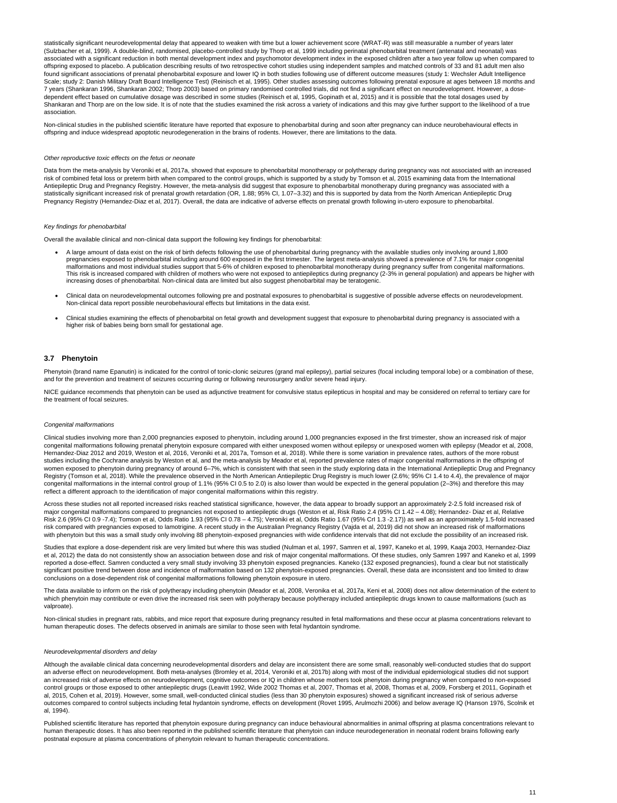statistically significant neurodevelopmental delay that appeared to weaken with time but a lower achievement score (WRAT-R) was still measurable a number of years later (Sulzbacher et al, 1999). A double-blind, randomised, placebo-controlled study by Thorp et al, 1999 including perinatal phenobarbital treatment (antenatal and neonatal) was associated with a significant reduction in both mental development index and psychomotor development index in the exposed children after a two year follow up when compared to offspring exposed to placebo. A publication describing results of two retrospective cohort studies using independent samples and matched controls of 33 and 81 adult men also found significant associations of prenatal phenobarbital exposure and lower IQ in both studies following use of different outcome measures (study 1: Wechsler Adult Intelligence Scale; study 2: Danish Military Draft Board Intelligence Test) (Reinisch et al, 1995). Other studies assessing outcomes following prenatal exposure at ages between 18 months and 7 years (Shankaran 1996, Shankaran 2002; Thorp 2003) based on primary randomised controlled trials, did not find a significant effect on neurodevelopment. However, a dosedependent effect based on cumulative dosage was described in some studies (Reinisch et al, 1995, Gopinath et al, 2015) and it is possible that the total dosages used by Shankaran and Thorp are on the low side. It is of note that the studies examined the risk across a variety of indications and this may give further support to the likelihood of a true association.

Non-clinical studies in the published scientific literature have reported that exposure to phenobarbital during and soon after pregnancy can induce neurobehavioural effects in offspring and induce widespread apoptotic neurodegeneration in the brains of rodents. However, there are limitations to the data.

#### *Other reproductive toxic effects on the fetus or neonate*

Phenytoin (brand name Epanutin) is indicated for the control of tonic-clonic seizures (grand mal epilepsy), partial seizures (focal including temporal lobe) or a combination of these, and for the prevention and treatment of seizures occurring during or following neurosurgery and/or severe head injury.

NICE guidance recommends that phenytoin can be used as adjunctive treatment for convulsive status epilepticus in hospital and may be considered on referral to tertiary care for the treatment of focal seizures.

Data from the meta-analysis by Veroniki et al, 2017a, showed that exposure to phenobarbital monotherapy or polytherapy during pregnancy was not associated with an increased risk of combined fetal loss or preterm birth when compared to the control groups, which is supported by a study by Tomson et al, 2015 examining data from the International Antiepileptic Drug and Pregnancy Registry. However, the meta-analysis did suggest that exposure to phenobarbital monotherapy during pregnancy was associated with a statistically significant increased risk of prenatal growth retardation (OR, 1.88; 95% CI, 1.07–3.32) and this is supported by data from the North American Antiepileptic Drug Pregnancy Registry (Hernandez-Diaz et al, 2017). Overall, the data are indicative of adverse effects on prenatal growth following in-utero exposure to phenobarbital.

#### *Key findings for phenobarbital*

Overall the available clinical and non-clinical data support the following key findings for phenobarbital:

Across these studies not all reported increased risks reached statistical significance, however, the data appear to broadly support an approximately 2-2.5 fold increased risk of major congenital malformations compared to pregnancies not exposed to antiepileptic drugs (Weston et al, Risk Ratio 2.4 (95% CI 1.42 – 4.08); Hernandez- Diaz et al, Relative Risk 2.6 (95% CI 0.9 -7.4); Tomson et al, Odds Ratio 1.93 (95% CI 0.78 – 4.75); Veroniki et al, Odds Ratio 1.67 (95% CrI 1.3 -2.17)) as well as an approximately 1.5-fold increased risk compared with pregnancies exposed to lamotrigine. A recent study in the Australian Pregnancy Registry (Vajda et al, 2019) did not show an increased risk of malformations with phenytoin but this was a small study only involving 88 phenytoin-exposed pregnancies with wide confidence intervals that did not exclude the possibility of an increased risk.

- A large amount of data exist on the risk of birth defects following the use of phenobarbital during pregnancy with the available studies only involving around 1,800 pregnancies exposed to phenobarbital including around 600 exposed in the first trimester. The largest meta-analysis showed a prevalence of 7.1% for major congenital malformations and most individual studies support that 5-6% of children exposed to phenobarbital monotherapy during pregnancy suffer from congenital malformations. This risk is increased compared with children of mothers who were not exposed to antiepileptics during pregnancy (2-3% in general population) and appears be higher with increasing doses of phenobarbital. Non-clinical data are limited but also suggest phenobarbital may be teratogenic.
- Clinical data on neurodevelopmental outcomes following pre and postnatal exposures to phenobarbital is suggestive of possible adverse effects on neurodevelopment. Non-clinical data report possible neurobehavioural effects but limitations in the data exist.
- Clinical studies examining the effects of phenobarbital on fetal growth and development suggest that exposure to phenobarbital during pregnancy is associated with a higher risk of babies being born small for gestational age.

Studies that explore a dose-dependent risk are very limited but where this was studied (Nulman et al, 1997, Samren et al, 1997, Kaneko et al, 1999, Kaaja 2003, Hernandez-Diaz et al, 2012) the data do not consistently show an association between dose and risk of major congenital malformations. Of these studies, only Samren 1997 and Kaneko et al, 1999 reported a dose-effect. Samren conducted a very small study involving 33 phenytoin exposed pregnancies. Kaneko (132 exposed pregnancies), found a clear but not statistically significant positive trend between dose and incidence of malformation based on 132 phenytoin-exposed pregnancies. Overall, these data are inconsistent and too limited to draw conclusions on a dose-dependent risk of congenital malformations following phenytoin exposure in utero.

#### <span id="page-10-0"></span>**3.7 Phenytoin**

#### *Congenital malformations*

Published scientific literature has reported that phenytoin exposure during pregnancy can induce behavioural abnormalities in animal offspring at plasma concentrations relevant to human therapeutic doses. It has also been reported in the published scientific literature that phenytoin can induce neurodegeneration in neonatal rodent brains following early postnatal exposure at plasma concentrations of phenytoin relevant to human therapeutic concentrations.

Clinical studies involving more than 2,000 pregnancies exposed to phenytoin, including around 1,000 pregnancies exposed in the first trimester, show an increased risk of major congenital malformations following prenatal phenytoin exposure compared with either unexposed women without epilepsy or unexposed women with epilepsy (Meador et al, 2008, Hernandez-Diaz 2012 and 2019, Weston et al, 2016, Veroniki et al, 2017a, Tomson et al, 2018). While there is some variation in prevalence rates, authors of the more robust studies including the Cochrane analysis by Weston et al, and the meta-analysis by Meador et al, reported prevalence rates of major congenital malformations in the offspring of women exposed to phenytoin during pregnancy of around 6–7%, which is consistent with that seen in the study exploring data in the International Antiepileptic Drug and Pregnancy Registry (Tomson et al, 2018). While the prevalence observed in the North American Antiepileptic Drug Registry is much lower (2.6%; 95% CI 1.4 to 4.4), the prevalence of major congenital malformations in the internal control group of 1.1% (95% CI 0.5 to 2.0) is also lower than would be expected in the general population (2–3%) and therefore this may reflect a different approach to the identification of major congenital malformations within this registry.

The data available to inform on the risk of polytherapy including phenytoin (Meador et al, 2008, Veronika et al, 2017a, Keni et al, 2008) does not allow determination of the extent to which phenytoin may contribute or even drive the increased risk seen with polytherapy because polytherapy included antiepileptic drugs known to cause malformations (such as valproate).

Non-clinical studies in pregnant rats, rabbits, and mice report that exposure during pregnancy resulted in fetal malformations and these occur at plasma concentrations relevant to human therapeutic doses. The defects observed in animals are similar to those seen with fetal hydantoin syndrome.

*Neurodevelopmental disorders and delay*

Although the available clinical data concerning neurodevelopmental disorders and delay are inconsistent there are some small, reasonably well-conducted studies that do support an adverse effect on neurodevelopment. Both meta-analyses (Bromley et al, 2014, Veroniki et al, 2017b) along with most of the individual epidemiological studies did not support an increased risk of adverse effects on neurodevelopment, cognitive outcomes or IQ in children whose mothers took phenytoin during pregnancy when compared to non-exposed control groups or those exposed to other antiepileptic drugs (Leavitt 1992, Wide 2002 Thomas et al, 2007, Thomas et al, 2008, Thomas et al, 2009, Forsberg et 2011, Gopinath et al, 2015, Cohen et al, 2019). However, some small, well-conducted clinical studies (less than 30 phenytoin exposures) showed a significant increased risk of serious adverse outcomes compared to control subjects including fetal hydantoin syndrome, effects on development (Rovet 1995, Arulmozhi 2006) and below average IQ (Hanson 1976, Scolnik et al, 1994).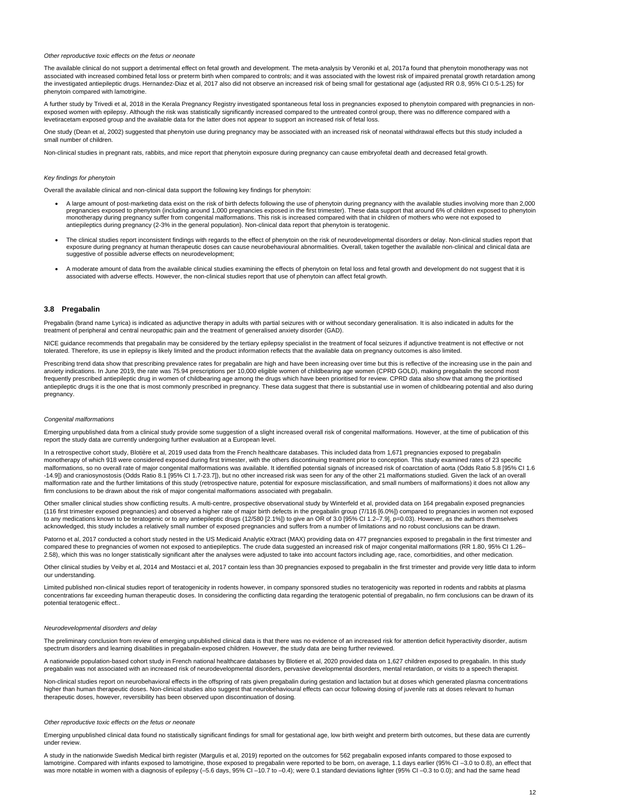#### *Other reproductive toxic effects on the fetus or neonate*

The available clinical do not support a detrimental effect on fetal growth and development. The meta-analysis by Veroniki et al, 2017a found that phenytoin monotherapy was not associated with increased combined fetal loss or preterm birth when compared to controls; and it was associated with the lowest risk of impaired prenatal growth retardation among the investigated antiepileptic drugs. Hernandez-Diaz et al, 2017 also did not observe an increased risk of being small for gestational age (adjusted RR 0.8, 95% CI 0.5-1.25) for phenytoin compared with lamotrigine.

A further study by Trivedi et al, 2018 in the Kerala Pregnancy Registry investigated spontaneous fetal loss in pregnancies exposed to phenytoin compared with pregnancies in nonexposed women with epilepsy. Although the risk was statistically significantly increased compared to the untreated control group, there was no difference compared with a levetiracetam exposed group and the available data for the latter does not appear to support an increased risk of fetal loss.

One study (Dean et al, 2002) suggested that phenytoin use during pregnancy may be associated with an increased risk of neonatal withdrawal effects but this study included a small number of children.

Non-clinical studies in pregnant rats, rabbits, and mice report that phenytoin exposure during pregnancy can cause embryofetal death and decreased fetal growth.

#### *Key findings for phenytoin*

Overall the available clinical and non-clinical data support the following key findings for phenytoin:

NICE guidance recommends that pregabalin may be considered by the tertiary epilepsy specialist in the treatment of focal seizures if adjunctive treatment is not effective or not tolerated. Therefore, its use in epilepsy is likely limited and the product information reflects that the available data on pregnancy outcomes is also limited.

Prescribing trend data show that prescribing prevalence rates for pregabalin are high and have been increasing over time but this is reflective of the increasing use in the pain and anxiety indications. In June 2019, the rate was 75.94 prescriptions per 10,000 eligible women of childbearing age women (CPRD GOLD), making pregabalin the second most frequently prescribed antiepileptic drug in women of childbearing age among the drugs which have been prioritised for review. CPRD data also show that among the prioritised antiepileptic drugs it is the one that is most commonly prescribed in pregnancy. These data suggest that there is substantial use in women of childbearing potential and also during pregnancy.

- A large amount of post-marketing data exist on the risk of birth defects following the use of phenytoin during pregnancy with the available studies involving more than 2,000 pregnancies exposed to phenytoin (including around 1,000 pregnancies exposed in the first trimester). These data support that around 6% of children exposed to phenytoin monotherapy during pregnancy suffer from congenital malformations. This risk is increased compared with that in children of mothers who were not exposed to antiepileptics during pregnancy (2-3% in the general population). Non-clinical data report that phenytoin is teratogenic.
- The clinical studies report inconsistent findings with regards to the effect of phenytoin on the risk of neurodevelopmental disorders or delay. Non-clinical studies report that exposure during pregnancy at human therapeutic doses can cause neurobehavioural abnormalities. Overall, taken together the available non-clinical and clinical data are suggestive of possible adverse effects on neurodevelopment;
- A moderate amount of data from the available clinical studies examining the effects of phenytoin on fetal loss and fetal growth and development do not suggest that it is associated with adverse effects. However, the non-clinical studies report that use of phenytoin can affect fetal growth.

#### <span id="page-11-0"></span>**3.8 Pregabalin**

Pregabalin (brand name Lyrica) is indicated as adjunctive therapy in adults with partial seizures with or without secondary generalisation. It is also indicated in adults for the treatment of peripheral and central neuropathic pain and the treatment of generalised anxiety disorder (GAD).

Patorno et al, 2017 conducted a cohort study nested in the US Medicaid Analytic eXtract (MAX) providing data on 477 pregnancies exposed to pregabalin in the first trimester and compared these to pregnancies of women not exposed to antiepileptics. The crude data suggested an increased risk of major congenital malformations (RR 1.80, 95% CI 1.26– 2.58), which this was no longer statistically significant after the analyses were adjusted to take into account factors including age, race, comorbidities, and other medication.

Other clinical studies by Veiby et al, 2014 and Mostacci et al, 2017 contain less than 30 pregnancies exposed to pregabalin in the first trimester and provide very little data to inform our understanding.

The preliminary conclusion from review of emerging unpublished clinical data is that there was no evidence of an increased risk for attention deficit hyperactivity disorder, autism spectrum disorders and learning disabilities in pregabalin-exposed children. However, the study data are being further reviewed.

#### *Congenital malformations*

A study in the nationwide Swedish Medical birth register (Margulis et al, 2019) reported on the outcomes for 562 pregabalin exposed infants compared to those exposed to lamotrigine. Compared with infants exposed to lamotrigine, those exposed to pregabalin were reported to be born, on average, 1.1 days earlier (95% CI -3.0 to 0.8), an effect that was more notable in women with a diagnosis of epilepsy (-5.6 days, 95% CI -10.7 to -0.4); were 0.1 standard deviations lighter (95% CI -0.3 to 0.0); and had the same head

Emerging unpublished data from a clinical study provide some suggestion of a slight increased overall risk of congenital malformations. However, at the time of publication of this report the study data are currently undergoing further evaluation at a European level.

In a retrospective cohort study, Blotière et al, 2019 used data from the French healthcare databases. This included data from 1,671 pregnancies exposed to pregabalin monotherapy of which 918 were considered exposed during first trimester, with the others discontinuing treatment prior to conception. This study examined rates of 23 specific malformations, so no overall rate of major congenital malformations was available. It identified potential signals of increased risk of coarctation of aorta (Odds Ratio 5.8 [95% CI 1.6 -14.9]) and craniosynostosis (Odds Ratio 8.1 [95% CI 1.7-23.7]), but no other increased risk was seen for any of the other 21 malformations studied. Given the lack of an overall malformation rate and the further limitations of this study (retrospective nature, potential for exposure misclassification, and small numbers of malformations) it does not allow any firm conclusions to be drawn about the risk of major congenital malformations associated with pregabalin.

Other smaller clinical studies show conflicting results. A multi-centre, prospective observational study by Winterfeld et al, provided data on 164 pregabalin exposed pregnancies (116 first trimester exposed pregnancies) and observed a higher rate of major birth defects in the pregabalin group (7/116 [6.0%]) compared to pregnancies in women not exposed to any medications known to be teratogenic or to any antiepileptic drugs (12/580 [2.1%]) to give an OR of 3.0 [95% CI 1.2–7.9], p=0.03). However, as the authors themselves acknowledged, this study includes a relatively small number of exposed pregnancies and suffers from a number of limitations and no robust conclusions can be drawn.

Limited published non-clinical studies report of teratogenicity in rodents however, in company sponsored studies no teratogenicity was reported in rodents and rabbits at plasma concentrations far exceeding human therapeutic doses. In considering the conflicting data regarding the teratogenic potential of pregabalin, no firm conclusions can be drawn of its potential teratogenic effect..

#### *Neurodevelopmental disorders and delay*

A nationwide population-based cohort study in French national healthcare databases by Blotiere et al, 2020 provided data on 1,627 children exposed to pregabalin. In this study pregabalin was not associated with an increased risk of neurodevelopmental disorders, pervasive developmental disorders, mental retardation, or visits to a speech therapist.

Non-clinical studies report on neurobehavioral effects in the offspring of rats given pregabalin during gestation and lactation but at doses which generated plasma concentrations higher than human therapeutic doses. Non-clinical studies also suggest that neurobehavioural effects can occur following dosing of juvenile rats at doses relevant to human therapeutic doses, however, reversibility has been observed upon discontinuation of dosing.

#### *Other reproductive toxic effects on the fetus or neonate*

Emerging unpublished clinical data found no statistically significant findings for small for gestational age, low birth weight and preterm birth outcomes, but these data are currently under review.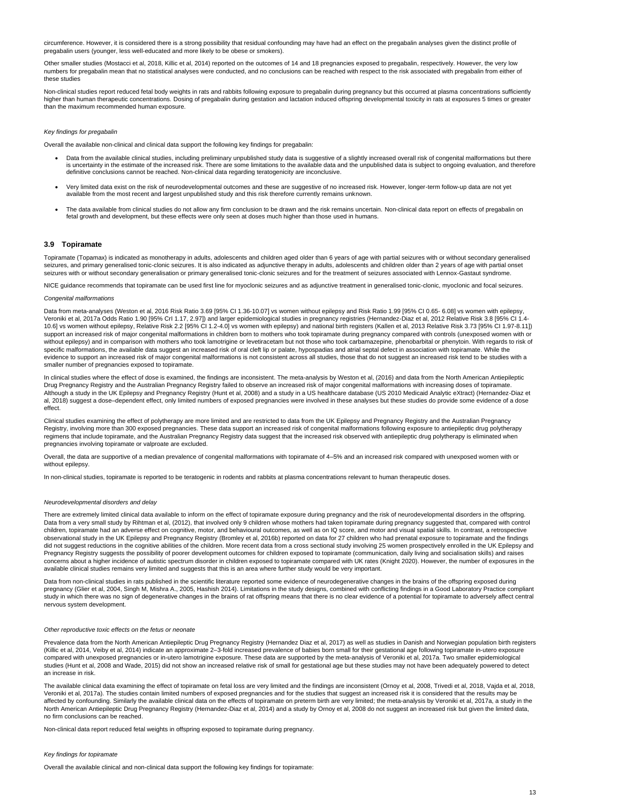circumference. However, it is considered there is a strong possibility that residual confounding may have had an effect on the pregabalin analyses given the distinct profile of pregabalin users (younger, less well-educated and more likely to be obese or smokers).

Other smaller studies (Mostacci et al, 2018, Killic et al, 2014) reported on the outcomes of 14 and 18 pregnancies exposed to pregabalin, respectively. However, the very low numbers for pregabalin mean that no statistical analyses were conducted, and no conclusions can be reached with respect to the risk associated with pregabalin from either of these studies

Non-clinical studies report reduced fetal body weights in rats and rabbits following exposure to pregabalin during pregnancy but this occurred at plasma concentrations sufficiently higher than human therapeutic concentrations. Dosing of pregabalin during gestation and lactation induced offspring developmental toxicity in rats at exposures 5 times or greater than the maximum recommended human exposure.

#### *Key findings for pregabalin*

Topiramate (Topamax) is indicated as monotherapy in adults, adolescents and children aged older than 6 years of age with partial seizures with or without secondary generalised seizures, and primary generalised tonic-clonic seizures. It is also indicated as adjunctive therapy in adults, adolescents and children older than 2 years of age with partial onset seizures with or without secondary generalisation or primary generalised tonic-clonic seizures and for the treatment of seizures associated with Lennox-Gastaut syndrome.

Overall the available non-clinical and clinical data support the following key findings for pregabalin:

- Data from the available clinical studies, including preliminary unpublished study data is suggestive of a slightly increased overall risk of congenital malformations but there is uncertainty in the estimate of the increased risk. There are some limitations to the available data and the unpublished data is subject to ongoing evaluation, and therefore definitive conclusions cannot be reached. Non-clinical data regarding teratogenicity are inconclusive.
- Very limited data exist on the risk of neurodevelopmental outcomes and these are suggestive of no increased risk. However, longer-term follow-up data are not yet available from the most recent and largest unpublished study and this risk therefore currently remains unknown.
- The data available from clinical studies do not allow any firm conclusion to be drawn and the risk remains uncertain. Non-clinical data report on effects of pregabalin on fetal growth and development, but these effects were only seen at doses much higher than those used in humans.

#### <span id="page-12-0"></span>**3.9 Topiramate**

NICE guidance recommends that topiramate can be used first line for myoclonic seizures and as adjunctive treatment in generalised tonic-clonic, myoclonic and focal seizures.

#### *Congenital malformations*

Data from meta-analyses (Weston et al, 2016 Risk Ratio 3.69 [95% CI 1.36-10.07] vs women without epilepsy and Risk Ratio 1.99 [95% CI 0.65- 6.08] vs women with epilepsy, Veroniki et al, 2017a Odds Ratio 1.90 [95% CrI 1.17, 2.97]) and larger epidemiological studies in pregnancy registries (Hernandez-Diaz et al, 2012 Relative Risk 3.8 [95% CI 1.4- 10.6] vs women without epilepsy, Relative Risk 2.2 [95% CI 1.2-4.0] vs women with epilepsy) and national birth registers (Kallen et al, 2013 Relative Risk 3.73 [95% CI 1.97-8.11]) support an increased risk of major congenital malformations in children born to mothers who took topiramate during pregnancy compared with controls (unexposed women with or without epilepsy) and in comparison with mothers who took lamotrigine or levetiracetam but not those who took carbamazepine, phenobarbital or phenytoin. With regards to risk of specific malformations, the available data suggest an increased risk of oral cleft lip or palate, hypospadias and atrial septal defect in association with topiramate. While the evidence to support an increased risk of major congenital malformations is not consistent across all studies, those that do not suggest an increased risk tend to be studies with a smaller number of pregnancies exposed to topiramate.

Data from non-clinical studies in rats published in the scientific literature reported some evidence of neurodegenerative changes in the brains of the offspring exposed during pregnancy (Glier et al, 2004, Singh M, Mishra A., 2005, Hashish 2014). Limitations in the study designs, combined with conflicting findings in a Good Laboratory Practice compliant study in which there was no sign of degenerative changes in the brains of rat offspring means that there is no clear evidence of a potential for topiramate to adversely affect central nervous system development.

In clinical studies where the effect of dose is examined, the findings are inconsistent. The meta-analysis by Weston et al, (2016) and data from the North American Antiepileptic Drug Pregnancy Registry and the Australian Pregnancy Registry failed to observe an increased risk of major congenital malformations with increasing doses of topiramate. Although a study in the UK Epilepsy and Pregnancy Registry (Hunt et al, 2008) and a study in a US healthcare database (US 2010 Medicaid Analytic eXtract) (Hernandez-Diaz et al, 2018) suggest a dose–dependent effect, only limited numbers of exposed pregnancies were involved in these analyses but these studies do provide some evidence of a dose effect.

Clinical studies examining the effect of polytherapy are more limited and are restricted to data from the UK Epilepsy and Pregnancy Registry and the Australian Pregnancy Registry, involving more than 300 exposed pregnancies. These data support an increased risk of congenital malformations following exposure to antiepileptic drug polytherapy regimens that include topiramate, and the Australian Pregnancy Registry data suggest that the increased risk observed with antiepileptic drug polytherapy is eliminated when pregnancies involving topiramate or valproate are excluded.

Overall, the data are supportive of a median prevalence of congenital malformations with topiramate of 4–5% and an increased risk compared with unexposed women with or without epilepsy.

In non-clinical studies, topiramate is reported to be teratogenic in rodents and rabbits at plasma concentrations relevant to human therapeutic doses.

#### *Neurodevelopmental disorders and delay*

There are extremely limited clinical data available to inform on the effect of topiramate exposure during pregnancy and the risk of neurodevelopmental disorders in the offspring. Data from a very small study by Rihtman et al, (2012), that involved only 9 children whose mothers had taken topiramate during pregnancy suggested that, compared with control children, topiramate had an adverse effect on cognitive, motor, and behavioural outcomes, as well as on IQ score, and motor and visual spatial skills. In contrast, a retrospective observational study in the UK Epilepsy and Pregnancy Registry (Bromley et al, 2016b) reported on data for 27 children who had prenatal exposure to topiramate and the findings did not suggest reductions in the cognitive abilities of the children. More recent data from a cross sectional study involving 25 women prospectively enrolled in the UK Epilepsy and Pregnancy Registry suggests the possibility of poorer development outcomes for children exposed to topiramate (communication, daily living and socialisation skills) and raises concerns about a higher incidence of autistic spectrum disorder in children exposed to topiramate compared with UK rates (Knight 2020). However, the number of exposures in the available clinical studies remains very limited and suggests that this is an area where further study would be very important.

*Other reproductive toxic effects on the fetus or neonate*

Prevalence data from the North American Antiepileptic Drug Pregnancy Registry (Hernandez Diaz et al, 2017) as well as studies in Danish and Norwegian population birth registers (Killic et al, 2014, Veiby et al, 2014) indicate an approximate 2–3-fold increased prevalence of babies born small for their gestational age following topiramate in-utero exposure compared with unexposed pregnancies or in-utero lamotrigine exposure. These data are supported by the meta-analysis of Veroniki et al, 2017a. Two smaller epidemiological studies (Hunt et al, 2008 and Wade, 2015) did not show an increased relative risk of small for gestational age but these studies may not have been adequately powered to detect an increase in risk.

The available clinical data examining the effect of topiramate on fetal loss are very limited and the findings are inconsistent (Ornoy et al, 2008, Trivedi et al, 2018, Vajda et al, 2018, Veroniki et al, 2017a). The studies contain limited numbers of exposed pregnancies and for the studies that suggest an increased risk it is considered that the results may be affected by confounding. Similarly the available clinical data on the effects of topiramate on preterm birth are very limited; the meta-analysis by Veroniki et al, 2017a, a study in the North American Antiepileptic Drug Pregnancy Registry (Hernandez-Diaz et al, 2014) and a study by Ornoy et al, 2008 do not suggest an increased risk but given the limited data, no firm conclusions can be reached.

Non-clinical data report reduced fetal weights in offspring exposed to topiramate during pregnancy.

*Key findings for topiramate*

Overall the available clinical and non-clinical data support the following key findings for topiramate: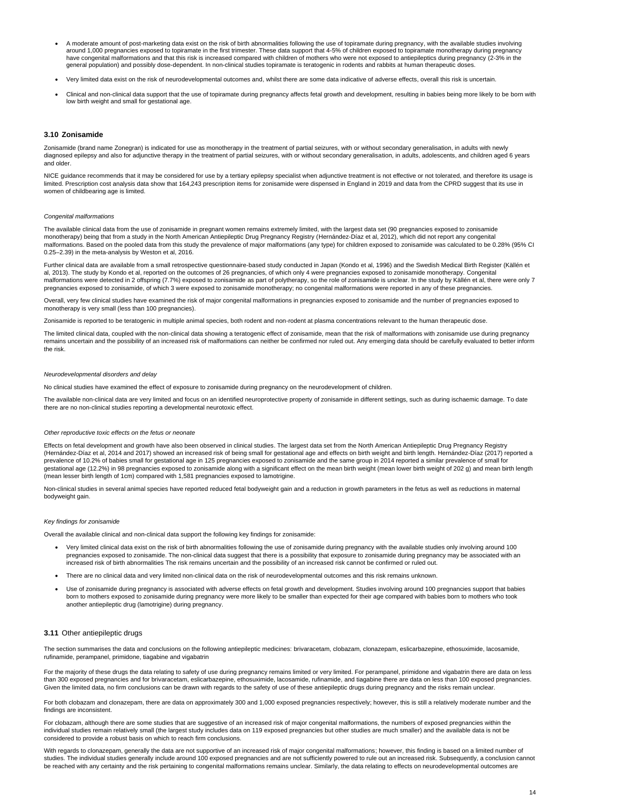- A moderate amount of post-marketing data exist on the risk of birth abnormalities following the use of topiramate during pregnancy, with the available studies involving around 1,000 pregnancies exposed to topiramate in the first trimester. These data support that 4-5% of children exposed to topiramate monotherapy during pregnancy have congenital malformations and that this risk is increased compared with children of mothers who were not exposed to antiepileptics during pregnancy (2-3% in the general population) and possibly dose-dependent. In non-clinical studies topiramate is teratogenic in rodents and rabbits at human therapeutic doses.
- Very limited data exist on the risk of neurodevelopmental outcomes and, whilst there are some data indicative of adverse effects, overall this risk is uncertain.
- Clinical and non-clinical data support that the use of topiramate during pregnancy affects fetal growth and development, resulting in babies being more likely to be born with low birth weight and small for gestational age.

NICE guidance recommends that it may be considered for use by a tertiary epilepsy specialist when adjunctive treatment is not effective or not tolerated, and therefore its usage is limited. Prescription cost analysis data show that 164,243 prescription items for zonisamide were dispensed in England in 2019 and data from the CPRD suggest that its use in women of childbearing age is limited.

#### <span id="page-13-0"></span>**3.10 Zonisamide**

Zonisamide (brand name Zonegran) is indicated for use as monotherapy in the treatment of partial seizures, with or without secondary generalisation, in adults with newly diagnosed epilepsy and also for adjunctive therapy in the treatment of partial seizures, with or without secondary generalisation, in adults, adolescents, and children aged 6 years and older.

#### *Congenital malformations*

The available clinical data from the use of zonisamide in pregnant women remains extremely limited, with the largest data set (90 pregnancies exposed to zonisamide monotherapy) being that from a study in the North American Antiepileptic Drug Pregnancy Registry (Hernández-Díaz et al, 2012), which did not report any congenital malformations. Based on the pooled data from this study the prevalence of major malformations (any type) for children exposed to zonisamide was calculated to be 0.28% (95% CI 0.25–2.39) in the meta-analysis by Weston et al, 2016.

Further clinical data are available from a small retrospective questionnaire-based study conducted in Japan (Kondo et al, 1996) and the Swedish Medical Birth Register (Källén et al, 2013). The study by Kondo et al, reported on the outcomes of 26 pregnancies, of which only 4 were pregnancies exposed to zonisamide monotherapy. Congenital malformations were detected in 2 offspring (7.7%) exposed to zonisamide as part of polytherapy, so the role of zonisamide is unclear. In the study by Källén et al, there were only 7 pregnancies exposed to zonisamide, of which 3 were exposed to zonisamide monotherapy; no congenital malformations were reported in any of these pregnancies.

Overall, very few clinical studies have examined the risk of major congenital malformations in pregnancies exposed to zonisamide and the number of pregnancies exposed to monotherapy is very small (less than 100 pregnancies).

Zonisamide is reported to be teratogenic in multiple animal species, both rodent and non-rodent at plasma concentrations relevant to the human therapeutic dose.

The limited clinical data, coupled with the non-clinical data showing a teratogenic effect of zonisamide, mean that the risk of malformations with zonisamide use during pregnancy remains uncertain and the possibility of an increased risk of malformations can neither be confirmed nor ruled out. Any emerging data should be carefully evaluated to better inform the risk.

#### *Neurodevelopmental disorders and delay*

No clinical studies have examined the effect of exposure to zonisamide during pregnancy on the neurodevelopment of children.

The available non-clinical data are very limited and focus on an identified neuroprotective property of zonisamide in different settings, such as during ischaemic damage. To date there are no non-clinical studies reporting a developmental neurotoxic effect.

#### *Other reproductive toxic effects on the fetus or neonate*

Effects on fetal development and growth have also been observed in clinical studies. The largest data set from the North American Antiepileptic Drug Pregnancy Registry (Hernández-Díaz et al, 2014 and 2017) showed an increased risk of being small for gestational age and effects on birth weight and birth length. Hernández-Díaz (2017) reported a prevalence of 10.2% of babies small for gestational age in 125 pregnancies exposed to zonisamide and the same group in 2014 reported a similar prevalence of small for gestational age (12.2%) in 98 pregnancies exposed to zonisamide along with a significant effect on the mean birth weight (mean lower birth weight of 202 g) and mean birth length (mean lesser birth length of 1cm) compared with 1,581 pregnancies exposed to lamotrigine.

Non-clinical studies in several animal species have reported reduced fetal bodyweight gain and a reduction in growth parameters in the fetus as well as reductions in maternal bodyweight gain.

#### *Key findings for zonisamide*

Overall the available clinical and non-clinical data support the following key findings for zonisamide:

- Very limited clinical data exist on the risk of birth abnormalities following the use of zonisamide during pregnancy with the available studies only involving around 100 pregnancies exposed to zonisamide. The non-clinical data suggest that there is a possibility that exposure to zonisamide during pregnancy may be associated with an
- increased risk of birth abnormalities The risk remains uncertain and the possibility of an increased risk cannot be confirmed or ruled out.
- There are no clinical data and very limited non-clinical data on the risk of neurodevelopmental outcomes and this risk remains unknown.
- Use of zonisamide during pregnancy is associated with adverse effects on fetal growth and development. Studies involving around 100 pregnancies support that babies born to mothers exposed to zonisamide during pregnancy were more likely to be smaller than expected for their age compared with babies born to mothers who took another antiepileptic drug (lamotrigine) during pregnancy.

## <span id="page-13-1"></span>**3.11** Other antiepileptic drugs

The section summarises the data and conclusions on the following antiepileptic medicines: brivaracetam, clobazam, clonazepam, eslicarbazepine, ethosuximide, lacosamide, rufinamide, perampanel, primidone, tiagabine and vigabatrin

For the majority of these drugs the data relating to safety of use during pregnancy remains limited or very limited. For perampanel, primidone and vigabatrin there are data on less than 300 exposed pregnancies and for brivaracetam, eslicarbazepine, ethosuximide, lacosamide, rufinamide, and tiagabine there are data on less than 100 exposed pregnancies. Given the limited data, no firm conclusions can be drawn with regards to the safety of use of these antiepileptic drugs during pregnancy and the risks remain unclear.

For both clobazam and clonazepam, there are data on approximately 300 and 1,000 exposed pregnancies respectively; however, this is still a relatively moderate number and the findings are inconsistent.

For clobazam, although there are some studies that are suggestive of an increased risk of major congenital malformations, the numbers of exposed pregnancies within the individual studies remain relatively small (the largest study includes data on 119 exposed pregnancies but other studies are much smaller) and the available data is not be considered to provide a robust basis on which to reach firm conclusions.

With regards to clonazepam, generally the data are not supportive of an increased risk of major congenital malformations; however, this finding is based on a limited number of studies. The individual studies generally include around 100 exposed pregnancies and are not sufficiently powered to rule out an increased risk. Subsequently, a conclusion cannot be reached with any certainty and the risk pertaining to congenital malformations remains unclear. Similarly, the data relating to effects on neurodevelopmental outcomes are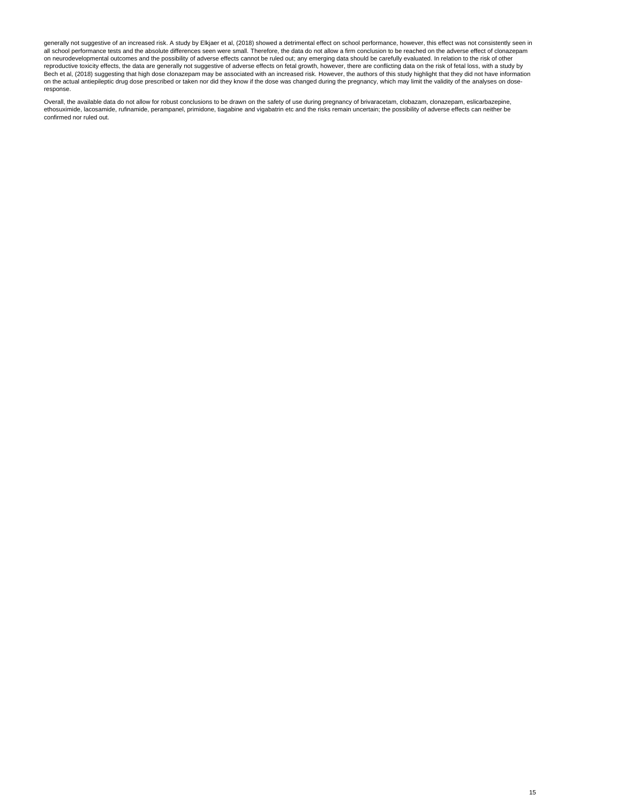generally not suggestive of an increased risk. A study by Elkjaer et al, (2018) showed a detrimental effect on school performance, however, this effect was not consistently seen in all school performance tests and the absolute differences seen were small. Therefore, the data do not allow a firm conclusion to be reached on the adverse effect of clonazepam on neurodevelopmental outcomes and the possibility of adverse effects cannot be ruled out; any emerging data should be carefully evaluated. In relation to the risk of other reproductive toxicity effects, the data are generally not suggestive of adverse effects on fetal growth, however, there are conflicting data on the risk of fetal loss, with a study by Bech et al, (2018) suggesting that high dose clonazepam may be associated with an increased risk. However, the authors of this study highlight that they did not have information on the actual antiepileptic drug dose prescribed or taken nor did they know if the dose was changed during the pregnancy, which may limit the validity of the analyses on doseresponse.

Overall, the available data do not allow for robust conclusions to be drawn on the safety of use during pregnancy of brivaracetam, clobazam, clonazepam, eslicarbazepine, ethosuximide, lacosamide, rufinamide, perampanel, primidone, tiagabine and vigabatrin etc and the risks remain uncertain; the possibility of adverse effects can neither be confirmed nor ruled out.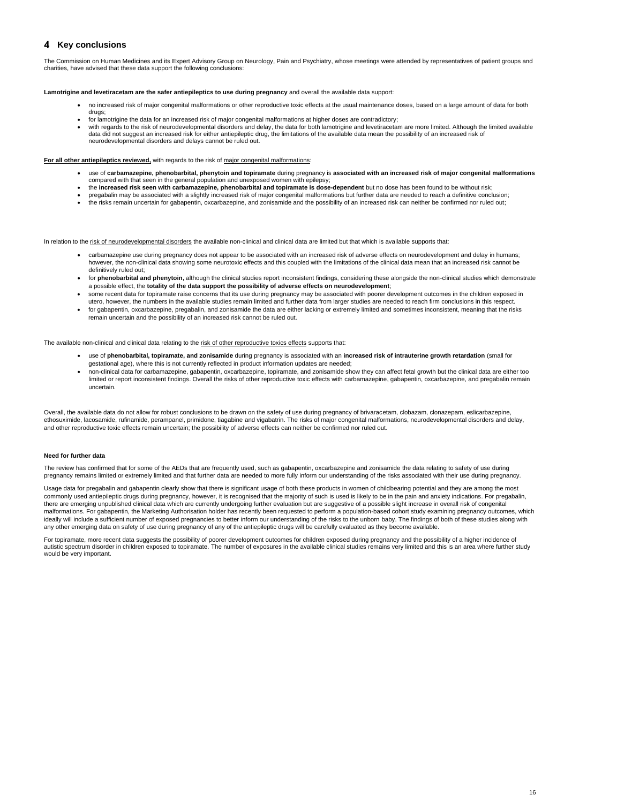## <span id="page-15-0"></span>**4** Key conclusions

The Commission on Human Medicines and its Expert Advisory Group on Neurology, Pain and Psychiatry, whose meetings were attended by representatives of patient groups and charities, have advised that these data support the following conclusions:

#### **Lamotrigine and levetiracetam are the safer antiepileptics to use during pregnancy** and overall the available data support:

- no increased risk of major congenital malformations or other reproductive toxic effects at the usual maintenance doses, based on a large amount of data for both drugs;
- for lamotrigine the data for an increased risk of major congenital malformations at higher doses are contradictory;
- with regards to the risk of neurodevelopmental disorders and delay, the data for both lamotrigine and levetiracetam are more limited. Although the limited available data did not suggest an increased risk for either antiepileptic drug, the limitations of the available data mean the possibility of an increased risk of neurodevelopmental disorders and delays cannot be ruled out.

#### For all other antiepileptics reviewed, with regards to the risk of major congenital malformations:

- use of **carbamazepine, phenobarbital, phenytoin and topiramate** during pregnancy is **associated with an increased risk of major congenital malformations**  compared with that seen in the general population and unexposed women with epilepsy;
- the **increased risk seen with carbamazepine, phenobarbital and topiramate is dose-dependent** but no dose has been found to be without risk;
- pregabalin may be associated with a slightly increased risk of major congenital malformations but further data are needed to reach a definitive conclusion;
- the risks remain uncertain for gabapentin, oxcarbazepine, and zonisamide and the possibility of an increased risk can neither be confirmed nor ruled out;

In relation to the risk of neurodevelopmental disorders the available non-clinical and clinical data are limited but that which is available supports that:

- carbamazepine use during pregnancy does not appear to be associated with an increased risk of adverse effects on neurodevelopment and delay in humans; however, the non-clinical data showing some neurotoxic effects and this coupled with the limitations of the clinical data mean that an increased risk cannot be definitively ruled out;
- for **phenobarbital and phenytoin,** although the clinical studies report inconsistent findings, considering these alongside the non-clinical studies which demonstrate a possible effect, the **totality of the data support the possibility of adverse effects on neurodevelopment**;
- some recent data for topiramate raise concerns that its use during pregnancy may be associated with poorer development outcomes in the children exposed in utero, however, the numbers in the available studies remain limited and further data from larger studies are needed to reach firm conclusions in this respect.
- for gabapentin, oxcarbazepine, pregabalin, and zonisamide the data are either lacking or extremely limited and sometimes inconsistent, meaning that the risks remain uncertain and the possibility of an increased risk cannot be ruled out.

The available non-clinical and clinical data relating to the risk of other reproductive toxics effects supports that:

- use of **phenobarbital, topiramate, and zonisamide** during pregnancy is associated with an **increased risk of intrauterine growth retardation** (small for gestational age), where this is not currently reflected in product information updates are needed;
- non-clinical data for carbamazepine, gabapentin, oxcarbazepine, topiramate, and zonisamide show they can affect fetal growth but the clinical data are either too limited or report inconsistent findings. Overall the risks of other reproductive toxic effects with carbamazepine, gabapentin, oxcarbazepine, and pregabalin remain uncertain.

Overall, the available data do not allow for robust conclusions to be drawn on the safety of use during pregnancy of brivaracetam, clobazam, clonazepam, eslicarbazepine, ethosuximide, lacosamide, rufinamide, perampanel, primidone, tiagabine and vigabatrin. The risks of major congenital malformations, neurodevelopmental disorders and delay, and other reproductive toxic effects remain uncertain; the possibility of adverse effects can neither be confirmed nor ruled out.

#### **Need for further data**

The review has confirmed that for some of the AEDs that are frequently used, such as gabapentin, oxcarbazepine and zonisamide the data relating to safety of use during pregnancy remains limited or extremely limited and that further data are needed to more fully inform our understanding of the risks associated with their use during pregnancy.

Usage data for pregabalin and gabapentin clearly show that there is significant usage of both these products in women of childbearing potential and they are among the most commonly used antiepileptic drugs during pregnancy, however, it is recognised that the majority of such is used is likely to be in the pain and anxiety indications. For pregabalin, there are emerging unpublished clinical data which are currently undergoing further evaluation but are suggestive of a possible slight increase in overall risk of congenital malformations. For gabapentin, the Marketing Authorisation holder has recently been requested to perform a population-based cohort study examining pregnancy outcomes, which ideally will include a sufficient number of exposed pregnancies to better inform our understanding of the risks to the unborn baby. The findings of both of these studies along with any other emerging data on safety of use during pregnancy of any of the antiepileptic drugs will be carefully evaluated as they become available.

For topiramate, more recent data suggests the possibility of poorer development outcomes for children exposed during pregnancy and the possibility of a higher incidence of autistic spectrum disorder in children exposed to topiramate. The number of exposures in the available clinical studies remains very limited and this is an area where further study would be very important.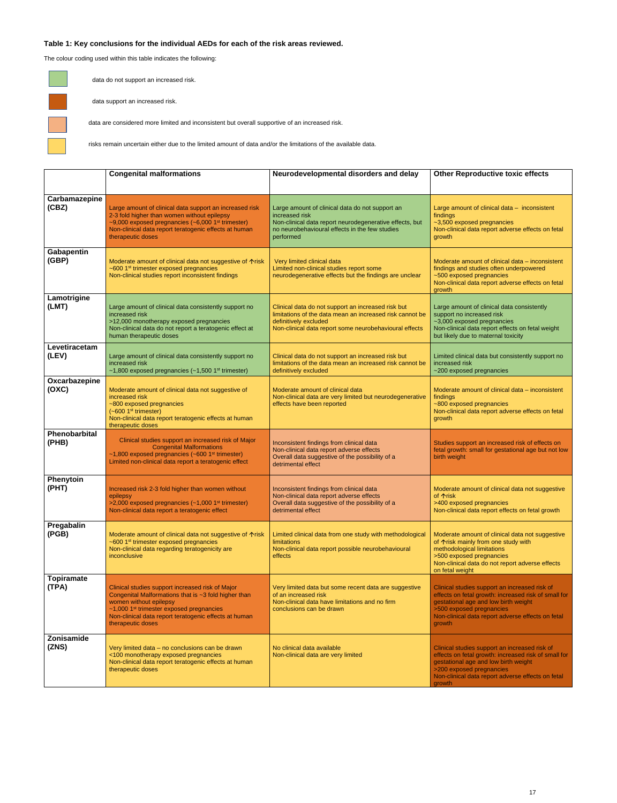## **Table 1: Key conclusions for the individual AEDs for each of the risk areas reviewed.**

The colour coding used within this table indicates the following:



data do not support an increased risk.

data support an increased risk.



data are considered more limited and inconsistent but overall supportive of an increased risk.

risks remain uncertain either due to the limited amount of data and/or the limitations of the available data.

|                            | <b>Congenital malformations</b>                                                                                                                                                                                                                                            | Neurodevelopmental disorders and delay                                                                                                                                                            | <b>Other Reproductive toxic effects</b>                                                                                                                                                                                                  |
|----------------------------|----------------------------------------------------------------------------------------------------------------------------------------------------------------------------------------------------------------------------------------------------------------------------|---------------------------------------------------------------------------------------------------------------------------------------------------------------------------------------------------|------------------------------------------------------------------------------------------------------------------------------------------------------------------------------------------------------------------------------------------|
| Carbamazepine<br>(CBZ)     | Large amount of clinical data support an increased risk<br>2-3 fold higher than women without epilepsy<br>~9,000 exposed pregnancies $(-6,0001st$ trimester)<br>Non-clinical data report teratogenic effects at human<br>therapeutic doses                                 | Large amount of clinical data do not support an<br>increased risk<br>Non-clinical data report neurodegenerative effects, but<br>no neurobehavioural effects in the few studies<br>performed       | Large amount of clinical data - inconsistent<br>findings<br>~3,500 exposed pregnancies<br>Non-clinical data report adverse effects on fetal<br>growth                                                                                    |
| <b>Gabapentin</b><br>(GBP) | Moderate amount of clinical data not suggestive of $\uparrow$ risk<br>~600 1 <sup>st</sup> trimester exposed pregnancies<br>Non-clinical studies report inconsistent findings                                                                                              | Very limited clinical data<br>Limited non-clinical studies report some<br>neurodegenerative effects but the findings are unclear                                                                  | Moderate amount of clinical data – inconsistent<br>findings and studies often underpowered<br>~500 exposed pregnancies<br>Non-clinical data report adverse effects on fetal<br>growth                                                    |
| Lamotrigine<br>(LMT)       | Large amount of clinical data consistently support no<br>increased risk<br>>12,000 monotherapy exposed pregnancies<br>Non-clinical data do not report a teratogenic effect at<br>human therapeutic doses                                                                   | Clinical data do not support an increased risk but<br>limitations of the data mean an increased risk cannot be<br>definitively excluded<br>Non-clinical data report some neurobehavioural effects | Large amount of clinical data consistently<br>support no increased risk<br>~3,000 exposed pregnancies<br>Non-clinical data report effects on fetal weight<br>but likely due to maternal toxicity                                         |
| Levetiracetam<br>(LEV)     | Large amount of clinical data consistently support no<br>increased risk<br>~1,800 exposed pregnancies $(-1,5001)$ <sup>st</sup> trimester)                                                                                                                                 | Clinical data do not support an increased risk but<br>limitations of the data mean an increased risk cannot be<br>definitively excluded                                                           | Limited clinical data but consistently support no<br>increased risk<br>~200 exposed pregnancies                                                                                                                                          |
| Oxcarbazepine<br>(OXC)     | Moderate amount of clinical data not suggestive of<br>increased risk<br>~800 exposed pregnancies<br>$(-6001st$ trimester)<br>Non-clinical data report teratogenic effects at human<br>therapeutic doses                                                                    | Moderate amount of clinical data<br>Non-clinical data are very limited but neurodegenerative<br>effects have been reported                                                                        | Moderate amount of clinical data - inconsistent<br>findings<br>~800 exposed pregnancies<br>Non-clinical data report adverse effects on fetal<br>growth                                                                                   |
| Phenobarbital<br>(PHB)     | Clinical studies support an increased risk of Major<br><b>Congenital Malformations</b><br>$~1,800$ exposed pregnancies (~600 1 <sup>st</sup> trimester)<br>Limited non-clinical data report a teratogenic effect                                                           | Inconsistent findings from clinical data<br>Non-clinical data report adverse effects<br>Overall data suggestive of the possibility of a<br>detrimental effect                                     | Studies support an increased risk of effects on<br>fetal growth: small for gestational age but not low<br>birth weight                                                                                                                   |
| Phenytoin<br>(PHT)         | Increased risk 2-3 fold higher than women without<br>epilepsy<br>>2,000 exposed pregnancies (~1,000 1 <sup>st</sup> trimester)<br>Non-clinical data report a teratogenic effect                                                                                            | Inconsistent findings from clinical data<br>Non-clinical data report adverse effects<br>Overall data suggestive of the possibility of a<br>detrimental effect                                     | Moderate amount of clinical data not suggestive<br>of 个risk<br>>400 exposed pregnancies<br>Non-clinical data report effects on fetal growth                                                                                              |
| Pregabalin<br>(PGB)        | Moderate amount of clinical data not suggestive of $\uparrow$ risk<br>~600 1 <sup>st</sup> trimester exposed pregnancies<br>Non-clinical data regarding teratogenicity are<br>inconclusive                                                                                 | Limited clinical data from one study with methodological<br>limitations<br>Non-clinical data report possible neurobehavioural<br>effects                                                          | Moderate amount of clinical data not suggestive<br>of $\Upsilon$ risk mainly from one study with<br>methodological limitations<br>>500 exposed pregnancies<br>Non-clinical data do not report adverse effects<br>on fetal weight         |
| <b>Topiramate</b><br>(TPA) | Clinical studies support increased risk of Major<br>Congenital Malformations that is ~3 fold higher than<br>women without epilepsy<br>$~1,000$ 1 <sup>st</sup> trimester exposed pregnancies<br>Non-clinical data report teratogenic effects at human<br>therapeutic doses | Very limited data but some recent data are suggestive<br>of an increased risk<br>Non-clinical data have limitations and no firm<br>conclusions can be drawn                                       | Clinical studies support an increased risk of<br>effects on fetal growth: increased risk of small for<br>gestational age and low birth weight<br>>500 exposed pregnancies<br>Non-clinical data report adverse effects on fetal<br>growth |
| <b>Zonisamide</b><br>(ZNS) | Very limited data - no conclusions can be drawn<br><100 monotherapy exposed pregnancies<br>Non-clinical data report teratogenic effects at human<br>therapeutic doses                                                                                                      | No clinical data available<br>Non-clinical data are very limited                                                                                                                                  | Clinical studies support an increased risk of<br>effects on fetal growth: increased risk of small for<br>gestational age and low birth weight<br>>200 exposed pregnancies<br>Non-clinical data report adverse effects on fetal<br>growth |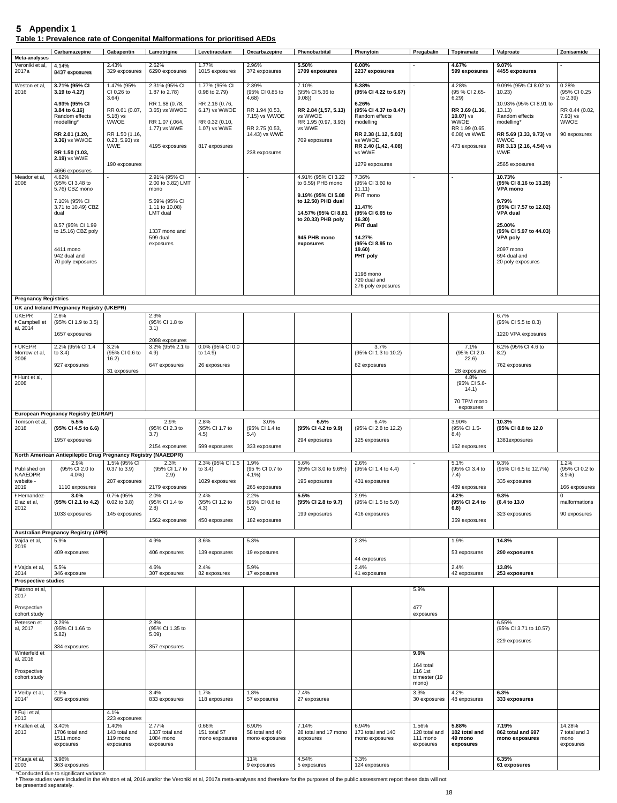## <span id="page-17-0"></span>**Appendix 1 Table 1: Prevalence rate of Congenital Malformations for prioritised AEDs**

| Meta-analyses                         | Carbamazepine                                                          | Gabapentin                                        | Lamotrigine                     | Levetiracetam                       | Oxcarbazepine                            | Phenobarbital                                | Phenytoin                                               | Pregabalin                        | Topiramate                             | Valproate                                                         | Zonisamide                             |
|---------------------------------------|------------------------------------------------------------------------|---------------------------------------------------|---------------------------------|-------------------------------------|------------------------------------------|----------------------------------------------|---------------------------------------------------------|-----------------------------------|----------------------------------------|-------------------------------------------------------------------|----------------------------------------|
| Veroniki et al,<br>2017a              | 4.14%<br>8437 exposures                                                | 2.43%<br>329 exposures                            | 2.62%<br>6290 exposures         | 1.77%<br>1015 exposures             | 2.96%<br>372 exposures                   | 5.50%<br>1709 exposures                      | 6.08%<br>2237 exposures                                 |                                   | 4.67%<br>599 exposures                 | 9.07%<br>4455 exposures                                           |                                        |
| Weston et al,<br>2016                 | 3.71% (95% CI<br>3.19 to 4.27)                                         | 1.47% (95%<br>CI 0.26 to                          | 2.31% (95% CI<br>1.87 to 2.78)  | 1.77% (95% CI<br>$0.98$ to $2.79$ ) | 2.39%<br>(95% CI 0.85 to                 | 7.10%<br>(95% CI 5.36 to                     | 5.38%<br>(95% CI 4.22 to 6.67)                          |                                   | 4.28%<br>(95 % CI 2.65-                | 9.09% (95% Cl 8.02 to<br>10.23)                                   | 0.28%<br>(95% CI 0.25                  |
|                                       | 4.93% (95% CI<br>3.84 to 6.16)<br>Random effects                       | 3.64)<br>RR 0.61 (0.07,<br>$5.18$ ) vs            | RR 1.68 (0.78,<br>3.65) vs WWOE | RR 2.16 (0.76,<br>6.17) vs WWOE     | 4.68)<br>RR 1.94 (0.53,<br>7.15) vs WWOE | 9.08)<br>RR 2.84 (1,57, 5.13)<br>vs WWOE     | 6.26%<br>(95% CI 4.37 to 8.47)<br>Random effects        |                                   | 6.29)<br>RR 3.69 (1.36,<br>10.07) $vs$ | 10.93% (95% CI 8.91 to<br>13.13)<br>Random effects                | to 2.39)<br>RR 0.44 (0.02,<br>7.93) vs |
|                                       | modelling*                                                             | <b>WWOE</b>                                       | RR 1.07 (.064,<br>1.77) vs WWE  | RR 0.32 (0.10,<br>1.07) vs WWE      | RR 2.75 (0.53,                           | RR 1.95 (0.97, 3.93)<br>vs WWE               | modelling                                               |                                   | <b>WWOE</b><br>RR 1.99 (0.65,          | modelling*                                                        | <b>WWOE</b>                            |
|                                       | RR 2.01 (1.20,<br>3.36) vs WWOE                                        | RR 1.50 (1.16,<br>$0.23, 5.93$ ) vs<br><b>WWE</b> | 4195 exposures                  | 817 exposures                       | 14.43) vs WWE                            | 709 exposures                                | RR 2.38 (1.12, 5.03)<br>vs WWOE<br>RR 2.40 (1,42, 4.08) |                                   | 6.08) vs WWE<br>473 exposures          | RR 5.69 (3.33, 9.73) VS<br><b>WWOE</b><br>RR 3.13 (2.16, 4.54) vs | 90 exposures                           |
|                                       | RR 1.50 (1.03,<br>2.19) vs WWE                                         | 190 exposures                                     |                                 |                                     | 238 exposures                            |                                              | vs WWE<br>1279 exposures                                |                                   |                                        | <b>WWE</b><br>2565 exposures                                      |                                        |
| Meador et al,                         | 4666 exposures<br>4.62%                                                |                                                   | 2.91% (95% CI                   |                                     | $\blacksquare$                           | 4.91% (95% CI 3.22                           | 7.36%                                                   | $\overline{\phantom{0}}$          |                                        | 10.73%                                                            |                                        |
| 2008                                  | (95% CI 3.48 to<br>5.76) CBZ mono                                      |                                                   | 2.00 to 3.82) LMT<br>mono       |                                     |                                          | to 6.59) PHB mono<br>9.19% (95% CI 5.88      | (95% CI 3.60 to<br>11.11)<br>PHT mono                   |                                   |                                        | (95% CI 8.16 to 13.29)<br><b>VPA mono</b>                         |                                        |
|                                       | 7.10% (95% CI<br>3.71 to 10.49) CBZ                                    |                                                   | 5.59% (95% CI<br>1.11 to 10.08) |                                     |                                          | to 12.50) PHB dual                           | 11.47%                                                  |                                   |                                        | 9.79%<br>(95% CI 7.57 to 12.02)                                   |                                        |
|                                       | dual                                                                   |                                                   | LMT dual                        |                                     |                                          | 14.57% (95% CI 8.81<br>to $20.33$ ) PHB poly | (95% CI 6.65 to<br>16.30)                               |                                   |                                        | <b>VPA dual</b>                                                   |                                        |
|                                       | 8.57 (95% CI 1.99<br>to 15.16) CBZ poly                                |                                                   | 1337 mono and                   |                                     |                                          |                                              | PHT dual                                                |                                   |                                        | 25.00%<br>(95% CI 5.97 to 44.03)                                  |                                        |
|                                       |                                                                        |                                                   | 599 dual<br>exposures           |                                     |                                          | 945 PHB mono<br>exposures                    | 14.27%<br>(95% CI 8.95 to                               |                                   |                                        | <b>VPA poly</b>                                                   |                                        |
|                                       | 4411 mono<br>942 dual and                                              |                                                   |                                 |                                     |                                          |                                              | (19.60)<br>PHT poly                                     |                                   |                                        | 2097 mono<br>694 dual and                                         |                                        |
|                                       | 70 poly exposures                                                      |                                                   |                                 |                                     |                                          |                                              | 1198 mono<br>720 dual and<br>276 poly exposures         |                                   |                                        | 20 poly exposures                                                 |                                        |
| <b>Pregnancy Registries</b>           |                                                                        |                                                   |                                 |                                     |                                          |                                              |                                                         |                                   |                                        |                                                                   |                                        |
| <b>UKEPR</b>                          | UK and Ireland Pregnancy Registry (UKEPR)<br>2.6%                      |                                                   | 2.3%                            |                                     |                                          |                                              |                                                         |                                   |                                        | 6.7%                                                              |                                        |
| <b>∤ Campbell et</b><br>al, 2014      | (95% CI 1.9 to 3.5)                                                    |                                                   | (95% CI 1.8 to<br>(3.1)         |                                     |                                          |                                              |                                                         |                                   |                                        | (95% CI 5.5 to 8.3)                                               |                                        |
|                                       | 1657 exposures                                                         |                                                   | 2098 exposures                  |                                     |                                          |                                              |                                                         |                                   |                                        | 1220 VPA exposures                                                |                                        |
| <b><i>I</i>UKEPR</b><br>Morrow et al, | 2.2% (95% CI 1.4<br>to $3.4$ )                                         | 3.2%<br>(95% CI 0.6 to                            | 3.2% (95% 2.1 to<br>4.9)        | 0.0% (95% CI 0.0<br>to 14.9)        |                                          |                                              | 3.7%<br>(95% CI 1.3 to 10.2)                            |                                   | 7.1%<br>(95% CI 2.0-                   | 6.2% (95% CI 4.6 to<br>8.2)                                       |                                        |
| 2006                                  | 927 exposures                                                          | 16.2)                                             | 647 exposures                   | 26 exposures                        |                                          |                                              | 82 exposures                                            |                                   | 22.6)                                  | 762 exposures                                                     |                                        |
| * Hunt et al,<br>2008                 |                                                                        | 31 exposures                                      |                                 |                                     |                                          |                                              |                                                         |                                   | 28 exposures<br>4.8%<br>(95% CI 5.6-   |                                                                   |                                        |
|                                       |                                                                        |                                                   |                                 |                                     |                                          |                                              |                                                         |                                   | 14.1)                                  |                                                                   |                                        |
|                                       |                                                                        |                                                   |                                 |                                     |                                          |                                              |                                                         |                                   | 70 TPM mono<br>exposures               |                                                                   |                                        |
| Tomson et al,                         | <b>European Pregnancy Registry (EURAP)</b><br>5.5%                     |                                                   | 2.9%                            | 2.8%                                | 3.0%                                     | 6.5%                                         | 6.4%                                                    |                                   | 3.90%                                  | 10.3%                                                             |                                        |
| 2018                                  | (95% CI 4.5 to 6.6)                                                    |                                                   | (95% CI 2.3 to<br>3.7)          | (95% CI 1.7 to<br>4.5)              | (95% CI 1.4 to<br>5.4)                   | (95% CI 4.2 to 9.9)                          | (95% CI 2.8 to 12.2)                                    |                                   | (95% CI 1.5-<br>8.4)                   | (95% CI 8.8 to 12.0                                               |                                        |
|                                       | 1957 exposures                                                         |                                                   | 2154 exposures                  | 599 exposures                       | 333 exposures                            | 294 exposures                                | 125 exposures                                           |                                   | 152 exposures                          | 1381exposures                                                     |                                        |
|                                       | North American Antiepileptic Drug Pregnancy Registry (NAAEDPR)<br>2.9% | 1.5% (95% CI                                      | 2.3%                            | 2.3% (95% CI 1.5                    | 1.9%                                     | 5.6%                                         | 2.6%                                                    |                                   | 5.1%                                   | 9.3%                                                              | 1.2%                                   |
| Published on<br>NAAEDPR               | (95% CI 2.0 to<br>$4.0\%$                                              | $0.37$ to $3.9$ )                                 | (95% CI 1.7 to<br>2.9)          | to $3.4$ )                          | (95 % CI 0.7 to<br>4.1%                  | (95% CI 3.0 to 9.6%)                         | (95% CI 1.4 to 4.4)                                     |                                   | (95% CI 3.4 to<br>7.4)                 | (95% CI 6.5 to 12.7%)                                             | (95% CI 0.2 to<br>$3.9\%$              |
| website -<br>2019                     | 1110 exposures                                                         | 207 exposures                                     | 2179 exposures                  | 1029 exposures                      | 265 exposures                            | 195 exposures                                | 431 exposures                                           |                                   | 489 exposures                          | 335 exposures                                                     | 166 exposures                          |
| <b>* Hernandez-</b><br>Diaz et al,    | 3.0%<br>(95% CI 2.1 to 4.2)                                            | 0.7% (95%<br>$0.02$ to $3.8$ )                    | 2.0%<br>(95% CI 1.4 to          | 2.4%<br>(95% CI 1.2 to              | 2.2%<br>(95% CI 0.6 to                   | 5.5%<br>(95% CI 2.8 to 9.7)                  | 2.9%<br>(95% CI 1.5 to 5.0)                             |                                   | 4.2%<br>(95% CI 2.4 to                 | 9.3%<br>(6.4 to 13.0)                                             | $\Omega$<br>malformations              |
| 2012                                  | 1033 exposures                                                         | 145 exposures                                     | (2.8)                           | (4.3)                               | 5.5)                                     | 199 exposures                                | 416 exposures                                           |                                   | 6.8)                                   | 323 exposures                                                     | 90 exposures                           |
|                                       |                                                                        |                                                   | 1562 exposures                  | 450 exposures                       | 182 exposures                            |                                              |                                                         |                                   | 359 exposures                          |                                                                   |                                        |
| Vajda et al,                          | <b>Australian Pregnancy Registry (APR)</b><br>5.9%                     |                                                   | 4.9%                            | 3.6%                                | 5.3%                                     |                                              | 2.3%                                                    |                                   | 1.9%                                   | 14.8%                                                             |                                        |
| 2019                                  | 409 exposures                                                          |                                                   | 406 exposures                   | 139 exposures                       | 19 exposures                             |                                              |                                                         |                                   | 53 exposures                           | 290 exposures                                                     |                                        |
| * Vajda et al,                        | 5.5%                                                                   |                                                   | 4.6%                            | 2.4%                                | 5.9%                                     |                                              | 44 exposures<br>2.4%                                    |                                   | 2.4%                                   | 13.8%                                                             |                                        |
| 2014<br><b>Prospective studies</b>    | 346 exposure                                                           |                                                   | 307 exposures                   | 82 exposures                        | 17 exposures                             |                                              | 41 exposures                                            |                                   | 42 exposures                           | 253 exposures                                                     |                                        |
| Patorno et al,<br>2017                |                                                                        |                                                   |                                 |                                     |                                          |                                              |                                                         | 5.9%                              |                                        |                                                                   |                                        |
| Prospective<br>cohort study           |                                                                        |                                                   |                                 |                                     |                                          |                                              |                                                         | 477<br>exposures                  |                                        |                                                                   |                                        |
| Petersen et                           | 3.29%                                                                  |                                                   | 2.8%                            |                                     |                                          |                                              |                                                         |                                   |                                        | 6.55%                                                             |                                        |
| al, 2017                              | (95% CI 1.66 to<br>5.82)                                               |                                                   | (95% CI 1.35 to<br>5.09)        |                                     |                                          |                                              |                                                         |                                   |                                        | (95% CI 3.71 to 10.57)<br>229 exposures                           |                                        |
| Winterfeld et                         | 334 exposures                                                          |                                                   | 357 exposures                   |                                     |                                          |                                              |                                                         | 9.6%                              |                                        |                                                                   |                                        |
| al, 2016                              |                                                                        |                                                   |                                 |                                     |                                          |                                              |                                                         | 164 total                         |                                        |                                                                   |                                        |
| Prospective<br>cohort study           |                                                                        |                                                   |                                 |                                     |                                          |                                              |                                                         | 116 1st<br>trimester (19<br>mono) |                                        |                                                                   |                                        |
| * Veiby et al,                        | 2.9%                                                                   |                                                   | 3.4%                            | 1.7%                                | 1.8%                                     | 7.4%                                         |                                                         | 3.3%                              | 4.2%                                   | 6.3%                                                              |                                        |
| $2014*$                               | 685 exposures                                                          |                                                   | 833 exposures                   | 118 exposures                       | 57 exposures                             | 27 exposures                                 |                                                         | 30 exposures                      | 48 exposures                           | 333 exposures                                                     |                                        |
| * Fujii et al,<br>2013                |                                                                        | 4.1%<br>223 exposures                             |                                 |                                     |                                          |                                              |                                                         |                                   |                                        |                                                                   |                                        |
| * Kallen et al,<br>2013               | 3.40%<br>1706 total and                                                | 1.40%<br>143 total and                            | 2.77%<br>1337 total and         | 0.66%<br>151 total 57               | 6.90%<br>58 total and 40                 | 7.14%<br>28 total and 17 mono                | 6.94%<br>173 total and 140                              | 1.56%<br>128 total and            | 5.88%<br>102 total and                 | 7.19%<br>862 total and 697                                        | 14.28%<br>7 total and 3                |
|                                       | 1511 mono<br>exposures                                                 | 119 mono<br>exposures                             | 1084 mono<br>exposures          | mono exposures                      | mono exposures                           | exposures                                    | mono exposures                                          | 111 mono<br>exposures             | 49 mono<br>exposures                   | mono exposures                                                    | mono<br>exposures                      |
| ‡ Kaaja et al,                        | 3.96%                                                                  |                                                   |                                 |                                     | 11%                                      | 4.54%                                        | 3.3%                                                    |                                   |                                        | 6.35%                                                             |                                        |
| 2003                                  | 363 exposures                                                          |                                                   |                                 |                                     | 9 exposures                              | 5 exposures                                  | 124 exposures                                           |                                   |                                        | 61 exposures                                                      |                                        |

\*Conducted due to significant variance

ꬸ These studies were included in the Weston et al, 2016 and/or the Veroniki et al, 2017a meta-analyses and therefore for the purposes of the public assessment report these data will not be presented separately.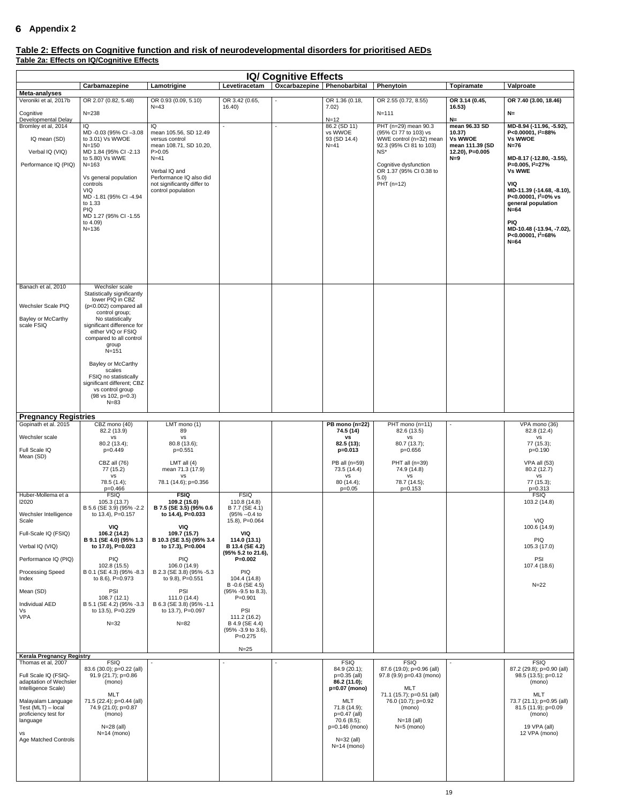# <span id="page-18-0"></span>**Appendix 2**

## **Table 2: Effects on Cognitive function and risk of neurodevelopmental disorders for prioritised AEDs Table 2a: Effects on IQ/Cognitive Effects**

| <b>IQ/ Cognitive Effects</b>                                                                                                                                                                                                                         |                                                                                                                                                                                                                                                                                    |                                                                                                                                                                                                  |                                                                                                                |                               |                                                                                                                                                                                |                                                                                                                                                                                                        |                                                                                                  |                                                                                                                                                                                                                                                                                                                                                  |  |
|------------------------------------------------------------------------------------------------------------------------------------------------------------------------------------------------------------------------------------------------------|------------------------------------------------------------------------------------------------------------------------------------------------------------------------------------------------------------------------------------------------------------------------------------|--------------------------------------------------------------------------------------------------------------------------------------------------------------------------------------------------|----------------------------------------------------------------------------------------------------------------|-------------------------------|--------------------------------------------------------------------------------------------------------------------------------------------------------------------------------|--------------------------------------------------------------------------------------------------------------------------------------------------------------------------------------------------------|--------------------------------------------------------------------------------------------------|--------------------------------------------------------------------------------------------------------------------------------------------------------------------------------------------------------------------------------------------------------------------------------------------------------------------------------------------------|--|
|                                                                                                                                                                                                                                                      | Carbamazepine                                                                                                                                                                                                                                                                      | Lamotrigine                                                                                                                                                                                      | Levetiracetam                                                                                                  | Oxcarbazepine   Phenobarbital |                                                                                                                                                                                | Phenytoin                                                                                                                                                                                              | <b>Topiramate</b>                                                                                | Valproate                                                                                                                                                                                                                                                                                                                                        |  |
| Meta-analyses<br>Veroniki et al, 2017b                                                                                                                                                                                                               | OR 2.07 (0.82, 5.48)                                                                                                                                                                                                                                                               | OR 0.93 (0.09, 5.10)<br>$N = 43$                                                                                                                                                                 | OR 3.42 (0.65,<br>16.40                                                                                        |                               | OR 1.36 (0.18,<br>7.02)                                                                                                                                                        | OR 2.55 (0.72, 8.55)                                                                                                                                                                                   | OR 3.14 (0.45,<br>16.53)                                                                         | OR 7.40 (3.00, 18.46)                                                                                                                                                                                                                                                                                                                            |  |
| Cognitive<br>Developmental Delay<br>Bromley et al, 2014<br>IQ mean (SD)<br>Verbal IQ (VIQ)<br>Performance IQ (PIQ)                                                                                                                                   | $N = 238$<br>IQ<br>MD -0.03 (95% CI -3.08<br>to 3.01) Vs WWOE<br>$N = 150$<br>MD 1.84 (95% CI-2.13<br>to 5.80) Vs WWE<br>$N = 163$<br>Vs general population<br>controls<br><b>VIQ</b><br>MD -1.81 (95% CI -4.94<br>to 1.33<br>PIQ<br>MD 1.27 (95% CI-1.55<br>to 4.09)<br>$N = 136$ | IQ<br>mean 105.56, SD 12.49<br>versus control<br>mean 108.71, SD 10.20,<br>P > 0.05<br>$N = 41$<br>Verbal IQ and<br>Performance IQ also did<br>not significantly differ to<br>control population |                                                                                                                |                               | $N = 12$<br>86.2 (SD 11)<br>vs WWOE<br>93 (SD 14.4)<br>$N=41$                                                                                                                  | $N = 111$<br>PHT (n=29) mean 90.3<br>(95% CI 77 to 103) vs<br>WWE control (n=32) mean<br>92.3 (95% CI 81 to 103)<br>$NS^*$<br>Cognitive dysfunction<br>OR 1.37 (95% CI 0.38 to<br>5.0)<br>$PHT$ (n=12) | $N=$<br>mean 96.33 SD<br>10.37)<br><b>Vs WWOE</b><br>mean 111.39 (SD<br>12.20), P=0.005<br>$N=9$ | $N=$<br>MD-8.94 (-11.96, -5.92),<br>P<0.00001, $I^2 = 88\%$<br><b>Vs WWOE</b><br>$N=76$<br>MD-8.17 (-12.80, -3.55),<br>P=0.005, $I^2=27%$<br><b>Vs WWE</b><br>VIQ<br>MD-11.39 (-14.68, -8.10),<br>P<0.00001, $I^2=0\%$ vs<br>general population<br>$N=64$<br><b>PIQ</b><br>MD-10.48 (-13.94, -7.02),<br>P<0.00001, l <sup>2</sup> =68%<br>$N=64$ |  |
| Banach et al, 2010                                                                                                                                                                                                                                   | Wechsler scale<br>Statistically significantly                                                                                                                                                                                                                                      |                                                                                                                                                                                                  |                                                                                                                |                               |                                                                                                                                                                                |                                                                                                                                                                                                        |                                                                                                  |                                                                                                                                                                                                                                                                                                                                                  |  |
| Wechsler Scale PIQ                                                                                                                                                                                                                                   | lower PIQ in CBZ<br>(p<0.002) compared all                                                                                                                                                                                                                                         |                                                                                                                                                                                                  |                                                                                                                |                               |                                                                                                                                                                                |                                                                                                                                                                                                        |                                                                                                  |                                                                                                                                                                                                                                                                                                                                                  |  |
| Bayley or McCarthy<br>scale FSIQ                                                                                                                                                                                                                     | control group;<br>No statistically<br>significant difference for<br>either VIQ or FSIQ<br>compared to all control<br>group<br>$N = 151$                                                                                                                                            |                                                                                                                                                                                                  |                                                                                                                |                               |                                                                                                                                                                                |                                                                                                                                                                                                        |                                                                                                  |                                                                                                                                                                                                                                                                                                                                                  |  |
|                                                                                                                                                                                                                                                      | Bayley or McCarthy<br>scales<br>FSIQ no statistically<br>significant different; CBZ<br>vs control group<br>(98 vs 102, p=0.3)<br>$N = 83$                                                                                                                                          |                                                                                                                                                                                                  |                                                                                                                |                               |                                                                                                                                                                                |                                                                                                                                                                                                        |                                                                                                  |                                                                                                                                                                                                                                                                                                                                                  |  |
| <b>Pregnancy Registries</b>                                                                                                                                                                                                                          |                                                                                                                                                                                                                                                                                    |                                                                                                                                                                                                  |                                                                                                                |                               |                                                                                                                                                                                |                                                                                                                                                                                                        |                                                                                                  |                                                                                                                                                                                                                                                                                                                                                  |  |
| Gopinath et al. 2015                                                                                                                                                                                                                                 | CBZ mono (40)                                                                                                                                                                                                                                                                      | LMT mono (1)                                                                                                                                                                                     |                                                                                                                |                               | PB mono $(n=22)$                                                                                                                                                               | PHT mono (n=11)                                                                                                                                                                                        | $\overline{\phantom{a}}$                                                                         | VPA mono (36)                                                                                                                                                                                                                                                                                                                                    |  |
| Wechsler scale<br>Full Scale IQ<br>Mean (SD)                                                                                                                                                                                                         | 82.2 (13.9)<br>vs<br>80.2 (13.4);<br>p=0.449<br>CBZ all (76)<br>77 (15.2)<br>vs<br>78.5 (1.4);                                                                                                                                                                                     | 89<br>vs<br>80.8 (13.6);<br>$p=0.551$<br>LMT all $(4)$<br>mean 71.3 (17.9)<br>vs<br>78.1 (14.6); p=0.356                                                                                         |                                                                                                                |                               | 74.5 (14)<br>VS<br>82.5 (13);<br>$p=0.013$<br>PB all (n=59)<br>73.5 (14.4)<br>vs<br>80 (14.4);                                                                                 | 82.6 (13.5)<br>vs<br>80.7 (13.7);<br>$p=0.656$<br>PHT all $(n=39)$<br>74.9 (14.8)<br>vs<br>78.7 (14.5);                                                                                                |                                                                                                  | 82.8 (12.4)<br>vs<br>77 (15.3);<br>$p=0.190$<br><b>VPA all (53)</b><br>80.2(12.7)<br>vs<br>77 (15.3);                                                                                                                                                                                                                                            |  |
| Huber-Mollema et a<br>12020<br>Wechsler Intelligence<br>Scale                                                                                                                                                                                        | $p=0.466$<br><b>FSIQ</b><br>105.3 (13.7)<br>B 5.6 (SE 3.9) (95% -2.2<br>to 13.4), P=0.157                                                                                                                                                                                          | <b>FSIQ</b><br>109.2 (15.0)<br>B 7.5 (SE 3.5) (95% 0.6<br>to 14.4), P=0.033                                                                                                                      | <b>FSIQ</b><br>110.8 (14.8)<br>B 7.7 (SE 4.1)<br>(95% -- 0.4 to<br>15.8), P=0.064                              |                               | $p=0.05$                                                                                                                                                                       | $p=0.153$                                                                                                                                                                                              |                                                                                                  | $p=0.313$<br><b>FSIQ</b><br>103.2 (14.8)<br>VIQ                                                                                                                                                                                                                                                                                                  |  |
| Full-Scale IQ (FSIQ)<br>Verbal IQ (VIQ)                                                                                                                                                                                                              | VIQ<br>106.2 (14.2)<br>B 9.1 (SE 4.0) (95% 1.3<br>to 17.0), P=0.023                                                                                                                                                                                                                | <b>VIQ</b><br>109.7 (15.7)<br>B 10.3 (SE 3.5) (95% 3.4<br>to 17.3), P=0.004                                                                                                                      | VIQ<br>114.0 (13.1)<br>B 13.4 (SE 4.2)<br>(95% 5.2 to 21.6),                                                   |                               |                                                                                                                                                                                |                                                                                                                                                                                                        |                                                                                                  | 100.6 (14.9)<br><b>PIQ</b><br>105.3 (17.0)                                                                                                                                                                                                                                                                                                       |  |
| Performance IQ (PIQ)<br><b>Processing Speed</b><br>Index                                                                                                                                                                                             | <b>PIQ</b><br>102.8 (15.5)<br>B 0.1 (SE 4.3) (95% -8.3<br>to 8.6), $P=0.973$                                                                                                                                                                                                       | <b>PIQ</b><br>106.0 (14.9)<br>B 2.3 (SE 3.8) (95% - 5.3<br>to $9.8$ ), P=0.551                                                                                                                   | $P = 0.002$<br>PIQ<br>104.4 (14.8)<br>B-0.6 (SE 4.5)                                                           |                               |                                                                                                                                                                                |                                                                                                                                                                                                        |                                                                                                  | PSI<br>107.4 (18.6)<br>$N=22$                                                                                                                                                                                                                                                                                                                    |  |
| Mean (SD)<br>Individual AED<br>Vs<br><b>VPA</b>                                                                                                                                                                                                      | <b>PSI</b><br>108.7(12.1)<br>B 5.1 (SE 4.2) (95% -3.3<br>to 13.5), P=0.229<br>$N=32$                                                                                                                                                                                               | PSI<br>111.0 (14.4)<br>B 6.3 (SE 3.8) (95% -1.1<br>to 13.7), P=0.097<br>$N = 82$                                                                                                                 | (95% - 9.5 to 8.3),<br>$P = 0.901$<br>PSI<br>111.2 (16.2)<br>B 4.9 (SE 4.4)<br>(95% -3.9 to 3.6),<br>$P=0.275$ |                               |                                                                                                                                                                                |                                                                                                                                                                                                        |                                                                                                  |                                                                                                                                                                                                                                                                                                                                                  |  |
|                                                                                                                                                                                                                                                      |                                                                                                                                                                                                                                                                                    |                                                                                                                                                                                                  | $N=25$                                                                                                         |                               |                                                                                                                                                                                |                                                                                                                                                                                                        |                                                                                                  |                                                                                                                                                                                                                                                                                                                                                  |  |
| <b>Kerala Pregnancy Registry</b><br>Thomas et al, 2007<br>Full Scale IQ (FSIQ-<br>adaptation of Wechsler<br>Intelligence Scale)<br>Malayalam Language<br>Test (MLT) - local<br>proficiency test for<br>language<br>vs<br><b>Age Matched Controls</b> | <b>FSIQ</b><br>83.6 (30.0); p=0.22 (all)<br>91.9 (21.7); p=0.86<br>(mono)<br><b>MLT</b><br>71.5 (22.4); p=0.44 (all)<br>74.9 (21.0); p=0.87<br>(mono)<br>$N=28$ (all)<br>$N=14$ (mono)                                                                                             |                                                                                                                                                                                                  |                                                                                                                |                               | <b>FSIQ</b><br>84.9 (20.1);<br>$p=0.35$ (all)<br>86.2 (11.0);<br>p=0.07 (mono)<br><b>MLT</b><br>71.8 (14.9);<br>$p=0.47$ (all)<br>70.6(8.5);<br>p=0.146 (mono)<br>$N=32$ (all) | <b>FSIQ</b><br>87.6 (19.0); p=0.96 (all)<br>97.8 (9.9) p=0.43 (mono)<br><b>MLT</b><br>71.1 (15.7); p=0.51 (all)<br>76.0 (10.7); p=0.92<br>(mono)<br>$N=18$ (all)<br>$N=5$ (mono)                       |                                                                                                  | <b>FSIQ</b><br>87.2 (29.8); p=0.90 (all)<br>98.5 (13.5); p=0.12<br>(mono)<br><b>MLT</b><br>73.7 (21.1); p=0.95 (all)<br>81.5 (11.9); p=0.09<br>(mono)<br>19 VPA (all)<br>12 VPA (mono)                                                                                                                                                           |  |
|                                                                                                                                                                                                                                                      |                                                                                                                                                                                                                                                                                    |                                                                                                                                                                                                  |                                                                                                                |                               | $N=14$ (mono)                                                                                                                                                                  |                                                                                                                                                                                                        |                                                                                                  |                                                                                                                                                                                                                                                                                                                                                  |  |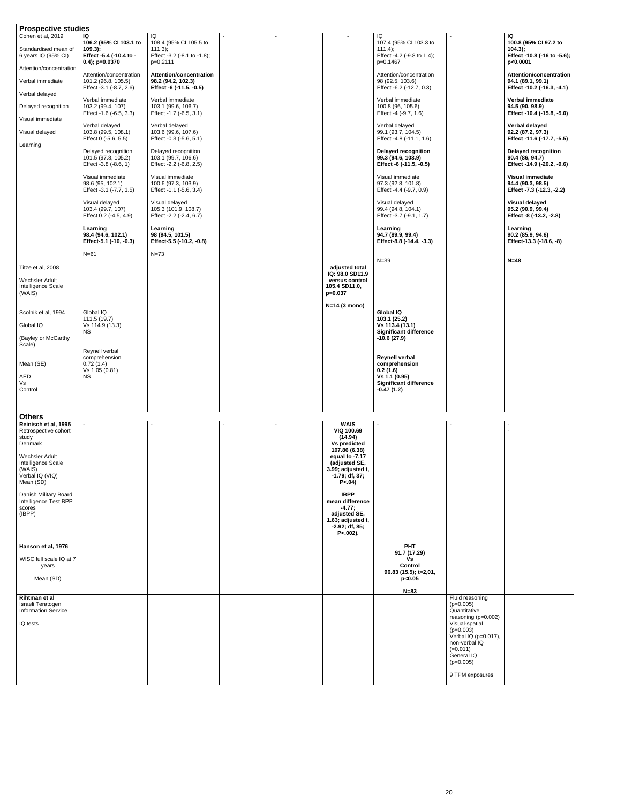| <b>Prospective studies</b>                                                     |                                                                                          |                                                                                      |                                                                                         |                                                                                      |                                                                       |                                                                                     |
|--------------------------------------------------------------------------------|------------------------------------------------------------------------------------------|--------------------------------------------------------------------------------------|-----------------------------------------------------------------------------------------|--------------------------------------------------------------------------------------|-----------------------------------------------------------------------|-------------------------------------------------------------------------------------|
| Cohen et al, 2019<br>Standardised mean of<br>6 years IQ (95% CI)               | IQ<br>106.2 (95% CI 103.1 to<br>$109.3$ ;<br>Effect -5.4 (-10.4 to -<br>$0.4$ ; p=0.0370 | IQ<br>108.4 (95% CI 105.5 to<br>$111.3$ ;<br>Effect -3.2 (-8.1 to -1.8);<br>p=0.2111 |                                                                                         | IQ<br>107.4 (95% CI 103.3 to<br>111.4);<br>Effect -4.2 (-9.8 to 1.4);<br>p=0.1467    |                                                                       | IQ<br>100.8 (95% Cl 97.2 to<br>$104.3$ ;<br>Effect -10.8 (-16 to -5.6);<br>p<0.0001 |
| Attention/concentration<br>Verbal immediate<br>Verbal delayed                  | Attention/concentration<br>101.2 (96.8, 105.5)<br>Effect -3.1 (-8.7, 2.6)                | <b>Attention/concentration</b><br>98.2 (94.2, 102.3)<br>Effect -6 (-11.5, -0.5)      |                                                                                         | Attention/concentration<br>98 (92.5, 103.6)<br>Effect -6.2 (-12.7, 0.3)              |                                                                       | <b>Attention/concentration</b><br>94.1 (89.1, 99.1)<br>Effect -10.2 (-16.3, -4.1)   |
| Delayed recognition<br>Visual immediate                                        | Verbal immediate<br>103.2 (99.4, 107)<br>Effect -1.6 (-6.5, 3.3)                         | Verbal immediate<br>103.1 (99.6, 106.7)<br>Effect -1.7 (-6.5, 3.1)                   |                                                                                         | Verbal immediate<br>100.8 (96, 105.6)<br>Effect -4 (-9.7, 1.6)                       |                                                                       | Verbal immediate<br>94.5 (90, 98.9)<br>Effect -10.4 (-15.8, -5.0)                   |
| Visual delayed<br>Learning                                                     | Verbal delayed<br>103.8 (99.5, 108.1)<br>Effect 0 (-5.6, 5.5)                            | Verbal delayed<br>103.6 (99.6, 107.6)<br>Effect -0.3 (-5.6, 5.1)                     |                                                                                         | Verbal delayed<br>99.1 (93.7, 104.5)<br>Effect -4.8 (-11.1, 1.6)                     |                                                                       | Verbal delayed<br>92.2 (87.2, 97.3)<br>Effect -11.6 (-17.7, -5.5)                   |
|                                                                                | Delayed recognition<br>101.5 (97.8, 105.2)<br>Effect -3.8 (-8.6, 1)                      | Delayed recognition<br>103.1 (99.7, 106.6)<br>Effect -2.2 (-6.8, 2.5)                |                                                                                         | <b>Delayed recognition</b><br>99.3 (94.6, 103.9)<br>Effect -6 (-11.5, -0.5)          |                                                                       | <b>Delayed recognition</b><br>90.4 (86, 94.7)<br>Effect -14.9 (-20.2, -9.6)         |
|                                                                                | Visual immediate<br>98.6 (95, 102.1)<br>Effect -3.1 (-7.7, 1.5)                          | Visual immediate<br>100.6 (97.3, 103.9)<br>Effect -1.1 (-5.6, 3.4)                   |                                                                                         | Visual immediate<br>97.3 (92.8, 101.8)<br>Effect -4.4 (-9.7, 0.9)                    |                                                                       | <b>Visual immediate</b><br>94.4 (90.3, 98.5)<br>Effect -7.3 (-12.3, -2.2)           |
|                                                                                | Visual delayed<br>103.4 (99.7, 107)<br>Effect 0.2 (-4.5, 4.9)                            | Visual delayed<br>105.3 (101.9, 108.7)<br>Effect -2.2 (-2.4, 6.7)                    |                                                                                         | Visual delayed<br>99.4 (94.8, 104.1)<br>Effect -3.7 (-9.1, 1.7)                      |                                                                       | <b>Visual delayed</b><br>95.2 (90.9, 99.4)<br>Effect -8 (-13.2, -2.8)               |
|                                                                                | Learning<br>98.4 (94.6, 102.1)<br>Effect-5.1 (-10, -0.3)                                 | Learning<br>98 (94.5, 101.5)<br>Effect-5.5 (-10.2, -0.8)                             |                                                                                         | Learning<br>94.7 (89.9, 99.4)<br>Effect-8.8 (-14.4, -3.3)                            |                                                                       | Learning<br>90.2 (85.9, 94.6)<br>Effect-13.3 (-18.6, -8)                            |
|                                                                                | $N=61$                                                                                   | $N=73$                                                                               |                                                                                         |                                                                                      |                                                                       |                                                                                     |
| Titze et al, 2008<br>Wechsler Adult<br>Intelligence Scale<br>(WAIS)            |                                                                                          |                                                                                      | adjusted total<br>IQ: 98.0 SD11.9<br>versus control<br>105.4 SD11.0,<br>$p = 0.037$     | $N = 39$                                                                             |                                                                       | $N=48$                                                                              |
| Scolnik et al, 1994<br>Global IQ                                               | Global IQ<br>111.5 (19.7)<br>Vs 114.9 (13.3)<br><b>NS</b>                                |                                                                                      | $N=14$ (3 mono)                                                                         | <b>Global IQ</b><br>103.1 (25.2)<br>Vs 113.4 (13.1)<br><b>Significant difference</b> |                                                                       |                                                                                     |
| (Bayley or McCarthy<br>Scale)                                                  |                                                                                          |                                                                                      |                                                                                         | $-10.6(27.9)$                                                                        |                                                                       |                                                                                     |
| Mean (SE)                                                                      | Reynell verbal<br>comprehension<br>0.72(1.4)<br>Vs 1.05 (0.81)                           |                                                                                      |                                                                                         | <b>Reynell verbal</b><br>comprehension<br>0.2(1.6)                                   |                                                                       |                                                                                     |
| AED<br>Vs<br>Control                                                           | <b>NS</b>                                                                                |                                                                                      |                                                                                         | Vs 1.1 (0.95)<br><b>Significant difference</b><br>$-0.47(1.2)$                       |                                                                       |                                                                                     |
|                                                                                |                                                                                          |                                                                                      |                                                                                         |                                                                                      |                                                                       |                                                                                     |
| <b>Others</b><br>Reinisch et al, 1995                                          |                                                                                          |                                                                                      | <b>WAIS</b>                                                                             |                                                                                      |                                                                       |                                                                                     |
| Retrospective cohort<br>study<br>Denmark                                       |                                                                                          |                                                                                      | <b>VIQ 100.69</b><br>(14.94)<br><b>Vs predicted</b><br>107.86 (6.38)                    |                                                                                      |                                                                       |                                                                                     |
| Wechsler Adult<br>Intelligence Scale<br>(WAIS)<br>Verbal IQ (VIQ)<br>Mean (SD) |                                                                                          |                                                                                      | equal to -7.17<br>(adjusted SE,<br>3.99; adjusted t,<br>$-1.79; df, 37;$<br>$P < .04$ ) |                                                                                      |                                                                       |                                                                                     |
| Danish Military Board<br>Intelligence Test BPP<br>scores<br>(IBPP)             |                                                                                          |                                                                                      | <b>IBPP</b><br>mean difference<br>$-4.77;$<br>adjusted SE,                              |                                                                                      |                                                                       |                                                                                     |
|                                                                                |                                                                                          |                                                                                      | 1.63; adjusted t,<br>$-2.92; df, 85;$<br>$P<.002$ ).                                    |                                                                                      |                                                                       |                                                                                     |
| Hanson et al, 1976                                                             |                                                                                          |                                                                                      |                                                                                         | <b>PHT</b><br>91.7 (17.29)                                                           |                                                                       |                                                                                     |
| WISC full scale IQ at 7<br>years<br>Mean (SD)                                  |                                                                                          |                                                                                      |                                                                                         | Vs<br><b>Control</b><br>96.83 (15.5); t=2,01,<br>p<0.05                              |                                                                       |                                                                                     |
|                                                                                |                                                                                          |                                                                                      |                                                                                         | $N=83$                                                                               |                                                                       |                                                                                     |
| Rihtman et al<br>Israeli Teratogen<br><b>Information Service</b>               |                                                                                          |                                                                                      |                                                                                         |                                                                                      | Fluid reasoning<br>$(p=0.005)$<br>Quantitative<br>reasoning (p=0.002) |                                                                                     |
| IQ tests                                                                       |                                                                                          |                                                                                      |                                                                                         |                                                                                      | Visual-spatial<br>$(p=0.003)$<br>Verbal IQ ( $p=0.017$ ),             |                                                                                     |
|                                                                                |                                                                                          |                                                                                      |                                                                                         |                                                                                      | non-verbal IQ<br>$(=0.011)$<br>General IQ<br>$(p=0.005)$              |                                                                                     |
|                                                                                |                                                                                          |                                                                                      |                                                                                         |                                                                                      | 9 TPM exposures                                                       |                                                                                     |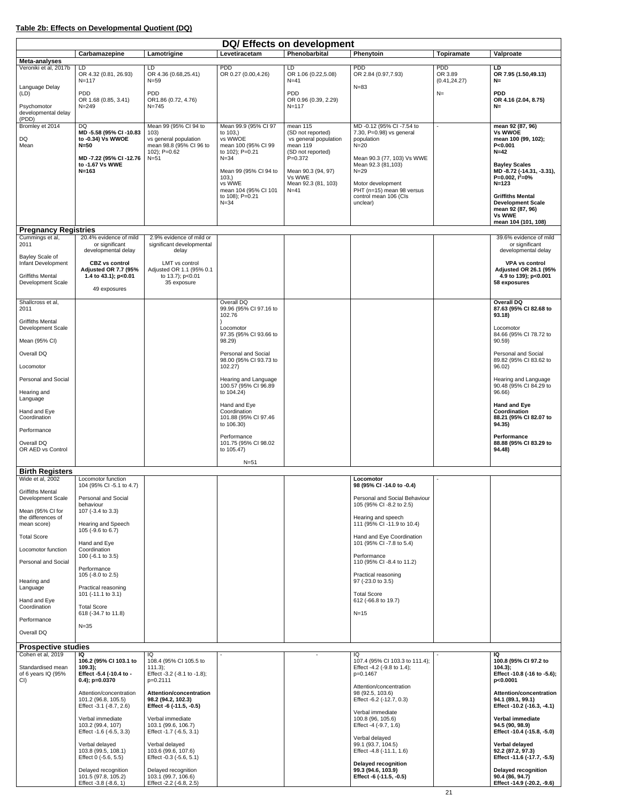## **Table 2b: Effects on Developmental Quotient (DQ)**

| Meta-analyses<br>Veroniki et al, 2017b<br>LD.                         | Carbamazepine                                                                               | Lamotrigine                                                                                      | Levetiracetam                                                 | Phenobarbital                                                               | Phenytoin                                                                           | <b>Topiramate</b>     | Valproate                                                                                                 |
|-----------------------------------------------------------------------|---------------------------------------------------------------------------------------------|--------------------------------------------------------------------------------------------------|---------------------------------------------------------------|-----------------------------------------------------------------------------|-------------------------------------------------------------------------------------|-----------------------|-----------------------------------------------------------------------------------------------------------|
|                                                                       |                                                                                             |                                                                                                  |                                                               |                                                                             |                                                                                     |                       |                                                                                                           |
| $N = 117$                                                             | OR 4.32 (0.81, 26.93)                                                                       | LD.<br>OR 4.36 (0.68,25.41)                                                                      | <b>PDD</b><br>OR 0.27 (0.00,4.26)                             | LD<br>OR 1.06 (0.22,5.08)<br>$N=41$                                         | <b>PDD</b><br>OR 2.84 (0.97,7.93)                                                   | <b>PDD</b><br>OR 3.89 | <b>LD</b><br>OR 7.95 (1.50,49.13)                                                                         |
| Language Delay                                                        |                                                                                             | $N = 59$                                                                                         |                                                               |                                                                             | $N = 83$                                                                            | (0.41, 24.27)         | $N=$                                                                                                      |
| <b>PDD</b><br>(LD)<br>Psychomotor<br>$N = 249$<br>developmental delay | OR 1.68 (0.85, 3.41)                                                                        | <b>PDD</b><br>OR1.86 (0.72, 4.76)<br>$N = 745$                                                   |                                                               | <b>PDD</b><br>OR 0.96 (0.39, 2.29)<br>$N = 117$                             |                                                                                     | $N=$                  | <b>PDD</b><br>OR 4.16 (2.04, 8.75)<br>$N=$                                                                |
| (PDD)<br>Bromley et 2014<br><b>DQ</b>                                 |                                                                                             | Mean 99 (95% Cl 94 to                                                                            | Mean 99.9 (95% Cl 97                                          | mean 115                                                                    | MD -0.12 (95% CI -7.54 to                                                           |                       | mean 92 (87, 96)                                                                                          |
| DQ<br>Mean<br>$N=50$                                                  | MD-5.58 (95% CI-10.83<br>to -0.34) Vs WWOE                                                  | 103)<br>vs general population<br>mean 98.8 (95% CI 96 to<br>102); $P=0.62$                       | to 103,)<br>vs WWOE<br>mean 100 (95% CI 99<br>to 102); P=0.21 | (SD not reported)<br>vs general population<br>mean 119<br>(SD not reported) | 7.30, P=0.98) vs general<br>population<br>$N=20$                                    |                       | <b>Vs WWOE</b><br>mean 100 (99, 102);<br>P < 0.001<br>$N=42$                                              |
| $N = 163$                                                             | MD-7.22 (95% CI-12.76<br>to -1.67 Vs WWE                                                    | $N=51$                                                                                           | $N = 34$<br>Mean 99 (95% CI 94 to<br>103,                     | $P = 0.372$<br>Mean 90.3 (94, 97)<br>Vs WWE                                 | Mean 90.3 (77, 103) Vs WWE<br>Mean 92.3 (81,103)<br>$N=29$                          |                       | <b>Bayley Scales</b><br>MD-8.72 (-14.31, -3.31),<br>P=0.002, $1^2$ =0%                                    |
|                                                                       |                                                                                             |                                                                                                  | vs WWE<br>mean 104 (95% CI 101<br>to 108); P=0.21<br>$N = 34$ | Mean 92.3 (81, 103)<br>$N=41$                                               | Motor development<br>PHT (n=15) mean 98 versus<br>control mean 106 (Cls<br>unclear) |                       | $N = 123$<br><b>Griffiths Mental</b><br><b>Development Scale</b>                                          |
|                                                                       |                                                                                             |                                                                                                  |                                                               |                                                                             |                                                                                     |                       | mean 92 (87, 96)<br><b>Vs WWE</b><br>mean 104 (101, 108)                                                  |
| <b>Pregnancy Registries</b><br>Cummings et al,                        | 20.4% evidence of mild                                                                      | 2.9% evidence of mild or                                                                         |                                                               |                                                                             |                                                                                     |                       | 39.6% evidence of mild                                                                                    |
| 2011<br>Bayley Scale of                                               | or significant<br>developmental delay                                                       | significant developmental<br>delay                                                               |                                                               |                                                                             |                                                                                     |                       | or significant<br>developmental delay                                                                     |
| Infant Development                                                    | <b>CBZ</b> vs control<br>Adjusted OR 7.7 (95%                                               | LMT vs control<br>Adjusted OR 1.1 (95% 0.1                                                       |                                                               |                                                                             |                                                                                     |                       | <b>VPA vs control</b><br><b>Adjusted OR 26.1 (95%</b>                                                     |
| <b>Griffiths Mental</b><br>Development Scale                          | 1.4 to 43.1); p<0.01<br>49 exposures                                                        | to 13.7); p<0.01<br>35 exposure                                                                  |                                                               |                                                                             |                                                                                     |                       | 4.9 to 139); p<0.001<br>58 exposures                                                                      |
| Shallcross et al,<br>2011                                             |                                                                                             |                                                                                                  | Overall DQ<br>99.96 (95% CI 97.16 to<br>102.76                |                                                                             |                                                                                     |                       | <b>Overall DQ</b><br>87.63 (95% CI 82.68 to<br>93.18)                                                     |
| <b>Griffiths Mental</b><br>Development Scale                          |                                                                                             |                                                                                                  | Locomotor                                                     |                                                                             |                                                                                     |                       | Locomotor                                                                                                 |
| Mean (95% CI)                                                         |                                                                                             |                                                                                                  | 97.35 (95% CI 93.66 to<br>98.29)                              |                                                                             |                                                                                     |                       | 84.66 (95% CI 78.72 to<br>90.59)                                                                          |
| Overall DQ                                                            |                                                                                             |                                                                                                  | Personal and Social                                           |                                                                             |                                                                                     |                       | Personal and Social                                                                                       |
| Locomotor                                                             |                                                                                             |                                                                                                  | 98.00 (95% CI 93.73 to<br>102.27)                             |                                                                             |                                                                                     |                       | 89.82 (95% CI 83.62 to<br>96.02)                                                                          |
| Personal and Social                                                   |                                                                                             |                                                                                                  | Hearing and Language<br>100.57 (95% CI 96.89                  |                                                                             |                                                                                     |                       | Hearing and Language<br>90.48 (95% CI 84.29 to                                                            |
| Hearing and<br>Language                                               |                                                                                             |                                                                                                  | to 104.24)<br>Hand and Eye                                    |                                                                             |                                                                                     |                       | 96.66)<br><b>Hand and Eye</b>                                                                             |
| Hand and Eye<br>Coordination                                          |                                                                                             |                                                                                                  | Coordination<br>101.88 (95% CI 97.46<br>to 106.30)            |                                                                             |                                                                                     |                       | Coordination<br>88.21 (95% CI 82.07 to<br>94.35)                                                          |
| Performance                                                           |                                                                                             |                                                                                                  | Performance                                                   |                                                                             |                                                                                     |                       | Performance                                                                                               |
| Overall DQ<br>OR AED vs Control                                       |                                                                                             |                                                                                                  | 101.75 (95% CI 98.02<br>to 105.47)                            |                                                                             |                                                                                     |                       | 88.88 (95% CI 83.29 to<br>94.48)                                                                          |
| <b>Birth Registers</b>                                                |                                                                                             |                                                                                                  | $N=51$                                                        |                                                                             |                                                                                     |                       |                                                                                                           |
| Wide et al, 2002                                                      | Locomotor function<br>104 (95% CI -5.1 to 4.7)                                              |                                                                                                  |                                                               |                                                                             | Locomotor<br>98 (95% CI -14.0 to -0.4)                                              |                       |                                                                                                           |
| <b>Griffiths Mental</b><br>Development Scale                          | <b>Personal and Social</b>                                                                  |                                                                                                  |                                                               |                                                                             | Personal and Social Behaviour                                                       |                       |                                                                                                           |
| Mean (95% CI for<br>the differences of                                | behaviour<br>107 (-3.4 to 3.3)                                                              |                                                                                                  |                                                               |                                                                             | 105 (95% CI -8.2 to 2.5)<br>Hearing and speech                                      |                       |                                                                                                           |
| mean score)<br><b>Total Score</b>                                     | Hearing and Speech<br>105 (-9.6 to 6.7)                                                     |                                                                                                  |                                                               |                                                                             | 111 (95% CI-11.9 to 10.4)<br>Hand and Eye Coordination                              |                       |                                                                                                           |
| Locomotor function                                                    | Hand and Eye<br>Coordination                                                                |                                                                                                  |                                                               |                                                                             | 101 (95% CI -7.8 to 5.4)                                                            |                       |                                                                                                           |
| Personal and Social                                                   | 100 (-6.1 to 3.5)<br>Performance                                                            |                                                                                                  |                                                               |                                                                             | Performance<br>110 (95% CI -8.4 to 11.2)                                            |                       |                                                                                                           |
| Hearing and                                                           | 105 (-8.0 to 2.5)                                                                           |                                                                                                  |                                                               |                                                                             | Practical reasoning<br>97 (-23.0 to 3.5)                                            |                       |                                                                                                           |
| Language<br>Hand and Eye                                              | Practical reasoning<br>101 (-11.1 to 3.1)                                                   |                                                                                                  |                                                               |                                                                             | <b>Total Score</b><br>612 (-66.8 to 19.7)                                           |                       |                                                                                                           |
| Coordination                                                          | <b>Total Score</b><br>618 (-34.7 to 11.8)                                                   |                                                                                                  |                                                               |                                                                             | $N=15$                                                                              |                       |                                                                                                           |
| Performance<br>$N = 35$<br>Overall DQ                                 |                                                                                             |                                                                                                  |                                                               |                                                                             |                                                                                     |                       |                                                                                                           |
| <b>Prospective studies</b>                                            |                                                                                             |                                                                                                  |                                                               |                                                                             |                                                                                     |                       |                                                                                                           |
| Cohen et al, 2019<br>IQ                                               | 106.2 (95% CI 103.1 to                                                                      | IQ<br>108.4 (95% CI 105.5 to                                                                     |                                                               |                                                                             | IQ<br>107.4 (95% CI 103.3 to 111.4);                                                |                       | IQ<br>100.8 (95% Cl 97.2 to                                                                               |
| Standardised mean<br>$109.3$ ;<br>of 6 years IQ (95%<br>CI            | Effect -5.4 (-10.4 to -<br>$0.4$ ; p= $0.0370$                                              | $111.3$ ;<br>Effect -3.2 (-8.1 to -1.8);<br>p=0.2111                                             |                                                               |                                                                             | Effect -4.2 (-9.8 to 1.4);<br>p=0.1467                                              |                       | $104.3$ ;<br>Effect -10.8 (-16 to -5.6);<br>p<0.0001                                                      |
|                                                                       | Attention/concentration<br>101.2 (96.8, 105.5)<br>Effect -3.1 (-8.7, 2.6)                   | Attention/concentration<br>98.2 (94.2, 102.3)<br>Effect -6 (-11.5, -0.5)                         |                                                               |                                                                             | Attention/concentration<br>98 (92.5, 103.6)<br>Effect -6.2 (-12.7, 0.3)             |                       | <b>Attention/concentration</b><br>94.1 (89.1, 99.1)<br>Effect -10.2 (-16.3, -4.1)                         |
|                                                                       | Verbal immediate<br>103.2 (99.4, 107)<br>Effect -1.6 (-6.5, 3.3)                            | Verbal immediate<br>103.1 (99.6, 106.7)<br>Effect -1.7 (-6.5, 3.1)                               |                                                               |                                                                             | Verbal immediate<br>100.8 (96, 105.6)<br>Effect -4 (-9.7, 1.6)                      |                       | Verbal immediate<br>94.5 (90, 98.9)<br>Effect -10.4 (-15.8, -5.0)                                         |
|                                                                       | Verbal delayed<br>103.8 (99.5, 108.1)                                                       | Verbal delayed<br>103.6 (99.6, 107.6)                                                            |                                                               |                                                                             | Verbal delayed<br>99.1 (93.7, 104.5)<br>Effect -4.8 (-11.1, 1.6)                    |                       | Verbal delayed<br>92.2 (87.2, 97.3)                                                                       |
|                                                                       | Effect 0 (-5.6, 5.5)<br>Delayed recognition<br>101.5 (97.8, 105.2)<br>Effect -3.8 (-8.6, 1) | Effect -0.3 (-5.6, 5.1)<br>Delayed recognition<br>103.1 (99.7, 106.6)<br>Effect -2.2 (-6.8, 2.5) |                                                               |                                                                             | <b>Delayed recognition</b><br>99.3 (94.6, 103.9)<br>Effect -6 (-11.5, -0.5)         |                       | Effect -11.6 (-17.7, -5.5)<br><b>Delayed recognition</b><br>90.4 (86, 94.7)<br>Effect -14.9 (-20.2, -9.6) |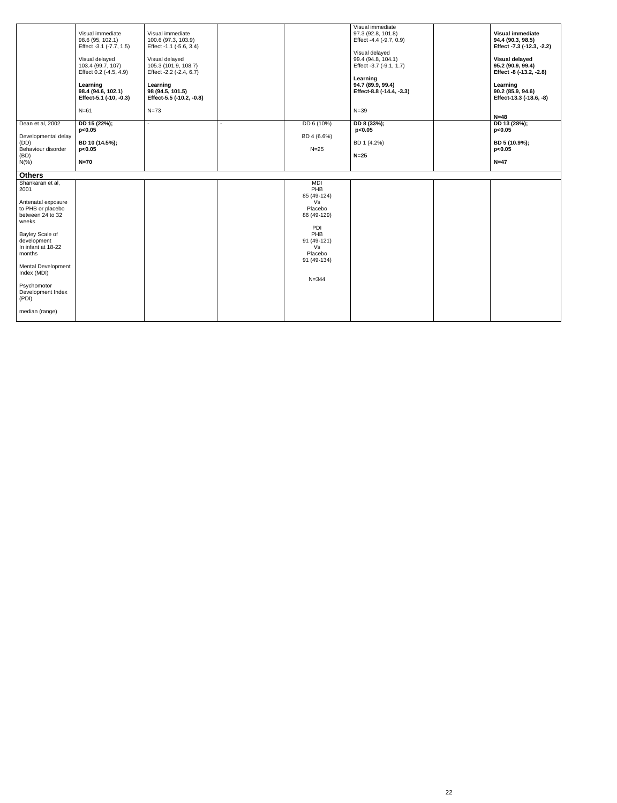| Visual immediate<br>98.6 (95, 102.1)<br>Effect -3.1 (-7.7, 1.5)<br>Visual delayed<br>103.4 (99.7, 107)<br>Effect 0.2 (-4.5, 4.9)<br>Learning<br>98.4 (94.6, 102.1)<br>Effect-5.1 (-10, -0.3)<br>$N=61$ | Visual immediate<br>100.6 (97.3, 103.9)<br>Effect -1.1 (-5.6, 3.4)<br>Visual delayed<br>105.3 (101.9, 108.7)<br>Effect -2.2 (-2.4, 6.7)<br>Learning<br>98 (94.5, 101.5)<br>Effect-5.5 (-10.2, -0.8)<br>$N=73$ |                                                                                                                              | Visual immediate<br>97.3 (92.8, 101.8)<br>Effect -4.4 (-9.7, 0.9)<br>Visual delayed<br>99.4 (94.8, 104.1)<br>Effect -3.7 (-9.1, 1.7)<br>Learning<br>94.7 (89.9, 99.4)<br>Effect-8.8 (-14.4, -3.3)<br>$N=39$ |                       | <b>Visual immediate</b><br>94.4 (90.3, 98.5)<br>Effect -7.3 (-12.3, -2.2)<br><b>Visual delayed</b><br>95.2 (90.9, 99.4)<br>Effect -8 (-13.2, -2.8)<br>Learning<br>90.2 (85.9, 94.6)<br>Effect-13.3 (-18.6, -8)<br>$N=48$ |
|--------------------------------------------------------------------------------------------------------------------------------------------------------------------------------------------------------|---------------------------------------------------------------------------------------------------------------------------------------------------------------------------------------------------------------|------------------------------------------------------------------------------------------------------------------------------|-------------------------------------------------------------------------------------------------------------------------------------------------------------------------------------------------------------|-----------------------|--------------------------------------------------------------------------------------------------------------------------------------------------------------------------------------------------------------------------|
|                                                                                                                                                                                                        | $\blacksquare$                                                                                                                                                                                                |                                                                                                                              |                                                                                                                                                                                                             |                       | DD 13 (28%);                                                                                                                                                                                                             |
| BD 10 (14.5%);<br>p<0.05<br>$N=70$                                                                                                                                                                     |                                                                                                                                                                                                               | BD 4 (6.6%)<br>$N=25$                                                                                                        | BD 1 (4.2%)<br>$N=25$                                                                                                                                                                                       |                       | p<0.05<br>BD 5 (10.9%);<br>p<0.05<br>$N=47$                                                                                                                                                                              |
|                                                                                                                                                                                                        |                                                                                                                                                                                                               |                                                                                                                              |                                                                                                                                                                                                             |                       |                                                                                                                                                                                                                          |
|                                                                                                                                                                                                        |                                                                                                                                                                                                               | PHB<br>85 (49-124)<br>Vs<br>Placebo<br>86 (49-129)<br>PDI<br>PHB<br>91 (49-121)<br>Vs<br>Placebo<br>91 (49-134)<br>$N = 344$ |                                                                                                                                                                                                             |                       |                                                                                                                                                                                                                          |
|                                                                                                                                                                                                        | DD 15 (22%);<br>p<0.05                                                                                                                                                                                        |                                                                                                                              | DD 6 (10%)<br>MDI                                                                                                                                                                                           | DD 8 (33%);<br>p<0.05 |                                                                                                                                                                                                                          |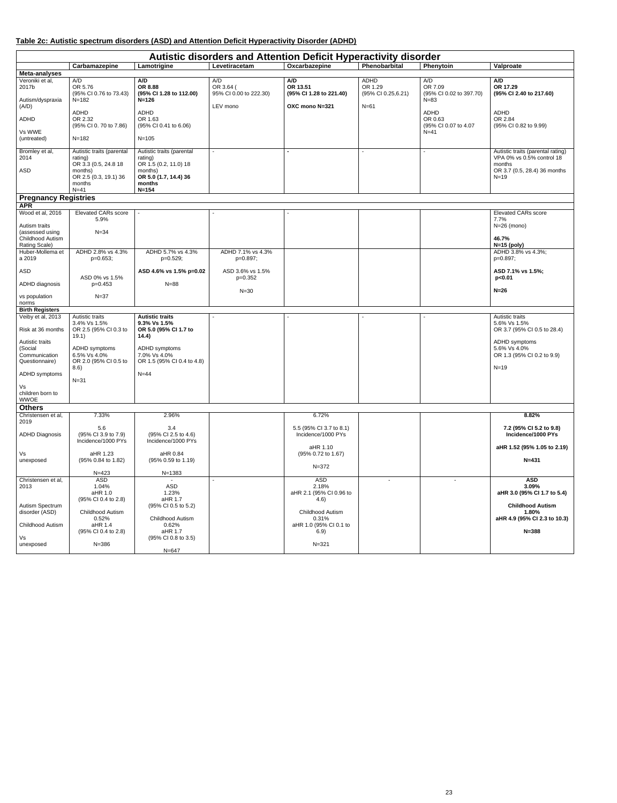## **Table 2c: Autistic spectrum disorders (ASD) and Attention Deficit Hyperactivity Disorder (ADHD)**

| Autistic disorders and Attention Deficit Hyperactivity disorder          |                                                                                                                      |                                                                                                                          |                                            |                                                         |                                       |                                                       |                                                                                                                    |  |  |  |
|--------------------------------------------------------------------------|----------------------------------------------------------------------------------------------------------------------|--------------------------------------------------------------------------------------------------------------------------|--------------------------------------------|---------------------------------------------------------|---------------------------------------|-------------------------------------------------------|--------------------------------------------------------------------------------------------------------------------|--|--|--|
|                                                                          | Carbamazepine                                                                                                        | Lamotrigine                                                                                                              | Levetiracetam                              | Oxcarbazepine                                           | Phenobarbital                         | Phenytoin                                             | Valproate                                                                                                          |  |  |  |
| Meta-analyses                                                            |                                                                                                                      |                                                                                                                          |                                            |                                                         |                                       |                                                       |                                                                                                                    |  |  |  |
| Veroniki et al,<br>2017b<br>Autism/dyspraxia                             | A/D<br>OR 5.76<br>(95% CI 0.76 to 73.43)<br>$N = 182$                                                                | A/D<br>OR 8.88<br>(95% CI 1.28 to 112.00)<br>$N = 126$                                                                   | A/D<br>OR 3.64 (<br>95% CI 0.00 to 222.30) | A/D<br>OR 13.51<br>(95% CI 1.28 to 221.40)              | ADHD<br>OR 1.29<br>(95% CI 0.25,6.21) | A/D<br>OR 7.09<br>(95% CI 0.02 to 397.70)<br>$N = 83$ | A/D<br>OR 17.29<br>(95% CI 2.40 to 217.60)                                                                         |  |  |  |
| (A/D)<br>ADHD                                                            | ADHD<br>OR 2.32<br>(95% CI 0.70 to 7.86)                                                                             | <b>ADHD</b><br>OR 1.63<br>(95% CI 0.41 to 6.06)                                                                          | LEV mono                                   | OXC mono N=321                                          | $N = 61$                              | ADHD<br>OR 0.63<br>(95% CI 0.07 to 4.07               | ADHD<br>OR 2.84<br>(95% CI 0.82 to 9.99)                                                                           |  |  |  |
| Vs WWE<br>(untreated)                                                    | $N = 182$                                                                                                            | $N = 105$                                                                                                                |                                            |                                                         |                                       | $N=41$                                                |                                                                                                                    |  |  |  |
| Bromley et al,<br>2014<br>ASD                                            | Autistic traits (parental<br>rating)<br>OR 3.3 (0.5, 24.8 18<br>months)<br>OR 2.5 (0.3, 19.1) 36<br>months<br>$N=41$ | Autistic traits (parental<br>rating)<br>OR 1.5 (0.2, 11.0) 18<br>months)<br>OR 5.0 (1.7, 14.4) 36<br>months<br>$N = 154$ | $\sim$                                     |                                                         |                                       |                                                       | Autistic traits (parental rating)<br>VPA 0% vs 0.5% control 18<br>months<br>OR 3.7 (0.5, 28.4) 36 months<br>$N=19$ |  |  |  |
| <b>Pregnancy Registries</b>                                              |                                                                                                                      |                                                                                                                          |                                            |                                                         |                                       |                                                       |                                                                                                                    |  |  |  |
| <b>APR</b>                                                               |                                                                                                                      |                                                                                                                          |                                            |                                                         |                                       |                                                       |                                                                                                                    |  |  |  |
| Wood et al, 2016<br>Autism traits<br>(assessed using<br>Childhood Autism | <b>Elevated CARs score</b><br>5.9%<br>$N = 34$                                                                       |                                                                                                                          |                                            |                                                         |                                       |                                                       | <b>Elevated CARs score</b><br>7.7%<br>$N=26$ (mono)<br>46.7%                                                       |  |  |  |
| Rating Scale)<br>Huber-Mollema et<br>a 2019                              | ADHD 2.8% vs 4.3%<br>$p=0.653;$                                                                                      | ADHD 5.7% vs 4.3%<br>p=0.529;                                                                                            | ADHD 7.1% vs 4.3%<br>p=0.897;              |                                                         |                                       |                                                       | $N=15$ (poly)<br>ADHD 3.8% vs 4.3%;<br>p=0.897;                                                                    |  |  |  |
| ASD                                                                      | ASD 0% vs 1.5%                                                                                                       | ASD 4.6% vs 1.5% p=0.02                                                                                                  | ASD 3.6% vs 1.5%<br>p=0.352                |                                                         |                                       |                                                       | ASD 7.1% vs 1.5%;<br>p<0.01                                                                                        |  |  |  |
| ADHD diagnosis                                                           | $p=0.453$                                                                                                            | $N = 88$                                                                                                                 | $N=30$                                     |                                                         |                                       |                                                       | $N=26$                                                                                                             |  |  |  |
| vs population<br>norms<br><b>Birth Registers</b>                         | $N = 37$                                                                                                             |                                                                                                                          |                                            |                                                         |                                       |                                                       |                                                                                                                    |  |  |  |
| Veiby et al, 2013                                                        | Autistic traits                                                                                                      | <b>Autistic traits</b>                                                                                                   |                                            |                                                         |                                       |                                                       | Autistic traits                                                                                                    |  |  |  |
| Risk at 36 months                                                        | 3.4% Vs 1.5%<br>OR 2.5 (95% CI 0.3 to<br>19.1)                                                                       | 9.3% Vs 1.5%<br>OR 5.0 (95% Cl 1.7 to<br>14.4)                                                                           |                                            |                                                         |                                       |                                                       | 5.6% Vs 1.5%<br>OR 3.7 (95% CI 0.5 to 28.4)                                                                        |  |  |  |
| Autistic traits<br>(Social<br>Communication<br>Questionnaire)            | ADHD symptoms<br>6.5% Vs 4.0%<br>OR 2.0 (95% CI 0.5 to<br>8.6)                                                       | ADHD symptoms<br>7.0% Vs 4.0%<br>OR 1.5 (95% CI 0.4 to 4.8)                                                              |                                            |                                                         |                                       |                                                       | ADHD symptoms<br>5.6% Vs 4.0%<br>OR 1.3 (95% CI 0.2 to 9.9)<br>$N=19$                                              |  |  |  |
| ADHD symptoms                                                            | $N = 31$                                                                                                             | $N=44$                                                                                                                   |                                            |                                                         |                                       |                                                       |                                                                                                                    |  |  |  |
| Vs<br>children born to<br><b>WWOE</b>                                    |                                                                                                                      |                                                                                                                          |                                            |                                                         |                                       |                                                       |                                                                                                                    |  |  |  |
| <b>Others</b>                                                            |                                                                                                                      |                                                                                                                          |                                            |                                                         |                                       |                                                       |                                                                                                                    |  |  |  |
| Christensen et al,                                                       | 7.33%                                                                                                                | 2.96%                                                                                                                    |                                            | 6.72%                                                   |                                       |                                                       | 8.82%                                                                                                              |  |  |  |
| 2019<br><b>ADHD Diagnosis</b>                                            | 5.6<br>(95% CI 3.9 to 7.9)<br>Incidence/1000 PYs                                                                     | 3.4<br>(95% CI 2.5 to 4.6)<br>Incidence/1000 PYs                                                                         |                                            | 5.5 (95% CI 3.7 to 8.1)<br>Incidence/1000 PYs           |                                       |                                                       | 7.2 (95% CI 5.2 to 9.8)<br>Incidence/1000 PYs                                                                      |  |  |  |
| Vs<br>unexposed                                                          | aHR 1.23<br>(95% 0.84 to 1.82)                                                                                       | aHR 0.84<br>(95% 0.59 to 1.19)                                                                                           |                                            | aHR 1.10<br>(95% 0.72 to 1.67)                          |                                       |                                                       | aHR 1.52 (95% 1.05 to 2.19)<br>$N = 431$                                                                           |  |  |  |
|                                                                          | $N = 423$                                                                                                            | $N = 1383$                                                                                                               |                                            | $N = 372$                                               |                                       |                                                       |                                                                                                                    |  |  |  |
| Christensen et al,<br>2013                                               | <b>ASD</b><br>1.04%<br>aHR 1.0<br>(95% CI 0.4 to 2.8)                                                                | ASD<br>1.23%<br>aHR 1.7                                                                                                  |                                            | <b>ASD</b><br>2.18%<br>aHR 2.1 (95% CI 0.96 to<br>(4.6) |                                       | $\sim$                                                | <b>ASD</b><br>3.09%<br>aHR 3.0 (95% CI 1.7 to 5.4)                                                                 |  |  |  |
| Autism Spectrum<br>disorder (ASD)<br><b>Childhood Autism</b>             | Childhood Autism<br>0.52%<br>aHR 1.4                                                                                 | (95% CI 0.5 to 5.2)<br>Childhood Autism<br>0.62%                                                                         |                                            | Childhood Autism<br>0.31%<br>aHR 1.0 (95% CI 0.1 to     |                                       |                                                       | <b>Childhood Autism</b><br>1.80%<br>aHR 4.9 (95% CI 2.3 to 10.3)                                                   |  |  |  |
| Vs                                                                       | (95% CI 0.4 to 2.8)                                                                                                  | aHR 1.7<br>(95% CI 0.8 to 3.5)                                                                                           |                                            | 6.9)                                                    |                                       |                                                       | $N = 388$                                                                                                          |  |  |  |
| unexposed                                                                | $N = 386$                                                                                                            | $N = 647$                                                                                                                |                                            | $N = 321$                                               |                                       |                                                       |                                                                                                                    |  |  |  |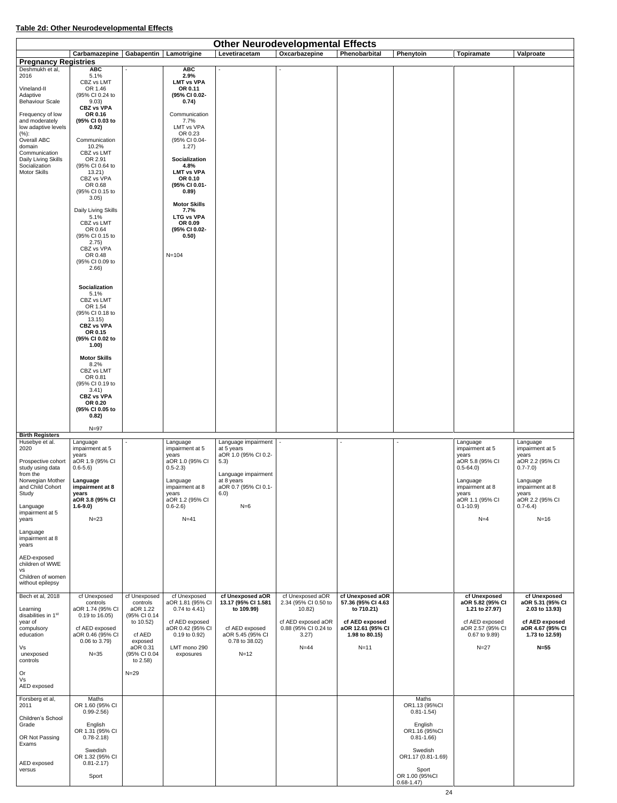## **Table 2d: Other Neurodevelopmental Effects**

| <b>Other Neurodevelopmental Effects</b>        |                                          |                           |                                        |                                         |                                          |                                        |                                 |                                   |                                    |
|------------------------------------------------|------------------------------------------|---------------------------|----------------------------------------|-----------------------------------------|------------------------------------------|----------------------------------------|---------------------------------|-----------------------------------|------------------------------------|
|                                                | Carbamazepine   Gabapentin   Lamotrigine |                           |                                        | Levetiracetam                           | Oxcarbazepine                            | Phenobarbital                          | Phenytoin                       | <b>Topiramate</b>                 | Valproate                          |
| <b>Pregnancy Registries</b><br>Deshmukh et al, | <b>ABC</b>                               |                           | <b>ABC</b>                             |                                         |                                          |                                        |                                 |                                   |                                    |
| 2016                                           | 5.1%<br>CBZ vs LMT                       |                           | 2.9%<br><b>LMT vs VPA</b>              |                                         |                                          |                                        |                                 |                                   |                                    |
| Vineland-II                                    | OR 1.46                                  |                           | OR 0.11                                |                                         |                                          |                                        |                                 |                                   |                                    |
| Adaptive<br><b>Behaviour Scale</b>             | (95% CI 0.24 to<br>9.03)                 |                           | (95% CI 0.02-<br>0.74)                 |                                         |                                          |                                        |                                 |                                   |                                    |
| Frequency of low                               | <b>CBZ vs VPA</b><br>OR 0.16             |                           | Communication                          |                                         |                                          |                                        |                                 |                                   |                                    |
| and moderately<br>low adaptive levels          | (95% CI 0.03 to<br>0.92)                 |                           | 7.7%<br>LMT vs VPA                     |                                         |                                          |                                        |                                 |                                   |                                    |
| (%):                                           |                                          |                           | OR 0.23                                |                                         |                                          |                                        |                                 |                                   |                                    |
| Overall ABC<br>domain                          | Communication<br>10.2%                   |                           | (95% CI 0.04-<br>1.27)                 |                                         |                                          |                                        |                                 |                                   |                                    |
| Communication<br>Daily Living Skills           | CBZ vs LMT<br>OR 2.91                    |                           | <b>Socialization</b>                   |                                         |                                          |                                        |                                 |                                   |                                    |
| Socialization<br>Motor Skills                  | (95% CI 0.64 to<br>13.21)                |                           | 4.8%<br><b>LMT vs VPA</b>              |                                         |                                          |                                        |                                 |                                   |                                    |
|                                                | CBZ vs VPA<br>OR 0.68                    |                           | OR 0.10                                |                                         |                                          |                                        |                                 |                                   |                                    |
|                                                | (95% CI 0.15 to                          |                           | (95% CI 0.01-<br>0.89)                 |                                         |                                          |                                        |                                 |                                   |                                    |
|                                                | 3.05)                                    |                           | <b>Motor Skills</b>                    |                                         |                                          |                                        |                                 |                                   |                                    |
|                                                | Daily Living Skills<br>5.1%              |                           | 7.7%<br><b>LTG vs VPA</b>              |                                         |                                          |                                        |                                 |                                   |                                    |
|                                                | CBZ vs LMT<br>OR 0.64                    |                           | OR 0.09<br>(95% CI 0.02-               |                                         |                                          |                                        |                                 |                                   |                                    |
|                                                | (95% CI 0.15 to                          |                           | 0.50)                                  |                                         |                                          |                                        |                                 |                                   |                                    |
|                                                | 2.75)<br>CBZ vs VPA                      |                           |                                        |                                         |                                          |                                        |                                 |                                   |                                    |
|                                                | OR 0.48<br>(95% CI 0.09 to               |                           | $N = 104$                              |                                         |                                          |                                        |                                 |                                   |                                    |
|                                                | 2.66)                                    |                           |                                        |                                         |                                          |                                        |                                 |                                   |                                    |
|                                                |                                          |                           |                                        |                                         |                                          |                                        |                                 |                                   |                                    |
|                                                | <b>Socialization</b><br>5.1%             |                           |                                        |                                         |                                          |                                        |                                 |                                   |                                    |
|                                                | CBZ vs LMT<br>OR 1.54                    |                           |                                        |                                         |                                          |                                        |                                 |                                   |                                    |
|                                                | (95% CI 0.18 to<br>13.15)                |                           |                                        |                                         |                                          |                                        |                                 |                                   |                                    |
|                                                | <b>CBZ vs VPA</b>                        |                           |                                        |                                         |                                          |                                        |                                 |                                   |                                    |
|                                                | OR 0.15<br>(95% CI 0.02 to               |                           |                                        |                                         |                                          |                                        |                                 |                                   |                                    |
|                                                | 1.00)                                    |                           |                                        |                                         |                                          |                                        |                                 |                                   |                                    |
|                                                | <b>Motor Skills</b><br>8.2%              |                           |                                        |                                         |                                          |                                        |                                 |                                   |                                    |
|                                                | CBZ vs LMT                               |                           |                                        |                                         |                                          |                                        |                                 |                                   |                                    |
|                                                | OR 0.81<br>(95% CI 0.19 to               |                           |                                        |                                         |                                          |                                        |                                 |                                   |                                    |
|                                                | 3.41)<br><b>CBZ vs VPA</b>               |                           |                                        |                                         |                                          |                                        |                                 |                                   |                                    |
|                                                | OR 0.20<br>(95% CI 0.05 to               |                           |                                        |                                         |                                          |                                        |                                 |                                   |                                    |
|                                                | 0.82)                                    |                           |                                        |                                         |                                          |                                        |                                 |                                   |                                    |
|                                                | $N=97$                                   |                           |                                        |                                         |                                          |                                        |                                 |                                   |                                    |
| <b>Birth Registers</b><br>Husebye et al.       | Language                                 |                           | Language                               | Language impairment                     |                                          |                                        |                                 | Language                          | Language                           |
| 2020                                           | impairment at 5<br>years                 |                           | impairment at 5<br>years               | at 5 years<br>aOR 1.0 (95% CI 0.2-      |                                          |                                        |                                 | impairment at 5<br>years          | impairment at 5<br>years           |
| Prospective cohort                             | aOR 1.9 (95% CI                          |                           | aOR 1.0 (95% CI                        | 5.3)                                    |                                          |                                        |                                 | aOR 5.8 (95% CI                   | aOR 2.2 (95% CI                    |
| study using data<br>from the                   | $0.6 - 5.6$                              |                           | $0.5 - 2.3$                            | Language impairment                     |                                          |                                        |                                 | $0.5 - 64.0$                      | $0.7 - 7.0$                        |
| Norwegian Mother<br>and Child Cohort           | Language<br>impairment at 8              |                           | Language<br>impairment at 8            | at 8 years<br>aOR 0.7 (95% CI 0.1-      |                                          |                                        |                                 | Language<br>impairment at 8       | Language<br>impairment at 8        |
| Study                                          | years<br>aOR 3.8 (95% CI                 |                           | years<br>aOR 1.2 (95% CI               | 6.0)                                    |                                          |                                        |                                 | years<br>aOR 1.1 (95% CI          | years<br>aOR 2.2 (95% CI           |
| Language                                       | $1.6 - 9.0$                              |                           | $0.6 - 2.6$                            | $N=6$                                   |                                          |                                        |                                 | $0.1 - 10.9$                      | $0.7 - 6.4$                        |
| impairment at 5<br>years                       | $N=23$                                   |                           | $N=41$                                 |                                         |                                          |                                        |                                 | $N=4$                             | $N=16$                             |
| Language                                       |                                          |                           |                                        |                                         |                                          |                                        |                                 |                                   |                                    |
| impairment at 8<br>years                       |                                          |                           |                                        |                                         |                                          |                                        |                                 |                                   |                                    |
|                                                |                                          |                           |                                        |                                         |                                          |                                        |                                 |                                   |                                    |
| AED-exposed<br>children of WWE                 |                                          |                           |                                        |                                         |                                          |                                        |                                 |                                   |                                    |
| <b>VS</b><br>Children of women                 |                                          |                           |                                        |                                         |                                          |                                        |                                 |                                   |                                    |
| without epilepsy                               |                                          |                           |                                        |                                         |                                          |                                        |                                 |                                   |                                    |
| Bech et al, 2018                               | cf Unexposed<br>controls                 | cf Unexposed<br>controls  | cf Unexposed<br>aOR 1.81 (95% CI       | cf Unexposed aOR<br>13.17 (95% CI 1.581 | cf Unexposed aOR<br>2.34 (95% CI 0.50 to | cf Unexposed aOR<br>57.36 (95% CI 4.63 |                                 | cf Unexposed<br>aOR 5.82 (95% CI  | cf Unexposed<br>aOR 5.31 (95% CI   |
| Learning                                       | aOR 1.74 (95% CI                         | aOR 1.22                  | $0.74$ to 4.41)                        | to 109.99)                              | 10.82)                                   | to 710.21)                             |                                 | 1.21 to 27.97)                    | 2.03 to 13.93)                     |
| disabilities in 1st<br>year of                 | 0.19 to 16.05)                           | (95% CI 0.14<br>to 10.52) | cf AED exposed                         |                                         | cf AED exposed aOR                       | cf AED exposed                         |                                 | cf AED exposed                    | cf AED exposed                     |
| compulsory<br>education                        | cf AED exposed<br>aOR 0.46 (95% CI       | cf AED                    | aOR 0.42 (95% CI<br>$0.19$ to $0.92$ ) | cf AED exposed<br>aOR 5.45 (95% CI      | 0.88 (95% CI 0.24 to<br>3.27)            | aOR 12.61 (95% CI<br>1.98 to 80.15)    |                                 | aOR 2.57 (95% CI<br>0.67 to 9.89) | aOR 4.67 (95% CI<br>1.73 to 12.59) |
| Vs                                             | $0.06$ to $3.79$ )                       | exposed<br>aOR 0.31       | LMT mono 290                           | 0.78 to 38.02)                          | $N=44$                                   | $N=11$                                 |                                 | $N=27$                            | $N=55$                             |
| unexposed                                      | $N = 35$                                 | (95% CI 0.04              | exposures                              | $N=12$                                  |                                          |                                        |                                 |                                   |                                    |
| controls                                       |                                          | to $2.58$ )               |                                        |                                         |                                          |                                        |                                 |                                   |                                    |
| Or<br>Vs                                       |                                          | $N=29$                    |                                        |                                         |                                          |                                        |                                 |                                   |                                    |
| AED exposed                                    |                                          |                           |                                        |                                         |                                          |                                        |                                 |                                   |                                    |
| Forsberg et al,                                | Maths                                    |                           |                                        |                                         |                                          |                                        | Maths                           |                                   |                                    |
| 2011                                           | OR 1.60 (95% CI<br>$0.99 - 2.56$         |                           |                                        |                                         |                                          |                                        | OR1.13 (95%CI<br>$0.81 - 1.54$  |                                   |                                    |
| Children's School<br>Grade                     | English                                  |                           |                                        |                                         |                                          |                                        | English                         |                                   |                                    |
| OR Not Passing                                 | OR 1.31 (95% CI<br>$0.78 - 2.18$         |                           |                                        |                                         |                                          |                                        | OR1.16 (95%CI<br>$0.81 - 1.66$  |                                   |                                    |
| Exams                                          |                                          |                           |                                        |                                         |                                          |                                        |                                 |                                   |                                    |
|                                                | Swedish<br>OR 1.32 (95% CI               |                           |                                        |                                         |                                          |                                        | Swedish<br>OR1.17 (0.81-1.69)   |                                   |                                    |
| AED exposed<br>versus                          | $0.81 - 2.17$                            |                           |                                        |                                         |                                          |                                        | Sport                           |                                   |                                    |
|                                                | Sport                                    |                           |                                        |                                         |                                          |                                        | OR 1.00 (95%CI<br>$0.68 - 1.47$ |                                   |                                    |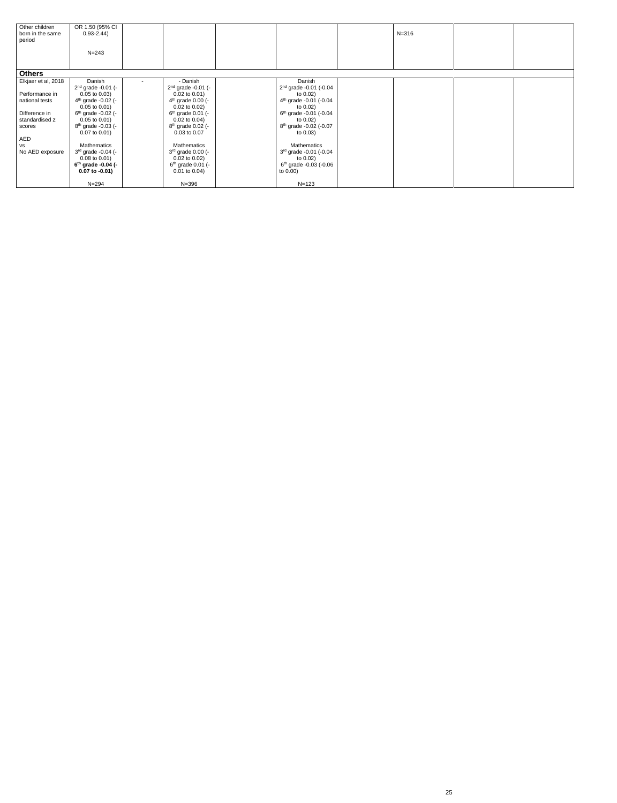| Other children      | OR 1.50 (95% CI      |                               |                                    |           |  |
|---------------------|----------------------|-------------------------------|------------------------------------|-----------|--|
| born in the same    | $0.93 - 2.44$        |                               |                                    | $N = 316$ |  |
| period              |                      |                               |                                    |           |  |
|                     |                      |                               |                                    |           |  |
|                     | $N = 243$            |                               |                                    |           |  |
|                     |                      |                               |                                    |           |  |
|                     |                      |                               |                                    |           |  |
| <b>Others</b>       |                      |                               |                                    |           |  |
| Elkjaer et al, 2018 | Danish               | - Danish                      | Danish                             |           |  |
|                     | $2nd$ grade -0.01 (- | $2nd$ grade -0.01 (-          | $2nd$ grade -0.01 (-0.04           |           |  |
| Performance in      | $0.05$ to $0.03$ )   | $0.02$ to $0.01$ )            | to $0.02$ )                        |           |  |
| national tests      | $4th$ grade -0.02 (- | $4th$ grade 0.00 (-           | $4th$ grade -0.01 (-0.04           |           |  |
|                     | $0.05$ to $0.01$ )   | $0.02$ to $0.02$ )            | to $0.02$ )                        |           |  |
| Difference in       | $6th$ grade -0.02 (- | $6th$ grade 0.01 (-           | $6th$ grade -0.01 (-0.04           |           |  |
| standardised z      | $0.05$ to $0.01$ )   | $0.02$ to $0.04$ )            | to $0.02$ )                        |           |  |
| scores              | $8th$ grade -0.03 (- | 8 <sup>th</sup> grade 0.02 (- | 8 <sup>th</sup> grade -0.02 (-0.07 |           |  |
|                     | $0.07$ to $0.01$ )   | $0.03$ to $0.07$              | to $0.03$ )                        |           |  |
| AED                 |                      |                               |                                    |           |  |
| <b>VS</b>           | Mathematics          | Mathematics                   | Mathematics                        |           |  |
| No AED exposure     | $3rd$ grade -0.04 (- | $3rd$ grade 0.00 (-           | $3rd$ grade -0.01 (-0.04           |           |  |
|                     | $0.08$ to $0.01$ )   | $0.02$ to $0.02$ )            | to $0.02$ )                        |           |  |
|                     | $6th$ grade -0.04 (- | $6th$ grade 0.01 (-           | $6th$ grade -0.03 (-0.06           |           |  |
|                     | $0.07$ to $-0.01$ )  | $0.01$ to $0.04$ )            | to 0.00)                           |           |  |
|                     | $N = 294$            | $N = 396$                     | $N = 123$                          |           |  |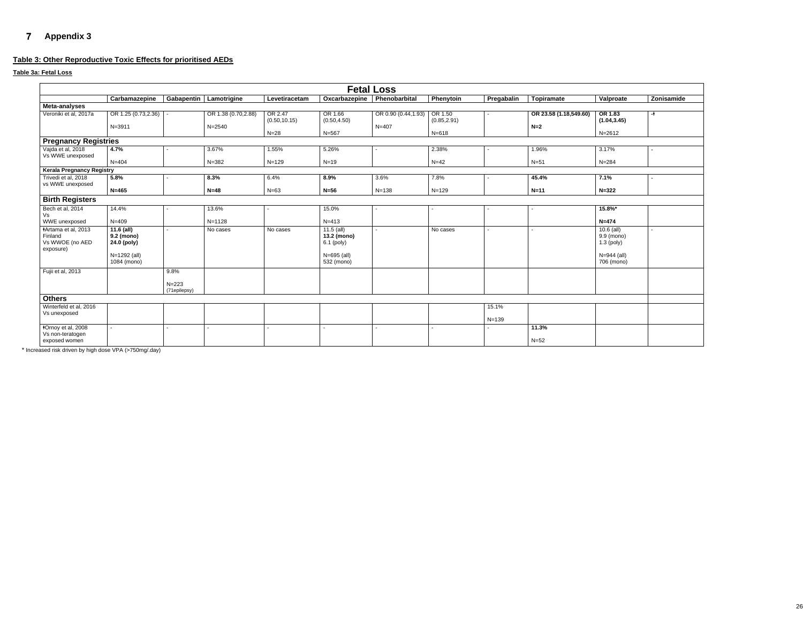# **Appendix 3**

## **Table 3: Other Reproductive Toxic Effects for prioritised AEDs**

## **Table 3a: Fetal Loss**

<span id="page-25-0"></span>

| <b>Fetal Loss</b>                                                     |                                           |                   |                          |                          |                                           |                     |                         |            |                        |                                            |                          |
|-----------------------------------------------------------------------|-------------------------------------------|-------------------|--------------------------|--------------------------|-------------------------------------------|---------------------|-------------------------|------------|------------------------|--------------------------------------------|--------------------------|
|                                                                       | Carbamazepine                             |                   | Gabapentin   Lamotrigine | Levetiracetam            | Oxcarbazepine                             | Phenobarbital       | Phenytoin               | Pregabalin | <b>Topiramate</b>      | Valproate                                  | Zonisamide               |
| <b>Meta-analyses</b>                                                  |                                           |                   |                          |                          |                                           |                     |                         |            |                        |                                            |                          |
| Veroniki et al, 2017a                                                 | OR 1.25 (0.73,2.36)                       |                   | OR 1.38 (0.70,2.88)      | OR 2.47<br>(0.50, 10.15) | OR 1.66<br>(0.50, 4.50)                   | OR 0.90 (0.44,1.93) | OR 1.50<br>(0.85, 2.91) |            | OR 23.58 (1.18,549.60) | OR 1.83<br>(1.04, 3.45)                    | -ŧ                       |
|                                                                       | $N = 3911$                                |                   | $N = 2540$               | $N=28$                   | $N = 567$                                 | $N = 407$           | $N = 618$               |            | $N=2$                  | $N = 2612$                                 |                          |
| <b>Pregnancy Registries</b>                                           |                                           |                   |                          |                          |                                           |                     |                         |            |                        |                                            |                          |
| Vajda et al, 2018<br>Vs WWE unexposed                                 | 4.7%                                      |                   | 3.67%                    | 1.55%                    | 5.26%                                     |                     | 2.38%                   |            | 1.96%                  | 3.17%                                      |                          |
|                                                                       | $N = 404$                                 |                   | $N = 382$                | $N = 129$                | $N=19$                                    |                     | $N=42$                  |            | $N=51$                 | $N = 284$                                  |                          |
| <b>Kerala Pregnancy Registry</b>                                      |                                           |                   |                          |                          |                                           |                     |                         |            |                        |                                            |                          |
| Trivedi et al, 2018<br>vs WWE unexposed                               | 5.8%                                      |                   | 8.3%                     | 6.4%                     | 8.9%                                      | 3.6%                | 7.8%                    |            | 45.4%                  | 7.1%                                       |                          |
|                                                                       | $N = 465$                                 |                   | $N=48$                   | $N=63$                   | $N=56$                                    | $N = 138$           | $N = 129$               |            | $N=11$                 | $N = 322$                                  |                          |
| <b>Birth Registers</b>                                                |                                           |                   |                          |                          |                                           |                     |                         |            |                        |                                            |                          |
| Bech et al, 2014<br>Vs                                                | 14.4%                                     |                   | 13.6%                    |                          | 15.0%                                     |                     |                         |            |                        | $15.8\%$ *                                 |                          |
| WWE unexposed                                                         | $N = 409$                                 |                   | $N = 1128$               |                          | $N = 413$                                 |                     |                         |            |                        | $N = 474$                                  |                          |
| <b>*Artama et al, 2013</b><br>Finland<br>Vs WWOE (no AED<br>exposure) | $11.6$ (all)<br>9.2 (mono)<br>24.0 (poly) | $\blacksquare$    | No cases                 | No cases                 | $11.5$ (all)<br>13.2 (mono)<br>6.1 (poly) | $\sim$              | No cases                |            |                        | $10.6$ (all)<br>9.9 (mono)<br>$1.3$ (poly) | $\overline{\phantom{0}}$ |
|                                                                       | N=1292 (all)<br>1084 (mono)               |                   |                          |                          | $N = 695$ (all)<br>532 (mono)             |                     |                         |            |                        | $N = 944$ (all)<br>706 (mono)              |                          |
| Fujii et al, 2013                                                     |                                           | 9.8%<br>$N = 223$ |                          |                          |                                           |                     |                         |            |                        |                                            |                          |
|                                                                       |                                           | (71epilepsy)      |                          |                          |                                           |                     |                         |            |                        |                                            |                          |
| <b>Others</b>                                                         |                                           |                   |                          |                          |                                           |                     |                         |            |                        |                                            |                          |
| Winterfeld et al, 2016<br>Vs unexposed                                |                                           |                   |                          |                          |                                           |                     |                         | 15.1%      |                        |                                            |                          |
|                                                                       |                                           |                   |                          |                          |                                           |                     |                         | $N = 139$  |                        |                                            |                          |
| *Ornoy et al, 2008<br>Vs non-teratogen                                |                                           |                   |                          |                          |                                           |                     |                         |            | 11.3%                  |                                            |                          |
| exposed women                                                         |                                           |                   |                          |                          |                                           |                     |                         |            | $N=52$                 |                                            |                          |

\* Increased risk driven by high dose VPA (>750mg/.day)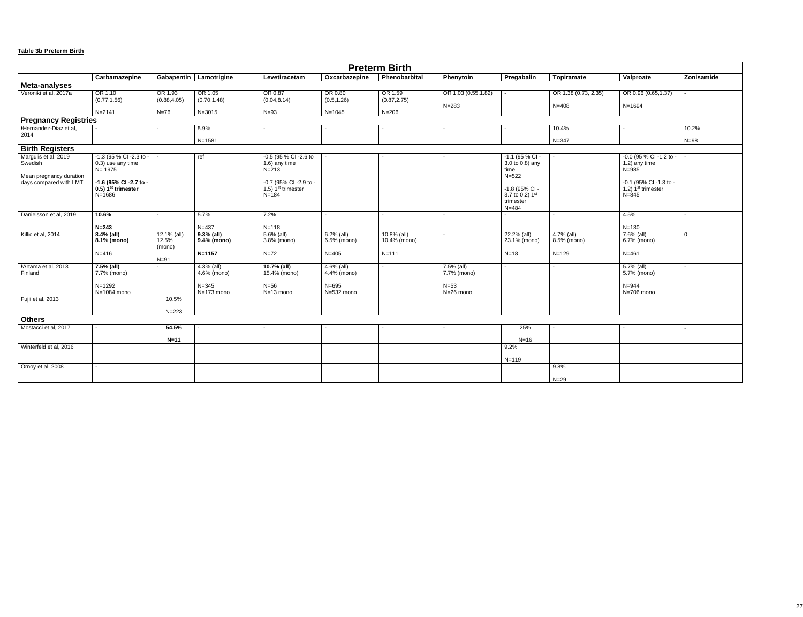## **Table 3b Preterm Birth**

| <b>Preterm Birth</b>                                                                 |                                                                                                                                         |                                             |                                                         |                                                                                                                    |                                                         |                                             |                                                  |                                                                                                                            |                                        |                                                                                                                         |                |
|--------------------------------------------------------------------------------------|-----------------------------------------------------------------------------------------------------------------------------------------|---------------------------------------------|---------------------------------------------------------|--------------------------------------------------------------------------------------------------------------------|---------------------------------------------------------|---------------------------------------------|--------------------------------------------------|----------------------------------------------------------------------------------------------------------------------------|----------------------------------------|-------------------------------------------------------------------------------------------------------------------------|----------------|
|                                                                                      | Carbamazepine                                                                                                                           |                                             | Gabapentin   Lamotrigine                                | Levetiracetam                                                                                                      | Oxcarbazepine                                           | Phenobarbital                               | Phenytoin                                        | Pregabalin                                                                                                                 | <b>Topiramate</b>                      | Valproate                                                                                                               | Zonisamide     |
| Meta-analyses                                                                        |                                                                                                                                         |                                             |                                                         |                                                                                                                    |                                                         |                                             |                                                  |                                                                                                                            |                                        |                                                                                                                         |                |
| Veroniki et al, 2017a                                                                | OR 1.10<br>(0.77, 1.56)                                                                                                                 | OR 1.93<br>(0.88, 4.05)                     | OR 1.05<br>(0.70, 1.48)                                 | OR 0.87<br>(0.04, 8.14)                                                                                            | OR 0.80<br>(0.5, 1.26)                                  | OR 1.59<br>(0.87, 2.75)                     | OR 1.03 (0.55,1.82)<br>$N = 283$                 |                                                                                                                            | OR 1.38 (0.73, 2.35)<br>$N = 408$      | OR 0.96 (0.65,1.37)<br>$N = 1694$                                                                                       |                |
|                                                                                      | $N = 2141$                                                                                                                              | $N=76$                                      | $N = 3015$                                              | $N=93$                                                                                                             | $N = 1045$                                              | $N = 206$                                   |                                                  |                                                                                                                            |                                        |                                                                                                                         |                |
| <b>Pregnancy Registries</b>                                                          |                                                                                                                                         |                                             |                                                         |                                                                                                                    |                                                         |                                             |                                                  |                                                                                                                            |                                        |                                                                                                                         |                |
| ∗Hernandez-Diaz et al,                                                               |                                                                                                                                         |                                             | 5.9%                                                    |                                                                                                                    |                                                         |                                             |                                                  |                                                                                                                            | 10.4%                                  |                                                                                                                         | 10.2%          |
| 2014                                                                                 |                                                                                                                                         |                                             | $N = 1581$                                              |                                                                                                                    |                                                         |                                             |                                                  |                                                                                                                            | $N = 347$                              |                                                                                                                         | $N = 98$       |
| <b>Birth Registers</b>                                                               |                                                                                                                                         |                                             |                                                         |                                                                                                                    |                                                         |                                             |                                                  |                                                                                                                            |                                        |                                                                                                                         |                |
| Margulis et al, 2019<br>Swedish<br>Mean pregnancy duration<br>days compared with LMT | -1.3 (95 % CI -2.3 to -<br>0.3) use any time<br>$N = 1975$<br>-1.6 (95% CI -2.7 to -<br>$0.5$ ) 1 <sup>st</sup> trimester<br>$N = 1686$ |                                             | ref                                                     | -0.5 (95 % CI -2.6 to<br>1.6) any time<br>$N = 213$<br>-0.7 (95% CI -2.9 to -<br>1.5) $1st$ trimester<br>$N = 184$ |                                                         |                                             |                                                  | $-1.1$ (95 % CI -<br>3.0 to 0.8) any<br>time<br>$N = 522$<br>-1.8 (95% CI -<br>3.7 to 0.2) $1st$<br>trimester<br>$N = 484$ |                                        | -0.0 (95 % CI -1.2 to -<br>$1.2$ ) any time<br>$N = 985$<br>-0.1 (95% CI -1.3 to -<br>1.2) $1st$ trimester<br>$N = 845$ |                |
| Danielsson et al, 2019                                                               | 10.6%                                                                                                                                   |                                             | 5.7%                                                    | 7.2%                                                                                                               |                                                         |                                             |                                                  |                                                                                                                            |                                        | 4.5%                                                                                                                    |                |
|                                                                                      | $N = 243$                                                                                                                               |                                             | $N = 437$                                               | $N = 118$                                                                                                          |                                                         |                                             |                                                  |                                                                                                                            |                                        | $N = 130$                                                                                                               |                |
| Killic et al, 2014                                                                   | $8.4\%$ (all)<br>8.1% (mono)<br>$N = 416$                                                                                               | $12.1\%$ (all)<br>12.5%<br>(mono)<br>$N=91$ | $9.3%$ (all)<br>9.4% (mono)<br>$N = 1157$               | $5.6\%$ (all)<br>3.8% (mono)<br>$N=72$                                                                             | $6.2%$ (all)<br>6.5% (mono)<br>$N = 405$                | $10.8\%$ (all)<br>10.4% (mono)<br>$N = 111$ |                                                  | 22.2% (all)<br>23.1% (mono)<br>$N=18$                                                                                      | 4.7% (all)<br>8.5% (mono)<br>$N = 129$ | $7.6\%$ (all)<br>6.7% (mono)<br>$N = 461$                                                                               | $\overline{0}$ |
| <b>#Artama et al, 2013</b><br>Finland                                                | $7.5%$ (all)<br>7.7% (mono)<br>$N = 1292$<br>N=1084 mono                                                                                |                                             | $4.3\%$ (all)<br>4.6% (mono)<br>$N = 345$<br>N=173 mono | 10.7% (all)<br>15.4% (mono)<br>$N=56$<br>N=13 mono                                                                 | $4.6\%$ (all)<br>4.4% (mono)<br>$N = 695$<br>N=532 mono |                                             | 7.5% (all)<br>7.7% (mono)<br>$N=53$<br>N=26 mono |                                                                                                                            |                                        | $5.7\%$ (all)<br>5.7% (mono)<br>$N = 944$<br>N=706 mono                                                                 |                |
| Fujii et al, 2013                                                                    |                                                                                                                                         | 10.5%                                       |                                                         |                                                                                                                    |                                                         |                                             |                                                  |                                                                                                                            |                                        |                                                                                                                         |                |
|                                                                                      |                                                                                                                                         | $N = 223$                                   |                                                         |                                                                                                                    |                                                         |                                             |                                                  |                                                                                                                            |                                        |                                                                                                                         |                |
| <b>Others</b>                                                                        |                                                                                                                                         |                                             |                                                         |                                                                                                                    |                                                         |                                             |                                                  |                                                                                                                            |                                        |                                                                                                                         |                |
| Mostacci et al, 2017                                                                 |                                                                                                                                         | 54.5%                                       |                                                         |                                                                                                                    |                                                         |                                             |                                                  | 25%                                                                                                                        |                                        |                                                                                                                         |                |
|                                                                                      |                                                                                                                                         | $N=11$                                      |                                                         |                                                                                                                    |                                                         |                                             |                                                  | $N=16$                                                                                                                     |                                        |                                                                                                                         |                |
| Winterfeld et al, 2016                                                               |                                                                                                                                         |                                             |                                                         |                                                                                                                    |                                                         |                                             |                                                  | 9.2%                                                                                                                       |                                        |                                                                                                                         |                |
|                                                                                      |                                                                                                                                         |                                             |                                                         |                                                                                                                    |                                                         |                                             |                                                  | $N = 119$                                                                                                                  |                                        |                                                                                                                         |                |
| Ornoy et al, 2008                                                                    |                                                                                                                                         |                                             |                                                         |                                                                                                                    |                                                         |                                             |                                                  |                                                                                                                            | 9.8%                                   |                                                                                                                         |                |
|                                                                                      |                                                                                                                                         |                                             |                                                         |                                                                                                                    |                                                         |                                             |                                                  |                                                                                                                            | $N=29$                                 |                                                                                                                         |                |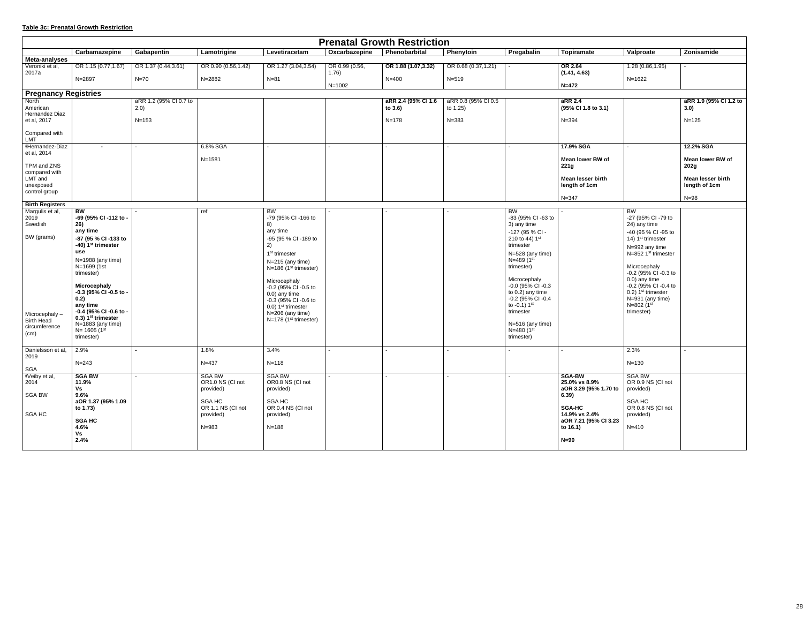## **Table 3c: Prenatal Growth Restriction**

| <b>Prenatal Growth Restriction</b>   |                                                             |                        |                     |                                             |                         |                     |                       |                                       |                                   |                                              |                          |
|--------------------------------------|-------------------------------------------------------------|------------------------|---------------------|---------------------------------------------|-------------------------|---------------------|-----------------------|---------------------------------------|-----------------------------------|----------------------------------------------|--------------------------|
|                                      | Carbamazepine                                               | Gabapentin             | Lamotrigine         | Levetiracetam                               | Oxcarbazepine           | Phenobarbital       | Phenytoin             | Pregabalin                            | Topiramate                        | Valproate                                    | Zonisamide               |
| <b>Meta-analyses</b>                 |                                                             |                        |                     |                                             |                         |                     |                       |                                       |                                   |                                              |                          |
| Veroniki et al,<br>2017a             | OR 1.15 (0.77,1.67)                                         | OR 1.37 (0.44,3.61)    | OR 0.90 (0.56,1.42) | OR 1.27 (3.04, 3.54)                        | OR 0.99 (0.56,<br>1.76) | OR 1.88 (1.07,3.32) | OR $0.68(0.37, 1.21)$ |                                       | <b>OR 2.64</b><br>(1.41, 4.63)    | 1.28 (0.86,1.95)                             |                          |
|                                      | N=2897                                                      | $N=70$                 | N=2882              | $N = 81$                                    | $N = 1002$              | $N = 400$           | $N = 519$             |                                       | $N = 472$                         | $N = 1622$                                   |                          |
| <b>Pregnancy Registries</b>          |                                                             |                        |                     |                                             |                         |                     |                       |                                       |                                   |                                              |                          |
| North                                |                                                             | aRR 1.2 (95% CI 0.7 to |                     |                                             |                         | aRR 2.4 (95% CI 1.6 | aRR 0.8 (95% CI 0.5   |                                       | aRR 2.4                           |                                              | aRR 1.9 (95% Cl 1.2 to   |
| American<br>Hernandez Diaz           |                                                             | 2.0)                   |                     |                                             |                         | to $3.6$ )          | to 1.25)              |                                       | (95% CI 1.8 to 3.1)               |                                              | 3.0)                     |
| et al, 2017                          |                                                             | $N = 153$              |                     |                                             |                         | $N = 178$           | $N = 383$             |                                       | $N = 394$                         |                                              | $N = 125$                |
| Compared with                        |                                                             |                        |                     |                                             |                         |                     |                       |                                       |                                   |                                              |                          |
| <b>LMT</b><br><b>*Hernandez-Diaz</b> | $\blacksquare$                                              |                        | 6.8% SGA            |                                             |                         |                     |                       |                                       | 17.9% SGA                         |                                              | 12.2% SGA                |
| et al, 2014                          |                                                             |                        |                     |                                             |                         |                     |                       |                                       |                                   |                                              |                          |
|                                      |                                                             |                        | $N = 1581$          |                                             |                         |                     |                       |                                       | Mean lower BW of                  |                                              | <b>Mean lower BW of</b>  |
| TPM and ZNS<br>compared with         |                                                             |                        |                     |                                             |                         |                     |                       |                                       | 221g                              |                                              | 202g                     |
| LMT and                              |                                                             |                        |                     |                                             |                         |                     |                       |                                       | <b>Mean lesser birth</b>          |                                              | <b>Mean lesser birth</b> |
| unexposed                            |                                                             |                        |                     |                                             |                         |                     |                       |                                       | length of 1cm                     |                                              | length of 1cm            |
| control group                        |                                                             |                        |                     |                                             |                         |                     |                       |                                       | $N = 347$                         |                                              | $N=98$                   |
| <b>Birth Registers</b>               |                                                             |                        |                     |                                             |                         |                     |                       |                                       |                                   |                                              |                          |
| Margulis et al,<br>2019              | <b>BW</b><br>-69 (95% CI -112 to -                          |                        | ref                 | <b>BW</b><br>-79 (95% CI -166 to            |                         |                     |                       | <b>BW</b><br>-83 (95% CI -63 to       |                                   | BW<br>-27 (95% CI -79 to                     |                          |
| Swedish                              | 26)                                                         |                        |                     | 8)                                          |                         |                     |                       | 3) any time                           |                                   | 24) any time                                 |                          |
|                                      | any time                                                    |                        |                     | any time                                    |                         |                     |                       | -127 (95 % CI -                       |                                   | -40 (95 % CI -95 to                          |                          |
| BW (grams)                           | -87 (95 % CI -133 to                                        |                        |                     | -95 (95 % CI -189 to                        |                         |                     |                       | 210 to 44) $1st$                      |                                   | 14) 1 <sup>st</sup> trimester                |                          |
|                                      | -40) 1 <sup>st</sup> trimester<br>use                       |                        |                     | 2)                                          |                         |                     |                       | trimester                             |                                   | N=992 any time                               |                          |
|                                      | N=1988 (any time)                                           |                        |                     | 1 <sup>st</sup> trimester                   |                         |                     |                       | N=528 (any time)<br>$N = 489(1^{st})$ |                                   | N=852 1 <sup>st</sup> trimester              |                          |
|                                      | N=1699 (1st<br>trimester)                                   |                        |                     | N=215 (any time)<br>$N=186$ (1st trimester) |                         |                     |                       | trimester)                            |                                   | Microcephaly<br>$-0.2$ (95% CI $-0.3$ to     |                          |
|                                      |                                                             |                        |                     | Microcephaly                                |                         |                     |                       | Microcephaly                          |                                   | 0.0) any time                                |                          |
|                                      | Microcephaly<br>-0.3 (95% CI -0.5 to -                      |                        |                     | -0.2 (95% CI -0.5 to                        |                         |                     |                       | -0.0 (95% CI -0.3<br>to 0.2) any time |                                   | -0.2 (95% CI -0.4 to<br>0.2) $1st$ trimester |                          |
|                                      | 0.2)                                                        |                        |                     | 0.0) any time<br>-0.3 (95% CI -0.6 to       |                         |                     |                       | -0.2 (95% CI -0.4                     |                                   | N=931 (any time)                             |                          |
|                                      | any time                                                    |                        |                     | 0.0) 1 <sup>st</sup> trimester              |                         |                     |                       | to $-0.1$ ) $1st$                     |                                   | N=802 (1 <sup>st</sup>                       |                          |
| Microcephaly-                        | -0.4 (95% CI -0.6 to -<br>$0.3$ ) 1 <sup>st</sup> trimester |                        |                     | $N=206$ (any time)                          |                         |                     |                       | trimester                             |                                   | trimester)                                   |                          |
| <b>Birth Head</b><br>circumference   | $N=1883$ (any time)                                         |                        |                     | $N=178$ (1 <sup>st</sup> trimester)         |                         |                     |                       | $N=516$ (any time)                    |                                   |                                              |                          |
| (cm)                                 | $N = 1605 (1^{st})$                                         |                        |                     |                                             |                         |                     |                       | $N = 480 (1^{st})$                    |                                   |                                              |                          |
|                                      | trimester)                                                  |                        |                     |                                             |                         |                     |                       | trimester)                            |                                   |                                              |                          |
| Danielsson et al,<br>2019            | 2.9%                                                        |                        | 1.8%                | 3.4%                                        |                         |                     |                       |                                       |                                   | 2.3%                                         |                          |
|                                      | $N = 243$                                                   |                        | $N = 437$           | $N = 118$                                   |                         |                     |                       |                                       |                                   | $N = 130$                                    |                          |
| SGA<br>*Veiby et al,                 | <b>SGA BW</b>                                               |                        | <b>SGA BW</b>       | <b>SGA BW</b>                               |                         |                     |                       |                                       | <b>SGA-BW</b>                     | <b>SGA BW</b>                                |                          |
| 2014                                 | 11.9%                                                       |                        | OR1.0 NS (CI not    | OR0.8 NS (CI not                            |                         |                     |                       |                                       | 25.0% vs 8.9%                     | OR 0.9 NS (CI not                            |                          |
|                                      | Vs                                                          |                        | provided)           | provided)                                   |                         |                     |                       |                                       | aOR 3.29 (95% 1.70 to             | provided)                                    |                          |
| SGA BW                               | 9.6%<br>aOR 1.37 (95% 1.09                                  |                        | SGA HC              | SGA HC                                      |                         |                     |                       |                                       | 6.39)                             | SGA HC                                       |                          |
|                                      | to 1.73)                                                    |                        | OR 1.1 NS (CI not   | OR 0.4 NS (CI not                           |                         |                     |                       |                                       | <b>SGA-HC</b>                     | OR 0.8 NS (CI not                            |                          |
| SGA HC                               |                                                             |                        | provided)           | provided)                                   |                         |                     |                       |                                       | 14.9% vs 2.4%                     | provided)                                    |                          |
|                                      | <b>SGA HC</b><br>4.6%                                       |                        | $N = 983$           | $N = 188$                                   |                         |                     |                       |                                       | aOR 7.21 (95% CI 3.23<br>to 16.1) | $N = 410$                                    |                          |
|                                      | Vs                                                          |                        |                     |                                             |                         |                     |                       |                                       |                                   |                                              |                          |
|                                      | 2.4%                                                        |                        |                     |                                             |                         |                     |                       |                                       | $N=90$                            |                                              |                          |
|                                      |                                                             |                        |                     |                                             |                         |                     |                       |                                       |                                   |                                              |                          |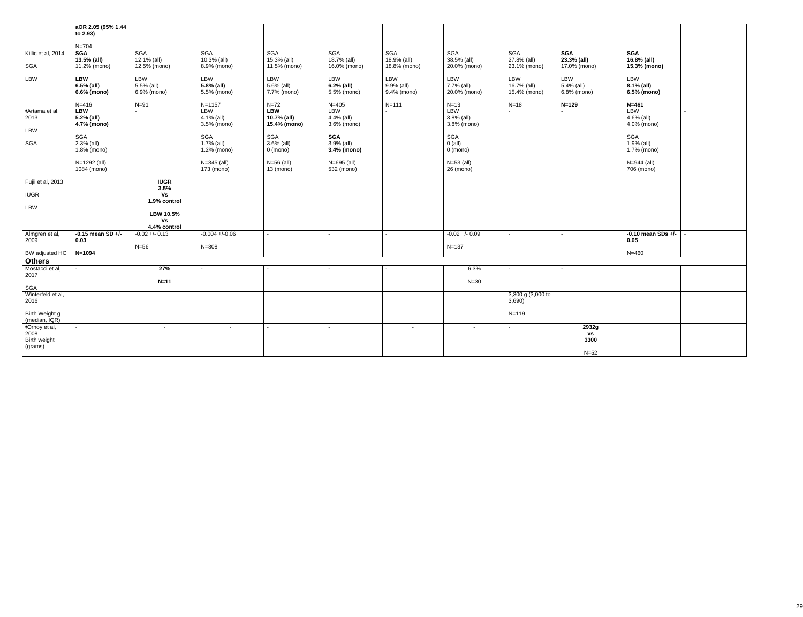|                                 | aOR 2.05 (95% 1.44<br>to 2.93) |                             |                            |                             |                             |                             |                             |                                  |                             |                             |  |
|---------------------------------|--------------------------------|-----------------------------|----------------------------|-----------------------------|-----------------------------|-----------------------------|-----------------------------|----------------------------------|-----------------------------|-----------------------------|--|
|                                 | $N = 704$                      |                             |                            |                             |                             |                             |                             |                                  |                             |                             |  |
| Killic et al, 2014              | <b>SGA</b>                     | <b>SGA</b>                  | SGA                        | <b>SGA</b>                  | <b>SGA</b>                  | <b>SGA</b>                  | <b>SGA</b>                  | <b>SGA</b>                       | <b>SGA</b>                  | <b>SGA</b>                  |  |
| SGA                             | 13.5% (all)<br>11.2% (mono)    | 12.1% (all)<br>12.5% (mono) | 10.3% (all)<br>8.9% (mono) | 15.3% (all)<br>11.5% (mono) | 18.7% (all)<br>16.0% (mono) | 18.9% (all)<br>18.8% (mono) | 38.5% (all)<br>20.0% (mono) | 27.8% (all)<br>23.1% (mono)      | 23.3% (all)<br>17.0% (mono) | 16.8% (all)<br>15.3% (mono) |  |
|                                 |                                |                             |                            |                             |                             |                             |                             |                                  |                             |                             |  |
| LBW                             | <b>LBW</b>                     | LBW                         | LBW                        | LBW                         | LBW                         | LBW<br>9.9% (all)           | LBW<br>7.7% (all)           | LBW                              | LBW                         | LBW                         |  |
|                                 | 6.5% (all)<br>6.6% (mono)      | 5.5% (all)<br>6.9% (mono)   | 5.8% (all)<br>5.5% (mono)  | 5.6% (all)<br>7.7% (mono)   | 6.2% (all)<br>5.5% (mono)   | 9.4% (mono)                 | 20.0% (mono)                | 16.7% (all)<br>15.4% (mono)      | 5.4% (all)<br>6.8% (mono)   | 8.1% (all)<br>6.5% (mono)   |  |
|                                 |                                |                             |                            |                             |                             |                             |                             |                                  |                             |                             |  |
| <b>‡Artama</b> et al,           | $N = 416$<br><b>LBW</b>        | $N=91$                      | $N = 1157$<br><b>LBW</b>   | $N=72$<br><b>LBW</b>        | $N = 405$<br><b>LBW</b>     | $N = 111$                   | $N=13$<br><b>LBW</b>        | $N=18$                           | $N = 129$                   | $N = 461$<br><b>LBW</b>     |  |
| 2013                            | 5.2% (all)                     |                             | 4.1% (all)                 | 10.7% (all)                 | 4.4% (all)                  |                             | $3.8%$ (all)                |                                  |                             | 4.6% (all)                  |  |
| LBW                             | 4.7% (mono)                    |                             | 3.5% (mono)                | 15.4% (mono)                | 3.6% (mono)                 |                             | 3.8% (mono)                 |                                  |                             | 4.0% (mono)                 |  |
|                                 | SGA                            |                             | SGA                        | SGA                         | <b>SGA</b>                  |                             | SGA                         |                                  |                             | SGA                         |  |
| SGA                             | 2.3% (all)                     |                             | 1.7% (all)                 | 3.6% (all)                  | 3.9% (all)                  |                             | $0$ (all)                   |                                  |                             | 1.9% (all)                  |  |
|                                 | 1.8% (mono)                    |                             | 1.2% (mono)                | $0 \text{ (mono)}$          | 3.4% (mono)                 |                             | $0 \text{ (mono)}$          |                                  |                             | 1.7% (mono)                 |  |
|                                 | N=1292 (all)                   |                             | $N = 345$ (all)            | $N=56$ (all)                | N=695 (all)                 |                             | $N=53$ (all)                |                                  |                             | N=944 (all)                 |  |
|                                 | 1084 (mono)                    |                             | 173 (mono)                 | 13 (mono)                   | 532 (mono)                  |                             | 26 (mono)                   |                                  |                             | 706 (mono)                  |  |
| Fujii et al, 2013               |                                | <b>IUGR</b>                 |                            |                             |                             |                             |                             |                                  |                             |                             |  |
|                                 |                                | 3.5%                        |                            |                             |                             |                             |                             |                                  |                             |                             |  |
| <b>IUGR</b>                     |                                | Vs<br>1.9% control          |                            |                             |                             |                             |                             |                                  |                             |                             |  |
| LBW                             |                                |                             |                            |                             |                             |                             |                             |                                  |                             |                             |  |
|                                 |                                | LBW 10.5%<br>Vs             |                            |                             |                             |                             |                             |                                  |                             |                             |  |
|                                 |                                | 4.4% control                |                            |                             |                             |                             |                             |                                  |                             |                             |  |
| Almgren et al,                  | $-0.15$ mean SD $+/-$          | $-0.02 + -0.13$             | $-0.004 + (-0.06)$         |                             |                             |                             | $-0.02 + -0.09$             |                                  |                             | $-0.10$ mean SDs $+/-$      |  |
| 2009                            | 0.03                           | $N=56$                      | $N = 308$                  |                             |                             |                             | $N = 137$                   |                                  |                             | 0.05                        |  |
| BW adjusted HC                  | $N = 1094$                     |                             |                            |                             |                             |                             |                             |                                  |                             | $N = 460$                   |  |
| <b>Others</b>                   |                                |                             |                            |                             |                             |                             |                             |                                  |                             |                             |  |
| Mostacci et al,<br>2017         |                                | 27%                         |                            |                             |                             |                             | 6.3%                        |                                  |                             |                             |  |
|                                 |                                | $N=11$                      |                            |                             |                             |                             | $N=30$                      |                                  |                             |                             |  |
| SGA                             |                                |                             |                            |                             |                             |                             |                             |                                  |                             |                             |  |
| Winterfeld et al,<br>2016       |                                |                             |                            |                             |                             |                             |                             | $3,300$ g $(3,000)$ to<br>3,690) |                             |                             |  |
|                                 |                                |                             |                            |                             |                             |                             |                             |                                  |                             |                             |  |
| Birth Weight g<br>(median, IQR) |                                |                             |                            |                             |                             |                             |                             | $N = 119$                        |                             |                             |  |
| *Ornoy et al,                   |                                | $\overline{\phantom{a}}$    | $\overline{\phantom{a}}$   | $\sim$                      |                             | $\sim$                      | $\sim$                      | $\sim$                           | 2932g                       |                             |  |
| 2008                            |                                |                             |                            |                             |                             |                             |                             |                                  | $\mathsf{VS}$               |                             |  |
| Birth weight<br>(grams)         |                                |                             |                            |                             |                             |                             |                             |                                  | 3300                        |                             |  |
|                                 |                                |                             |                            |                             |                             |                             |                             |                                  | $N=52$                      |                             |  |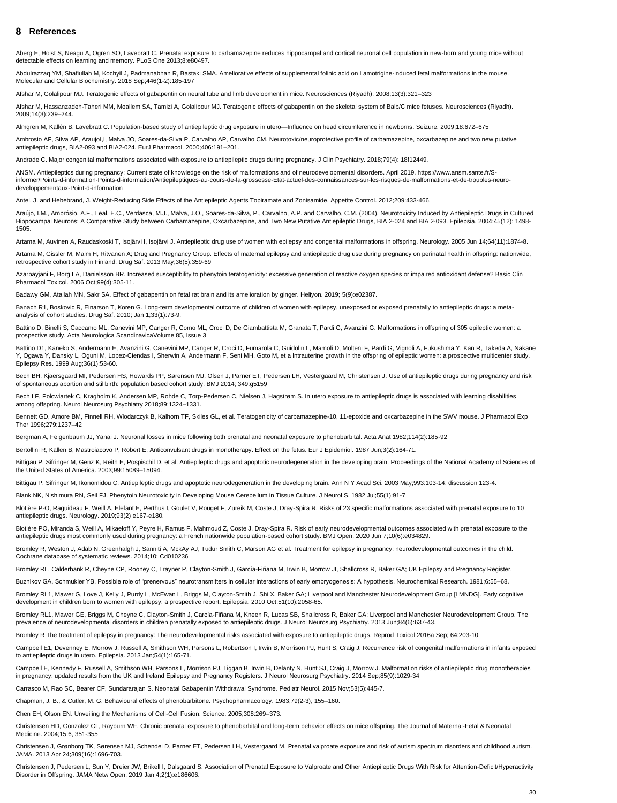#### <span id="page-29-0"></span>**References** 8

Aberg E, Holst S, Neagu A, Ogren SO, Lavebratt C. Prenatal exposure to carbamazepine reduces hippocampal and cortical neuronal cell population in new-born and young mice without detectable effects on learning and memory. PLoS One 2013;8:e80497.

Abdulrazzaq YM, Shafiullah M, Kochyil J, Padmanabhan R, Bastaki SMA. Ameliorative effects of supplemental folinic acid on Lamotrigine-induced fetal malformations in the mouse. Molecular and Cellular Biochemistry. 2018 Sep;446(1-2):185-197

Afshar M, Golalipour MJ. Teratogenic effects of gabapentin on neural tube and limb development in mice. Neurosciences (Riyadh). 2008;13(3):321–323

Ambrosio AF, Silva AP, Araujol, I, Malva JO, Soares-da-Silva P, Carvalho AP, Carvalho CM. Neurotoxic/neuroprotective profile of carbamazepine, oxcarbazepine and two new putative antiepileptic drugs, BIA2-093 and BIA2-024. EurJ Pharmacol. 2000;406:191–201.

Afshar M, Hassanzadeh-Taheri MM, Moallem SA, Tamizi A, Golalipour MJ. Teratogenic effects of gabapentin on the skeletal system of Balb/C mice fetuses. Neurosciences (Riyadh). 2009;14(3):239–244.

Almgren M, Källén B, Lavebratt C. Population-based study of antiepileptic drug exposure in utero—Influence on head circumference in newborns. Seizure. 2009;18:672–675

Andrade C. Major congenital malformations associated with exposure to antiepileptic drugs during pregnancy. J Clin Psychiatry. 2018;79(4): 18f12449.

Azarbayjani F, Borg LA, Danielsson BR. Increased susceptibility to phenytoin teratogenicity: excessive generation of reactive oxygen species or impaired antioxidant defense? Basic Clin Pharmacol Toxicol. 2006 Oct;99(4):305-11.

ANSM. Antiepileptics during pregnancy: Current state of knowledge on the risk of malformations and of neurodevelopmental disorders. April 2019. https://www.ansm.sante.fr/Sinformer/Points-d-information-Points-d-information/Antiepileptiques-au-cours-de-la-grossesse-Etat-actuel-des-connaissances-sur-les-risques-de-malformations-et-de-troubles-neurodeveloppementaux-Point-d-information

Banach R1, Boskovic R, Einarson T, Koren G. Long-term developmental outcome of children of women with epilepsy, unexposed or exposed prenatally to antiepileptic drugs: a metaanalysis of cohort studies. Drug Saf. 2010; Jan 1;33(1):73-9.

Antel, J. and Hebebrand, J. Weight-Reducing Side Effects of the Antiepileptic Agents Topiramate and Zonisamide. Appetite Control. 2012;209:433-466.

Battino D1, Kaneko S, Andermann E, Avanzini G, Canevini MP, Canger R, Croci D, Fumarola C, Guidolin L, Mamoli D, Molteni F, Pardi G, Vignoli A, Fukushima Y, Kan R, Takeda A, Nakane Y, Ogawa Y, Dansky L, Oguni M, Lopez-Ciendas I, Sherwin A, Andermann F, Seni MH, Goto M, et a lntrauterine growth in the offspring of epileptic women: a prospective multicenter study. Epilepsy Res. 1999 Aug;36(1):53-60.

Araújo, I.M., Ambrósio, A.F., Leal, E.C., Verdasca, M.J., Malva, J.O., Soares‐da‐Silva, P., Carvalho, A.P. and Carvalho, C.M. (2004), Neurotoxicity Induced by Antiepileptic Drugs in Cultured Hippocampal Neurons: A Comparative Study between Carbamazepine, Oxcarbazepine, and Two New Putative Antiepileptic Drugs, BIA 2‐024 and BIA 2‐093. Epilepsia. 2004;45(12): 1498- 1505.

Bech BH. Kiaersgaard MI, Pedersen HS, Howards PP, Sørensen MJ, Olsen J, Parner ET, Pedersen LH, Vestergaard M, Christensen J. Use of antiepileptic drugs during pregnancy and risk of spontaneous abortion and stillbirth: population based cohort study. BMJ 2014; 349:g5159

Artama M, Auvinen A, Raudaskoski T, Isojärvi I, Isojärvi J. Antiepileptic drug use of women with epilepsy and congenital malformations in offspring. Neurology. 2005 Jun 14;64(11):1874-8.

Artama M, Gissler M, Malm H, Ritvanen A; Drug and Pregnancy Group. Effects of maternal epilepsy and antiepileptic drug use during pregnancy on perinatal health in offspring: nationwide, retrospective cohort study in Finland. Drug Saf. 2013 May;36(5):359-69

Badawy GM, Atallah MN, Sakr SA. Effect of gabapentin on fetal rat brain and its amelioration by ginger. Heliyon. 2019; 5(9):e02387.

Battino D, Binelli S, Caccamo ML, Canevini MP, Canger R, Como ML, Croci D, De Giambattista M, Granata T, Pardi G, Avanzini G. Malformations in offspring of 305 epileptic women: a prospective study. Acta Neurologica ScandinavicaVolume 85, Issue 3

Bech LF, Polcwiartek C, Kragholm K, Andersen MP, Rohde C, Torp-Pedersen C, Nielsen J, Hagstrøm S. In utero exposure to antiepileptic drugs is associated with learning disabilities among offspring. Neurol Neurosurg Psychiatry 2018;89:1324–1331.

Bennett GD, Amore BM, Finnell RH, Wlodarczyk B, Kalhorn TF, Skiles GL, et al. Teratogenicity of carbamazepine-10, 11-epoxide and oxcarbazepine in the SWV mouse. J Pharmacol Exp Ther 1996;279:1237–42

Bergman A, Feigenbaum JJ, Yanai J. Neuronal losses in mice following both prenatal and neonatal exposure to phenobarbital. Acta Anat 1982;114(2):185-92

Bertollini R, Källen B, Mastroiacovo P, Robert E. Anticonvulsant drugs in monotherapy. Effect on the fetus. Eur J Epidemiol. 1987 Jun;3(2):164-71.

Bittigau P, Sifringer M, Genz K, Reith E, Pospischil D, et al. Antiepileptic drugs and apoptotic neurodegeneration in the developing brain. Proceedings of the National Academy of Sciences of the United States of America. 2003;99:15089–15094.

Bittigau P, Sifringer M, Ikonomidou C. Antiepileptic drugs and apoptotic neurodegeneration in the developing brain. Ann N Y Acad Sci. 2003 May;993:103-14; discussion 123-4.

Blank NK, Nishimura RN, Seil FJ. Phenytoin Neurotoxicity in Developing Mouse Cerebellum in Tissue Culture. J Neurol S. 1982 Jul;55(1):91-7

Blotière P-O, Raguideau F, Weill A, Elefant E, Perthus I, Goulet V, Rouget F, Zureik M, Coste J, Dray-Spira R. Risks of 23 specific malformations associated with prenatal exposure to 10 antiepileptic drugs. Neurology. 2019;93(2) e167-e180.

Blotière PO, Miranda S, Weill A, Mikaeloff Y, Peyre H, Ramus F, Mahmoud Z, Coste J, Dray-Spira R. Risk of early neurodevelopmental outcomes associated with prenatal exposure to the antiepileptic drugs most commonly used during pregnancy: a French nationwide population-based cohort study. BMJ Open. 2020 Jun 7;10(6):e034829.

Bromley R, Weston J, Adab N, Greenhalgh J, Sanniti A, MckAy AJ, Tudur Smith C, Marson AG et al. Treatment for epilepsy in pregnancy: neurodevelopmental outcomes in the child. Cochrane database of systematic reviews. 2014;10: Cd010236

Bromley RL, Calderbank R, Cheyne CP, Rooney C, Trayner P, Clayton-Smith J, García-Fiñana M, Irwin B, Morrow JI, Shallcross R, Baker GA; UK Epilepsy and Pregnancy Register.

Buznikov GA, Schmukler YB. Possible role of "prenervous" neurotransmitters in cellular interactions of early embryogenesis: A hypothesis. Neurochemical Research. 1981;6:55–68.

Bromley RL1, Mawer G, Love J, Kelly J, Purdy L, McEwan L, Briggs M, Clayton-Smith J, Shi X, Baker GA; Liverpool and Manchester Neurodevelopment Group [LMNDG]. Early cognitive development in children born to women with epilepsy: a prospective report. Epilepsia. 2010 Oct;51(10):2058-65.

Bromley RL1, Mawer GE, Briggs M, Cheyne C, Clayton-Smith J, García-Fiñana M, Kneen R, Lucas SB, Shallcross R, Baker GA; Liverpool and Manchester Neurodevelopment Group. The prevalence of neurodevelopmental disorders in children prenatally exposed to antiepileptic drugs. J Neurol Neurosurg Psychiatry. 2013 Jun;84(6):637-43.

Bromley R The treatment of epilepsy in pregnancy: The neurodevelopmental risks associated with exposure to antiepileptic drugs. Reprod Toxicol 2016a Sep; 64:203-10

Campbell E1, Devenney E, Morrow J, Russell A, Smithson WH, Parsons L, Robertson I, Irwin B, Morrison PJ, Hunt S, Craig J. Recurrence risk of congenital malformations in infants exposed to antiepileptic drugs in utero. Epilepsia. 2013 Jan;54(1):165-71.

Campbell E, Kennedy F, Russell A, Smithson WH, Parsons L, Morrison PJ, Liggan B, Irwin B, Delanty N, Hunt SJ, Craig J, Morrow J. Malformation risks of antiepileptic drug monotherapies in pregnancy: updated results from the UK and Ireland Epilepsy and Pregnancy Registers. J Neurol Neurosurg Psychiatry. 2014 Sep;85(9):1029-34

Carrasco M, Rao SC, Bearer CF, Sundararajan S. Neonatal Gabapentin Withdrawal Syndrome. Pediatr Neurol. 2015 Nov;53(5):445-7.

Chapman, J. B., & Cutler, M. G. Behavioural effects of phenobarbitone. Psychopharmacology. 1983;79(2-3), 155–160.

Chen EH, Olson EN. Unveiling the Mechanisms of Cell-Cell Fusion. Science. 2005;308:269–373.

Christensen HD, Gonzalez CL, Rayburn WF. Chronic prenatal exposure to phenobarbital and long-term behavior effects on mice offspring. The Journal of Maternal-Fetal & Neonatal Medicine. 2004;15:6, 351-355

Christensen J, Grønborg TK, Sørensen MJ, Schendel D, Parner ET, Pedersen LH, Vestergaard M. Prenatal valproate exposure and risk of autism spectrum disorders and childhood autism. JAMA. 2013 Apr 24;309(16):1696-703.

Christensen J, Pedersen L, Sun Y, Dreier JW, Brikell I, Dalsgaard S. Association of Prenatal Exposure to Valproate and Other Antiepileptic Drugs With Risk for Attention-Deficit/Hyperactivity Disorder in Offspring. JAMA Netw Open. 2019 Jan 4;2(1):e186606.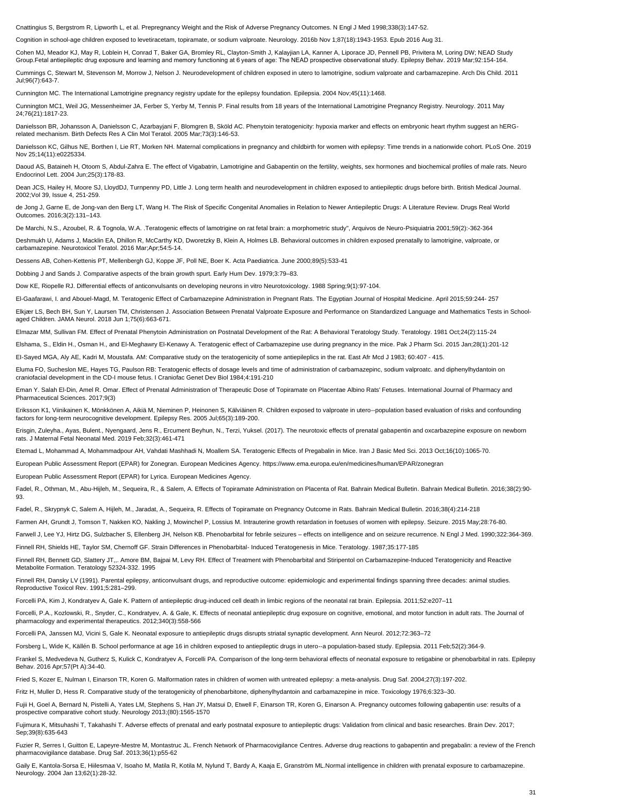Cnattingius S, Bergstrom R, Lipworth L, et al. Prepregnancy Weight and the Risk of Adverse Pregnancy Outcomes. N Engl J Med 1998;338(3):147-52.

Cognition in school-age children exposed to levetiracetam, topiramate, or sodium valproate. Neurology. 2016b Nov 1;87(18):1943-1953. Epub 2016 Aug 31.

Cohen MJ, Meador KJ, May R, Loblein H, Conrad T, Baker GA, Bromley RL, Clayton-Smith J, Kalayjian LA, Kanner A, Liporace JD, Pennell PB, Privitera M, Loring DW; NEAD Study Group.Fetal antiepileptic drug exposure and learning and memory functioning at 6 years of age: The NEAD prospective observational study. Epilepsy Behav. 2019 Mar;92:154-164.

Danielsson BR, Johansson A, Danielsson C, Azarbayjani F, Blomgren B, Sköld AC. Phenytoin teratogenicity: hypoxia marker and effects on embryonic heart rhythm suggest an hERGrelated mechanism. Birth Defects Res A Clin Mol Teratol. 2005 Mar;73(3):146-53.

Cummings C, Stewart M, Stevenson M, Morrow J, Nelson J. Neurodevelopment of children exposed in utero to lamotrigine, sodium valproate and carbamazepine. Arch Dis Child. 2011 Jul;96(7):643-7.

Cunnington MC. The International Lamotrigine pregnancy registry update for the epilepsy foundation. Epilepsia. 2004 Nov;45(11):1468.

Daoud AS, Bataineh H, Otoom S, Abdul-Zahra E. The effect of Vigabatrin, Lamotrigine and Gabapentin on the fertility, weights, sex hormones and biochemical profiles of male rats. Neuro Endocrinol Lett. 2004 Jun;25(3):178-83.

Dean JCS, Hailey H, Moore SJ, LloydDJ, Turnpenny PD, Little J. Long term health and neurodevelopment in children exposed to antiepileptic drugs before birth. British Medical Journal. 2002;Vol 39, Issue 4, 251-259.

Cunnington MC1, Weil JG, Messenheimer JA, Ferber S, Yerby M, Tennis P. Final results from 18 years of the International Lamotrigine Pregnancy Registry. Neurology. 2011 May 24;76(21):1817-23.

Danielsson KC, Gilhus NE, Borthen I, Lie RT, Morken NH. Maternal complications in pregnancy and childbirth for women with epilepsy: Time trends in a nationwide cohort. PLoS One. 2019 Nov 25;14(11):e0225334.

de Jong J, Garne E, de Jong-van den Berg LT, Wang H. The Risk of Specific Congenital Anomalies in Relation to Newer Antiepileptic Drugs: A Literature Review. Drugs Real World Outcomes. 2016;3(2):131–143.

De Marchi, N.S., Azoubel, R. & Tognola, W.A. .Teratogenic effects of lamotrigine on rat fetal brain: a morphometric study", Arquivos de Neuro-Psiquiatria 2001;59(2):-362-364

Deshmukh U, Adams J, Macklin EA, Dhillon R, McCarthy KD, Dworetzky B, Klein A, Holmes LB. Behavioral outcomes in children exposed prenatally to lamotrigine, valproate, or carbamazepine. Neurotoxicol Teratol. 2016 Mar;Apr;54:5-14.

Dessens AB, Cohen-Kettenis PT, Mellenbergh GJ, Koppe JF, Poll NE, Boer K. Acta Paediatrica. June 2000;89(5):533-41

Fadel, R., Othman, M., Abu-Hijleh, M., Sequeira, R., & Salem, A. Effects of Topiramate Administration on Placenta of Rat. Bahrain Medical Bulletin. Bahrain Medical Bulletin. 2016;38(2):90-93.

Dobbing J and Sands J. Comparative aspects of the brain growth spurt. Early Hum Dev. 1979;3:79–83.

Dow KE, Riopelle RJ. Differential effects of anticonvulsants on developing neurons in vitro Neurotoxicology. 1988 Spring;9(1):97-104.

El-Gaafarawi, I. and Abouel-Magd, M. Teratogenic Effect of Carbamazepine Administration in Pregnant Rats. The Egyptian Journal of Hospital Medicine. April 2015;59:244- 257

Finnell RH, Bennett GD, Slattery JT,,. Amore BM, Bajpai M, Levy RH. Effect of Treatment with Phenobarbital and Stiripentol on Carbamazepine-Induced Teratogenicity and Reactive Metabolite Formation. Teratology 52324-332. 1995

Elkjær LS, Bech BH, Sun Y, Laursen TM, Christensen J. Association Between Prenatal Valproate Exposure and Performance on Standardized Language and Mathematics Tests in Schoolaged Children. JAMA Neurol. 2018 Jun 1;75(6):663-671.

Elmazar MM, Sullivan FM. Effect of Prenatal Phenytoin Administration on Postnatal Development of the Rat: A Behavioral Teratology Study. Teratology. 1981 Oct;24(2):115-24

Elshama, S., Eldin H., Osman H., and El-Meghawry El-Kenawy A. Teratogenic effect of Carbamazepine use during pregnancy in the mice. Pak J Pharm Sci. 2015 Jan;28(1):201-12

EI-Sayed MGA, Aly AE, Kadri M, Moustafa. AM: Comparative study on the teratogenicity of some antiepileplics in the rat. East Afr Mcd J 1983; 60:407 - 415.

Eluma FO, Sucheslon ME, Hayes TG, Paulson RB: Teratogenic effects of dosage levels and time of administration of carbamazepinc, sodium valproatc. and diphenylhydantoin on craniofacial development in the CD-I mouse fetus. I Craniofac Genet Dev Biol 1984;4:191-210

Eman Y. Salah El-Din, Amel R. Omar. Effect of Prenatal Administration of Therapeutic Dose of Topiramate on Placentae Albino Rats' Fetuses. International Journal of Pharmacy and Pharmaceutical Sciences. 2017;9(3)

Gaily E, Kantola-Sorsa E, Hiilesmaa V, Isoaho M, Matila R, Kotila M, Nylund T, Bardy A, Kaaja E, Granström ML.Normal intelligence in children with prenatal exposure to carbamazepine. Neurology. 2004 Jan 13;62(1):28-32.

Eriksson K1, Viinikainen K, Mönkkönen A, Aikiä M, Nieminen P, Heinonen S, Kälviäinen R. Children exposed to valproate in utero--population based evaluation of risks and confounding factors for long-term neurocognitive development. Epilepsy Res. 2005 Jul;65(3):189-200.

Erisgin, Zuleyha., Ayas, Bulent., Nyengaard, Jens R., Ercument Beyhun, N., Terzi, Yuksel. (2017). The neurotoxic effects of prenatal gabapentin and oxcarbazepine exposure on newborn rats. J Maternal Fetal Neonatal Med. 2019 Feb;32(3):461-471

Etemad L, Mohammad A, Mohammadpour AH, Vahdati Mashhadi N, Moallem SA. Teratogenic Effects of Pregabalin in Mice. Iran J Basic Med Sci. 2013 Oct;16(10):1065-70.

European Public Assessment Report (EPAR) for Zonegran. European Medicines Agency. https://www.ema.europa.eu/en/medicines/human/EPAR/zonegran

European Public Assessment Report (EPAR) for Lyrica. European Medicines Agency.

Fadel, R., Skrypnyk C, Salem A, Hijleh, M., Jaradat, A., Sequeira, R. Effects of Topiramate on Pregnancy Outcome in Rats. Bahrain Medical Bulletin. 2016;38(4):214-218

Farmen AH, Grundt J, Tomson T, Nakken KO, Nakling J, Mowinchel P, Lossius M. Intrauterine growth retardation in foetuses of women with epilepsy. Seizure. 2015 May;28:76-80.

Farwell J, Lee YJ, Hirtz DG, Sulzbacher S, Ellenberg JH, Nelson KB. Phenobarbital for febrile seizures – effects on intelligence and on seizure recurrence. N Engl J Med. 1990;322:364-369.

Finnell RH, Shields HE, Taylor SM, Chernoff GF. Strain Differences in Phenobarbital- Induced Teratogenesis in Mice. Teratology. 1987;35:177-185

Finnell RH, Dansky LV (1991). Parental epilepsy, anticonvulsant drugs, and reproductive outcome: epidemiologic and experimental findings spanning three decades: animal studies. Reproductive Toxicol Rev. 1991;5:281–299.

Forcelli PA, Kim J, Kondratyev A, Gale K. Pattern of antiepileptic drug-induced cell death in limbic regions of the neonatal rat brain. Epilepsia. 2011;52:e207–11

Forcelli, P.A., Kozlowski, R., Snyder, C., Kondratyev, A. & Gale, K. Effects of neonatal antiepileptic drug exposure on cognitive, emotional, and motor function in adult rats. The Journal of pharmacology and experimental therapeutics. 2012;340(3):558-566

Forcelli PA, Janssen MJ, Vicini S, Gale K. Neonatal exposure to antiepileptic drugs disrupts striatal synaptic development. Ann Neurol. 2012;72:363–72

Forsberg L, Wide K, Källén B. School performance at age 16 in children exposed to antiepileptic drugs in utero--a population-based study. Epilepsia. 2011 Feb;52(2):364-9.

Frankel S, Medvedeva N, Gutherz S, Kulick C, Kondratyev A, Forcelli PA. Comparison of the long-term behavioral effects of neonatal exposure to retigabine or phenobarbital in rats. Epilepsy Behav. 2016 Apr;57(Pt A):34-40.

Fried S, Kozer E, Nulman I, Einarson TR, Koren G. Malformation rates in children of women with untreated epilepsy: a meta-analysis. Drug Saf. 2004;27(3):197-202.

Fritz H, Muller D, Hess R. Comparative study of the teratogenicity of phenobarbitone, diphenylhydantoin and carbamazepine in mice. Toxicology 1976;6:323–30.

Fujii H, Goel A, Bernard N, Pistelli A, Yates LM, Stephens S, Han JY, Matsui D, Etwell F, Einarson TR, Koren G, Einarson A. Pregnancy outcomes following gabapentin use: results of a prospective comparative cohort study. Neurology 2013;(80):1565-1570

Fujimura K, Mitsuhashi T, Takahashi T. Adverse effects of prenatal and early postnatal exposure to antiepileptic drugs: Validation from clinical and basic researches. Brain Dev. 2017; Sep;39(8):635-643

Fuzier R, Serres I, Guitton E, Lapeyre-Mestre M, Montastruc JL. French Network of Pharmacovigilance Centres. Adverse drug reactions to gabapentin and pregabalin: a review of the French pharmacovigilance database. Drug Saf. 2013;36(1):p55-62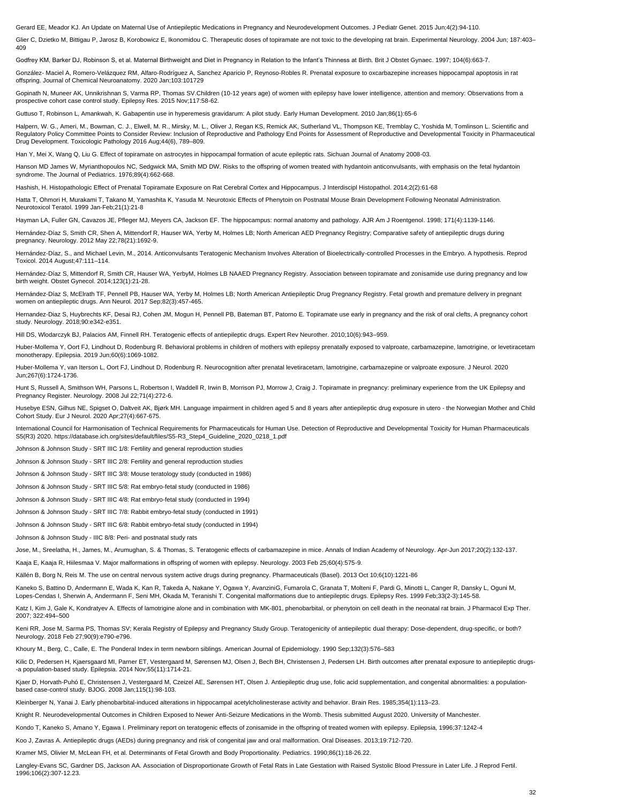Gerard EE, Meador KJ. An Update on Maternal Use of Antiepileptic Medications in Pregnancy and Neurodevelopment Outcomes. J Pediatr Genet. 2015 Jun;4(2):94-110.

Glier C, Dzietko M, Bittigau P, Jarosz B, Korobowicz E, Ikonomidou C. Therapeutic doses of topiramate are not toxic to the developing rat brain. Experimental Neurology. 2004 Jun; 187:403– 409

Godfrey KM, Barker DJ, Robinson S, et al. Maternal Birthweight and Diet in Pregnancy in Relation to the Infant's Thinness at Birth. Brit J Obstet Gynaec. 1997; 104(6):663-7.

González- Maciel A, Romero-Velázquez RM, Alfaro-Rodríguez A, Sanchez Aparicio P, Reynoso-Robles R. Prenatal exposure to oxcarbazepine increases hippocampal apoptosis in rat offspring. Journal of Chemical Neuroanatomy. 2020 Jan;103:101729

Halpern, W. G., Ameri, M., Bowman, C. J., Elwell, M. R., Mirsky, M. L., Oliver J, Regan KS, Remick AK, Sutherland VL, Thompson KE, Tremblay C, Yoshida M, Tomlinson L. Scientific and Regulatory Policy Committee Points to Consider Review: Inclusion of Reproductive and Pathology End Points for Assessment of Reproductive and Developmental Toxicity in Pharmaceutical Drug Development. Toxicologic Pathology 2016 Aug;44(6), 789–809.

Gopinath N, Muneer AK, Unnikrishnan S, Varma RP, Thomas SV.Children (10-12 years age) of women with epilepsy have lower intelligence, attention and memory: Observations from a prospective cohort case control study. Epilepsy Res. 2015 Nov;117:58-62.

Guttuso T, Robinson L, Amankwah, K. Gabapentin use in hyperemesis gravidarum: A pilot study. Early Human Development. 2010 Jan;86(1):65-6

Han Y, Mei X, Wang Q, Liu G. Effect of topiramate on astrocytes in hippocampal formation of acute epileptic rats. Sichuan Journal of Anatomy 2008-03.

Hanson MD James W, Myrianthopoulos NC, Sedgwick MA, Smith MD DW. Risks to the offspring of women treated with hydantoin anticonvulsants, with emphasis on the fetal hydantoin syndrome. The Journal of Pediatrics. 1976;89(4):662-668.

Hashish, H. Histopathologic Effect of Prenatal Topiramate Exposure on Rat Cerebral Cortex and Hippocampus. J Interdiscipl Histopathol. 2014;2(2):61-68

Hunt S, Russell A, Smithson WH, Parsons L, Robertson I, Waddell R, Irwin B, Morrison PJ, Morrow J, Craig J. Topiramate in pregnancy: preliminary experience from the UK Epilepsy and Pregnancy Register. Neurology. 2008 Jul 22;71(4):272-6.

Hatta T, Ohmori H, Murakami T, Takano M, Yamashita K, Yasuda M. Neurotoxic Effects of Phenytoin on Postnatal Mouse Brain Development Following Neonatal Administration. Neurotoxicol Teratol. 1999 Jan-Feb;21(1):21-8

Hayman LA, Fuller GN, Cavazos JE, Pfleger MJ, Meyers CA, Jackson EF. The hippocampus: normal anatomy and pathology. AJR Am J Roentgenol. 1998; 171(4):1139-1146.

Hernández-Díaz S, Smith CR, Shen A, Mittendorf R, Hauser WA, Yerby M, Holmes LB; North American AED Pregnancy Registry; Comparative safety of antiepileptic drugs during pregnancy. Neurology. 2012 May 22;78(21):1692-9.

Hernández-Díaz, S., and Michael Levin, M., 2014. Anticonvulsants Teratogenic Mechanism Involves Alteration of Bioelectrically-controlled Processes in the Embryo. A hypothesis. Reprod Toxicol. 2014 August;47:111–114.

Hernández-Díaz S, Mittendorf R, Smith CR, Hauser WA, YerbyM, Holmes LB NAAED Pregnancy Registry. Association between topiramate and zonisamide use during pregnancy and low birth weight. Obstet Gynecol. 2014;123(1):21-28.

Hernández-Díaz S, McElrath TF, Pennell PB, Hauser WA, Yerby M, Holmes LB; North American Antiepileptic Drug Pregnancy Registry. Fetal growth and premature delivery in pregnant women on antiepileptic drugs. Ann Neurol. 2017 Sep;82(3):457-465.

Katz I, Kim J, Gale K, Kondratyev A. Effects of lamotrigine alone and in combination with MK-801, phenobarbital, or phenytoin on cell death in the neonatal rat brain. J Pharmacol Exp Ther. 2007; 322:494–500

Keni RR, Jose M, Sarma PS, Thomas SV; Kerala Registry of Epilepsy and Pregnancy Study Group. Teratogenicity of antiepileptic dual therapy: Dose-dependent, drug-specific, or both? Neurology. 2018 Feb 27;90(9):e790-e796.

Hernandez-Diaz S, Huybrechts KF, Desai RJ, Cohen JM, Mogun H, Pennell PB, Bateman BT, Patorno E. Topiramate use early in pregnancy and the risk of oral clefts, A pregnancy cohort study. Neurology. 2018;90:e342-e351.

Kilic D, Pedersen H, Kjaersgaard MI, Parner ET, Vestergaard M, Sørensen MJ, Olsen J, Bech BH, Christensen J, Pedersen LH. Birth outcomes after prenatal exposure to antiepileptic drugs--a population-based study. Epilepsia. 2014 Nov;55(11):1714-21.

Hill DS, Wlodarczyk BJ, Palacios AM, Finnell RH. Teratogenic effects of antiepileptic drugs. Expert Rev Neurother. 2010;10(6):943–959.

Huber-Mollema Y, Oort FJ, Lindhout D, Rodenburg R. Behavioral problems in children of mothers with epilepsy prenatally exposed to valproate, carbamazepine, lamotrigine, or levetiracetam monotherapy. Epilepsia. 2019 Jun;60(6):1069-1082.

Huber-Mollema Y, van Iterson L, Oort FJ, Lindhout D, Rodenburg R. Neurocognition after prenatal levetiracetam, lamotrigine, carbamazepine or valproate exposure. J Neurol. 2020 Jun;267(6):1724-1736.

Husebye ESN, Gilhus NE, Spigset O, Daltveit AK, Bjørk MH. Language impairment in children aged 5 and 8 years after antiepileptic drug exposure in utero - the Norwegian Mother and Child Cohort Study. Eur J Neurol. 2020 Apr;27(4):667-675.

International Council for Harmonisation of Technical Requirements for Pharmaceuticals for Human Use. Detection of Reproductive and Developmental Toxicity for Human Pharmaceuticals S5(R3) 2020. https://database.ich.org/sites/default/files/S5-R3\_Step4\_Guideline\_2020\_0218\_1.pdf

Johnson & Johnson Study - SRT IIIC 1/8: Fertility and general reproduction studies

Johnson & Johnson Study - SRT IIIC 2/8: Fertility and general reproduction studies

Johnson & Johnson Study - SRT IIIC 3/8: Mouse teratology study (conducted in 1986)

Johnson & Johnson Study - SRT IIIC 5/8: Rat embryo-fetal study (conducted in 1986)

Johnson & Johnson Study - SRT IIIC 4/8: Rat embryo-fetal study (conducted in 1994)

Johnson & Johnson Study - SRT IIIC 7/8: Rabbit embryo-fetal study (conducted in 1991)

Johnson & Johnson Study - SRT IIIC 6/8: Rabbit embryo-fetal study (conducted in 1994)

Johnson & Johnson Study - IIIC 8/8: Peri- and postnatal study rats

Jose, M., Sreelatha, H., James, M., Arumughan, S. & Thomas, S. Teratogenic effects of carbamazepine in mice. Annals of Indian Academy of Neurology. Apr-Jun 2017;20(2):132-137.

Kaaja E, Kaaja R, Hiilesmaa V. Major malformations in offspring of women with epilepsy. Neurology. 2003 Feb 25;60(4):575-9.

Källén B, Borg N, Reis M. The use on central nervous system active drugs during pregnancy. Pharmaceuticals (Basel). 2013 Oct 10;6(10):1221-86

Kaneko S, Battino D, Andermann E, Wada K, Kan R, Takeda A, Nakane Y, Ogawa Y, AvanziniG, Fumarola C, Granata T, Molteni F, Pardi G, Minotti L, Canger R, Dansky L, Oguni M, Lopes-Cendas I, Sherwin A, Andermann F, Seni MH, Okada M, Teranishi T. Congenital malformations due to antiepileptic drugs. Epilepsy Res. 1999 Feb;33(2-3):145-58.

Khoury M., Berg, C., Calle, E. The Ponderal Index in term newborn siblings. American Journal of Epidemiology. 1990 Sep;132(3):576–583

Kjaer D, Horvath-Puhó E, Christensen J, Vestergaard M, Czeizel AE, Sørensen HT, Olsen J. Antiepileptic drug use, folic acid supplementation, and congenital abnormalities: a populationbased case-control study. BJOG. 2008 Jan;115(1):98-103.

Kleinberger N, Yanai J. Early phenobarbital-induced alterations in hippocampal acetylcholinesterase activity and behavior. Brain Res. 1985;354(1):113–23.

Knight R. Neurodevelopmental Outcomes in Children Exposed to Newer Anti-Seizure Medications in the Womb. Thesis submitted August 2020. University of Manchester.

Kondo T, Kaneko S, Amano Y, Egawa I. Preliminary report on teratogenic effects of zonisamide in the offspring of treated women with epilepsy. Epilepsia, 1996;37:1242-4

Koo J, Zavras A. Antiepileptic drugs (AEDs) during pregnancy and risk of congenital jaw and oral malformation. Oral Diseases. 2013;19:712-720.

Kramer MS, Olivier M, McLean FH, et al. Determinants of Fetal Growth and Body Proportionality. Pediatrics. 1990;86(1):18-26.22.

Langley-Evans SC, Gardner DS, Jackson AA. Association of Disproportionate Growth of Fetal Rats in Late Gestation with Raised Systolic Blood Pressure in Later Life. J Reprod Fertil. 1996;106(2):307-12.23.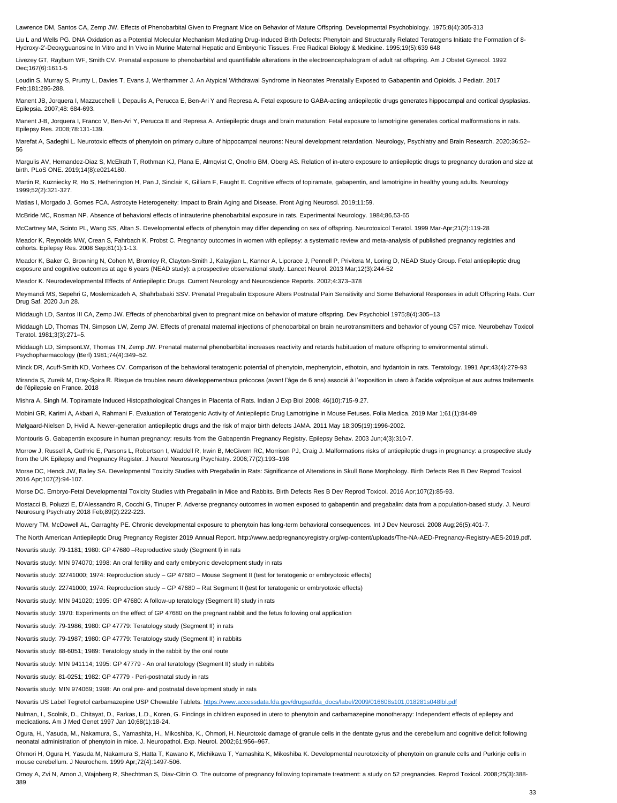Lawrence DM, Santos CA, Zemp JW. Effects of Phenobarbital Given to Pregnant Mice on Behavior of Mature Offspring. Developmental Psychobiology. 1975;8(4):305-313

Liu L and Wells PG. DNA Oxidation as a Potential Molecular Mechanism Mediating Drug-Induced Birth Defects: Phenytoin and Structurally Related Teratogens Initiate the Formation of 8- Hydroxy-2'-Deoxyguanosine In Vitro and In Vivo in Murine Maternal Hepatic and Embryonic Tissues. Free Radical Biology & Medicine. 1995;19(5):639 648

Livezey GT, Rayburn WF, Smith CV. Prenatal exposure to phenobarbital and quantifiable alterations in the electroencephalogram of adult rat offspring. Am J Obstet Gynecol. 1992 Dec;167(6):1611-5

Manent J-B, Jorquera I, Franco V, Ben-Ari Y, Perucca E and Represa A. Antiepileptic drugs and brain maturation: Fetal exposure to lamotrigine generates cortical malformations in rats. Epilepsy Res. 2008;78:131-139.

Marefat A, Sadeghi L. Neurotoxic effects of phenytoin on primary culture of hippocampal neurons: Neural development retardation. Neurology, Psychiatry and Brain Research. 2020;36:52-56

Loudin S, Murray S, Prunty L, Davies T, Evans J, Werthammer J. An Atypical Withdrawal Syndrome in Neonates Prenatally Exposed to Gabapentin and Opioids. J Pediatr. 2017 Feb;181:286-288.

Margulis AV, Hernandez-Diaz S, McElrath T, Rothman KJ, Plana E, Almqvist C, Onofrio BM, Oberg AS. Relation of in-utero exposure to antiepileptic drugs to pregnancy duration and size at birth. PLoS ONE. 2019;14(8):e0214180.

Manent JB, Jorquera I, Mazzucchelli I, Depaulis A, Perucca E, Ben-Ari Y and Represa A. Fetal exposure to GABA-acting antiepileptic drugs generates hippocampal and cortical dysplasias. Epilepsia. 2007;48: 684-693.

Meador K, Baker G, Browning N, Cohen M, Bromley R, Clayton-Smith J, Kalayjian L, Kanner A, Liporace J, Pennell P, Privitera M, Loring D, NEAD Study Group. Fetal antiepileptic drug exposure and cognitive outcomes at age 6 years (NEAD study): a prospective observational study. Lancet Neurol. 2013 Mar;12(3):244-52

Martin R, Kuzniecky R, Ho S, Hetherington H, Pan J, Sinclair K, Gilliam F, Faught E. Cognitive effects of topiramate, gabapentin, and lamotrigine in healthy young adults. Neurology 1999;52(2):321-327.

Matias I, Morgado J, Gomes FCA. Astrocyte Heterogeneity: Impact to Brain Aging and Disease. Front Aging Neurosci. 2019;11:59.

McBride MC, Rosman NP. Absence of behavioral effects of intrauterine phenobarbital exposure in rats. Experimental Neurology. 1984;86,53-65

McCartney MA, Scinto PL, Wang SS, Altan S. Developmental effects of phenytoin may differ depending on sex of offspring. Neurotoxicol Teratol. 1999 Mar-Apr;21(2):119-28

Meador K, Reynolds MW, Crean S, Fahrbach K, Probst C. Pregnancy outcomes in women with epilepsy: a systematic review and meta-analysis of published pregnancy registries and cohorts. Epilepsy Res. 2008 Sep;81(1):1-13.

Morrow J, Russell A, Guthrie E, Parsons L, Robertson I, Waddell R, Irwin B, McGivern RC, Morrison PJ, Craig J. Malformations risks of antiepileptic drugs in pregnancy: a prospective study from the UK Epilepsy and Pregnancy Register. J Neurol Neurosurg Psychiatry. 2006;77(2):193–198

Meador K. Neurodevelopmental Effects of Antiepileptic Drugs. Current Neurology and Neuroscience Reports. 2002;4:373–378

Meymandi MS, Sepehri G, Moslemizadeh A, Shahrbabaki SSV. Prenatal Pregabalin Exposure Alters Postnatal Pain Sensitivity and Some Behavioral Responses in adult Offspring Rats. Curr Drug Saf. 2020 Jun 28.

Middaugh LD, Santos III CA, Zemp JW. Effects of phenobarbital given to pregnant mice on behavior of mature offspring. Dev Psychobiol 1975;8(4):305–13

Middaugh LD, Thomas TN, Simpson LW, Zemp JW. Effects of prenatal maternal injections of phenobarbital on brain neurotransmitters and behavior of young C57 mice. Neurobehav Toxicol Teratol. 1981;3(3):271–5.

Middaugh LD, SimpsonLW, Thomas TN, Zemp JW. Prenatal maternal phenobarbital increases reactivity and retards habituation of mature offspring to environmental stimuli. Psychopharmacology (Berl) 1981;74(4):349–52.

Nulman, I., Scolnik, D., Chitayat, D., Farkas, L.D., Koren, G. Findings in children exposed in utero to phenytoin and carbamazepine monotherapy: Independent effects of epilepsy and medications. Am J Med Genet 1997 Jan 10;68(1):18-24.

Minck DR, Acuff-Smith KD, Vorhees CV. Comparison of the behavioral teratogenic potential of phenytoin, mephenytoin, ethotoin, and hydantoin in rats. Teratology. 1991 Apr;43(4):279-93

Miranda S, Zureik M, Dray-Spira R. Risque de troubles neuro développementaux précoces (avant l'âge de 6 ans) associé à l'exposition in utero à l'acide valproïque et aux autres traitements de l'épilepsie en France. 2018

Mishra A, Singh M. Topiramate Induced Histopathological Changes in Placenta of Rats. Indian J Exp Biol 2008; 46(10):715-9.27.

Mobini GR, Karimi A, Akbari A, Rahmani F. Evaluation of Teratogenic Activity of Antiepileptic Drug Lamotrigine in Mouse Fetuses. Folia Medica. 2019 Mar 1;61(1):84-89

Mølgaard-Nielsen D, Hviid A. Newer-generation antiepileptic drugs and the risk of major birth defects JAMA. 2011 May 18;305(19):1996-2002.

Montouris G. Gabapentin exposure in human pregnancy: results from the Gabapentin Pregnancy Registry. Epilepsy Behav. 2003 Jun;4(3):310-7.

Morse DC, Henck JW, Bailey SA. Developmental Toxicity Studies with Pregabalin in Rats: Significance of Alterations in Skull Bone Morphology. Birth Defects Res B Dev Reprod Toxicol. 2016 Apr;107(2):94-107.

Morse DC. Embryo-Fetal Developmental Toxicity Studies with Pregabalin in Mice and Rabbits. Birth Defects Res B Dev Reprod Toxicol. 2016 Apr;107(2):85-93.

Mostacci B, Poluzzi E, D'Alessandro R, Cocchi G, Tinuper P. Adverse pregnancy outcomes in women exposed to gabapentin and pregabalin: data from a population-based study. J. Neurol Neurosurg Psychiatry 2018 Feb;89(2):222-223.

Mowery TM, McDowell AL, Garraghty PE. Chronic developmental exposure to phenytoin has long-term behavioral consequences. Int J Dev Neurosci. 2008 Aug;26(5):401-7.

The North American Antiepileptic Drug Pregnancy Register 2019 Annual Report. http://www.aedpregnancyregistry.org/wp-content/uploads/The-NA-AED-Pregnancy-Registry-AES-2019.pdf.

Novartis study: 79-1181; 1980: GP 47680 –Reproductive study (Segment I) in rats

Novartis study: MIN 974070; 1998: An oral fertility and early embryonic development study in rats Novartis study: 32741000; 1974: Reproduction study – GP 47680 – Mouse Segment II (test for teratogenic or embryotoxic effects) Novartis study: 22741000; 1974: Reproduction study – GP 47680 – Rat Segment II (test for teratogenic or embryotoxic effects) Novartis study: MIN 941020; 1995: GP 47680: A follow-up teratology (Segment II) study in rats Novartis study: 1970: Experiments on the effect of GP 47680 on the pregnant rabbit and the fetus following oral application Novartis study: 79-1986; 1980: GP 47779: Teratology study (Segment II) in rats Novartis study: 79-1987; 1980: GP 47779: Teratology study (Segment II) in rabbits Novartis study: 88-6051; 1989: Teratology study in the rabbit by the oral route Novartis study: MIN 941114; 1995: GP 47779 - An oral teratology (Segment II) study in rabbits

Novartis study: 81-0251; 1982: GP 47779 - Peri-postnatal study in rats

Novartis study: MIN 974069; 1998: An oral pre- and postnatal development study in rats

Novartis US Label Tegretol carbamazepine USP Chewable Tablets. [https://www.accessdata.fda.gov/drugsatfda\\_docs/label/2009/016608s101,018281s048lbl.pdf](https://www.accessdata.fda.gov/drugsatfda_docs/label/2009/016608s101,018281s048lbl.pdf)

Ogura, H., Yasuda, M., Nakamura, S., Yamashita, H., Mikoshiba, K., Ohmori, H. Neurotoxic damage of granule cells in the dentate gyrus and the cerebellum and cognitive deficit following neonatal administration of phenytoin in mice. J. Neuropathol. Exp. Neurol. 2002;61:956–967.

Ohmori H, Ogura H, Yasuda M, Nakamura S, Hatta T, Kawano K, Michikawa T, Yamashita K, Mikoshiba K. Developmental neurotoxicity of phenytoin on granule cells and Purkinje cells in mouse cerebellum. J Neurochem. 1999 Apr;72(4):1497-506.

Ornoy A, Zvi N, Arnon J, Wajnberg R, Shechtman S, Diav-Citrin O. The outcome of pregnancy following topiramate treatment: a study on 52 pregnancies. Reprod Toxicol. 2008;25(3):388- 389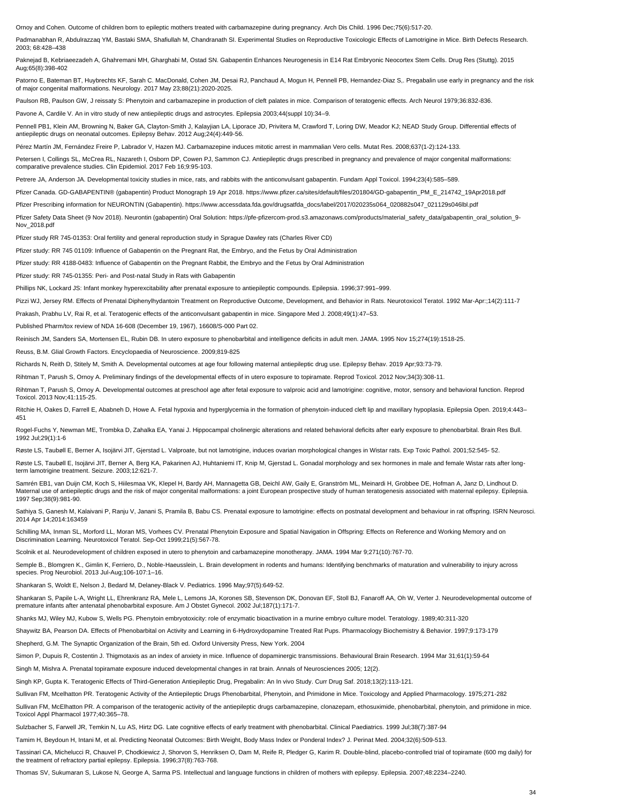Ornoy and Cohen. Outcome of children born to epileptic mothers treated with carbamazepine during pregnancy. Arch Dis Child. 1996 Dec;75(6):517-20.

Padmanabhan R, Abdulrazzaq YM, Bastaki SMA, Shafiullah M, Chandranath SI. Experimental Studies on Reproductive Toxicologic Effects of Lamotrigine in Mice. Birth Defects Research. 2003; 68:428–438

Patorno E, Bateman BT, Huybrechts KF, Sarah C. MacDonald, Cohen JM, Desai RJ, Panchaud A, Mogun H, Pennell PB, Hernandez-Diaz S., Pregabalin use early in pregnancy and the risk of major congenital malformations. Neurology. 2017 May 23;88(21):2020-2025.

Paulson RB, Paulson GW, J reissaty S: Phenytoin and carbamazepine in production of cleft palates in mice. Comparison of teratogenic effects. Arch Neurol 1979;36:832-836.

Paknejad B, Kebriaeezadeh A, Ghahremani MH, Gharghabi M, Ostad SN. Gabapentin Enhances Neurogenesis in E14 Rat Embryonic Neocortex Stem Cells. Drug Res (Stuttg). 2015 Aug;65(8):398-402

Pennell PB1, Klein AM, Browning N, Baker GA, Clayton-Smith J, Kalayjian LA, Liporace JD, Privitera M, Crawford T, Loring DW, Meador KJ; NEAD Study Group. Differential effects of antiepileptic drugs on neonatal outcomes. Epilepsy Behav. 2012 Aug;24(4):449-56.

Petersen I, Collings SL, McCrea RL, Nazareth I, Osborn DP, Cowen PJ, Sammon CJ. Antiepileptic drugs prescribed in pregnancy and prevalence of major congenital malformations: comparative prevalence studies. Clin Epidemiol. 2017 Feb 16;9:95-103.

Pavone A, Cardile V. An in vitro study of new antiepileptic drugs and astrocytes. Epilepsia 2003;44(suppl 10):34–9.

Pfizer Safety Data Sheet (9 Nov 2018). Neurontin (gabapentin) Oral Solution: https://pfe-pfizercom-prod.s3.amazonaws.com/products/material\_safety\_data/gabapentin\_oral\_solution\_9-Nov\_2018.pdf

Pérez Martín JM, Fernández Freire P, Labrador V, Hazen MJ. Carbamazepine induces mitotic arrest in mammalian Vero cells. Mutat Res. 2008;637(1-2):124-133.

Petrere JA, Anderson JA. Developmental toxicity studies in mice, rats, and rabbits with the anticonvulsant gabapentin. Fundam Appl Toxicol. 1994;23(4):585–589.

Pfizer Canada. GD-GABAPENTIN® (gabapentin) Product Monograph 19 Apr 2018. https://www.pfizer.ca/sites/default/files/201804/GD-gabapentin\_PM\_E\_214742\_19Apr2018.pdf

Pfizer Prescribing information for NEURONTIN (Gabapentin). https://www.accessdata.fda.gov/drugsatfda\_docs/label/2017/020235s064\_020882s047\_021129s046lbl.pdf

Ritchie H, Oakes D, Farrell E, Ababneh D, Howe A. Fetal hypoxia and hyperglycemia in the formation of phenytoin-induced cleft lip and maxillary hypoplasia. Epilepsia Open. 2019;4:443-451

Rogel-Fuchs Y, Newman ME, Trombka D, Zahalka EA, Yanai J. Hippocampal cholinergic alterations and related behavioral deficits after early exposure to phenobarbital. Brain Res Bull. 1992 Jul;29(1):1-6

Pfizer study RR 745-01353: Oral fertility and general reproduction study in Sprague Dawley rats (Charles River CD)

Røste LS, Taubøll E, Isojärvi JIT, Berner A, Berg KA, Pakarinen AJ, Huhtaniemi IT, Knip M, Gjerstad L. Gonadal morphology and sex hormones in male and female Wistar rats after longterm lamotrigine treatment. Seizure. 2003;12:621-7.

Pfizer study: RR 745 01109: Influence of Gabapentin on the Pregnant Rat, the Embryo, and the Fetus by Oral Administration

Samrén EB1, van Duijn CM, Koch S, Hiilesmaa VK, Klepel H, Bardy AH, Mannagetta GB, Deichl AW, Gaily E, Granström ML, Meinardi H, Grobbee DE, Hofman A, Janz D, Lindhout D. Maternal use of antiepileptic drugs and the risk of major congenital malformations: a joint European prospective study of human teratogenesis associated with maternal epilepsy. Epilepsia. 1997 Sep;38(9):981-90.

Pfizer study: RR 4188-0483: Influence of Gabapentin on the Pregnant Rabbit, the Embryo and the Fetus by Oral Administration

Sathiya S, Ganesh M, Kalaivani P, Ranju V, Janani S, Pramila B, Babu CS. Prenatal exposure to lamotrigine: effects on postnatal development and behaviour in rat offspring. ISRN Neurosci. 2014 Apr 14;2014:163459

Pfizer study: RR 745-01355: Peri- and Post-natal Study in Rats with Gabapentin

Phillips NK, Lockard JS: Infant monkey hyperexcitability after prenatal exposure to antiepileptic compounds. Epilepsia. 1996;37:991–999.

Pizzi WJ, Jersey RM. Effects of Prenatal Diphenylhydantoin Treatment on Reproductive Outcome, Development, and Behavior in Rats. Neurotoxicol Teratol. 1992 Mar-Apr:;14(2):111-7

Prakash, Prabhu LV, Rai R, et al. Teratogenic effects of the anticonvulsant gabapentin in mice. Singapore Med J. 2008;49(1):47–53.

Published Pharm/tox review of NDA 16-608 (December 19, 1967), 16608/S-000 Part 02.

Reinisch JM, Sanders SA, Mortensen EL, Rubin DB. In utero exposure to phenobarbital and intelligence deficits in adult men. JAMA. 1995 Nov 15;274(19):1518-25.

Reuss, B.M. Glial Growth Factors. Encyclopaedia of Neuroscience. 2009;819-825

Richards N, Reith D, Stitely M, Smith A. Developmental outcomes at age four following maternal antiepileptic drug use. Epilepsy Behav. 2019 Apr;93:73-79.

Rihtman T, Parush S, Ornoy A. Preliminary findings of the developmental effects of in utero exposure to topiramate. Reprod Toxicol. 2012 Nov;34(3):308-11.

Sullivan FM, McElhatton PR. A comparison of the teratogenic activity of the antiepileptic drugs carbamazepine, clonazepam, ethosuximide, phenobarbital, phenytoin, and primidone in mice. Toxicol Appl Pharmacol 1977;40:365–78.

Rihtman T, Parush S, Ornoy A. Developmental outcomes at preschool age after fetal exposure to valproic acid and lamotrigine: cognitive, motor, sensory and behavioral function. Reprod Toxicol. 2013 Nov;41:115-25.

Røste LS, Taubøll E, Berner A, Isojärvi JIT, Gjerstad L. Valproate, but not lamotrigine, induces ovarian morphological changes in Wistar rats. Exp Toxic Pathol. 2001;52:545- 52.

Schilling MA, Inman SL, Morford LL, Moran MS, Vorhees CV. Prenatal Phenytoin Exposure and Spatial Navigation in Offspring: Effects on Reference and Working Memory and on Discrimination Learning. Neurotoxicol Teratol. Sep-Oct 1999;21(5):567-78.

Scolnik et al. Neurodevelopment of children exposed in utero to phenytoin and carbamazepine monotherapy. JAMA. 1994 Mar 9;271(10):767-70.

Semple B., Blomgren K., Gimlin K, Ferriero, D., Noble-Haeusslein, L. Brain development in rodents and humans: Identifying benchmarks of maturation and vulnerability to injury across species. Prog Neurobiol. 2013 Jul-Aug;106-107:1–16.

Shankaran S, Woldt E, Nelson J, Bedard M, Delaney-Black V. Pediatrics. 1996 May;97(5):649-52.

Shankaran S, Papile L-A, Wright LL, Ehrenkranz RA, Mele L, Lemons JA, Korones SB, Stevenson DK, Donovan EF, Stoll BJ, Fanaroff AA, Oh W, Verter J. Neurodevelopmental outcome of premature infants after antenatal phenobarbital exposure. Am J Obstet Gynecol. 2002 Jul;187(1):171-7.

Shanks MJ, Wiley MJ, Kubow S, Wells PG. Phenytoin embryotoxicity: role of enzymatic bioactivation in a murine embryo culture model. Teratology. 1989;40:311-320

Shaywitz BA, Pearson DA. Effects of Phenobarbital on Activity and Learning in 6-Hydroxydopamine Treated Rat Pups. Pharmacology Biochemistry & Behavior. 1997;9:173-179

Shepherd, G.M. The Synaptic Organization of the Brain, 5th ed. Oxford University Press, New York. 2004

Simon P, Dupuis R, Costentin J. Thigmotaxis as an index of anxiety in mice. Influence of dopaminergic transmissions. Behavioural Brain Research. 1994 Mar 31;61(1):59-64

Singh M, Mishra A. Prenatal topiramate exposure induced developmental changes in rat brain. Annals of Neurosciences 2005; 12(2).

Singh KP, Gupta K. Teratogenic Effects of Third-Generation Antiepileptic Drug, Pregabalin: An In vivo Study. Curr Drug Saf. 2018;13(2):113-121.

Sullivan FM, Mcelhatton PR. Teratogenic Activity of the Antiepileptic Drugs Phenobarbital, Phenytoin, and Primidone in Mice. Toxicology and Applied Pharmacology. 1975;271-282

Sulzbacher S, Farwell JR, Temkin N, Lu AS, Hirtz DG. Late cognitive effects of early treatment with phenobarbital. Clinical Paediatrics. 1999 Jul;38(7):387-94

Tamim H, Beydoun H, Intani M, et al. Predicting Neonatal Outcomes: Birth Weight, Body Mass Index or Ponderal Index? J. Perinat Med. 2004;32(6):509-513.

Tassinari CA, Michelucci R, Chauvel P, Chodkiewicz J, Shorvon S, Henriksen O, Dam M, Reife R, Pledger G, Karim R. Double-blind, placebo-controlled trial of topiramate (600 mg daily) for the treatment of refractory partial epilepsy. Epilepsia. 1996;37(8):763-768.

Thomas SV, Sukumaran S, Lukose N, George A, Sarma PS. Intellectual and language functions in children of mothers with epilepsy. Epilepsia. 2007;48:2234–2240.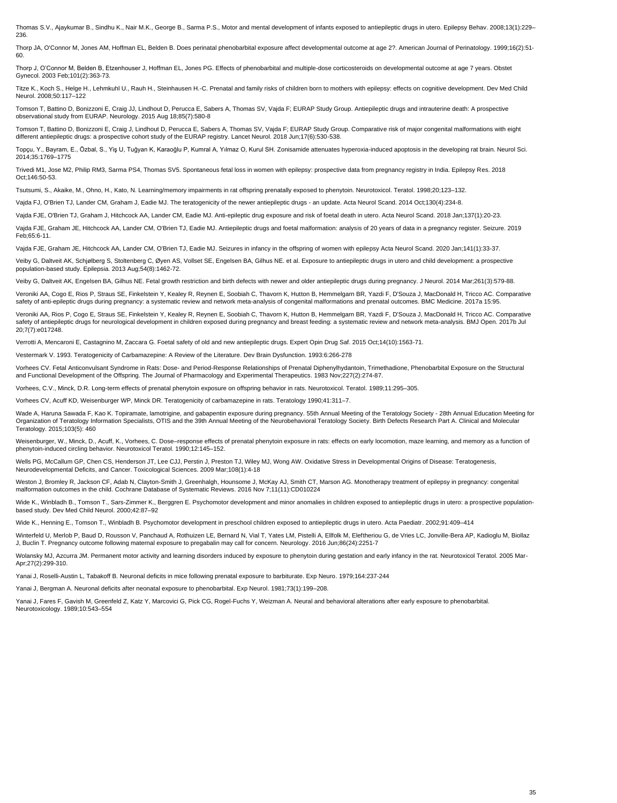Thomas S.V., Ajaykumar B., Sindhu K., Nair M.K., George B., Sarma P.S., Motor and mental development of infants exposed to antiepileptic drugs in utero. Epilepsy Behav. 2008;13(1):229– 236.

Thorp JA, O'Connor M, Jones AM, Hoffman EL, Belden B. Does perinatal phenobarbital exposure affect developmental outcome at age 2?. American Journal of Perinatology. 1999;16(2):51‐ 60.

Thorp J, O'Connor M, Belden B, Etzenhouser J, Hoffman EL, Jones PG. Effects of phenobarbital and multiple-dose corticosteroids on developmental outcome at age 7 years. Obstet Gynecol. 2003 Feb;101(2):363-73.

Titze K., Koch S., Helge H., Lehmkuhl U., Rauh H., Steinhausen H.-C. Prenatal and family risks of children born to mothers with epilepsy: effects on cognitive development. Dev Med Child Neurol. 2008;50:117–122

Tomson T, Battino D, Bonizzoni E, Craig JJ, Lindhout D, Perucca E, Sabers A, Thomas SV, Vajda F; EURAP Study Group. Antiepileptic drugs and intrauterine death: A prospective observational study from EURAP. Neurology. 2015 Aug 18;85(7):580-8

Tomson T, Battino D, Bonizzoni E, Craig J, Lindhout D, Perucca E, Sabers A, Thomas SV, Vajda F; EURAP Study Group. Comparative risk of major congenital malformations with eight different antiepileptic drugs: a prospective cohort study of the EURAP registry. Lancet Neurol. 2018 Jun;17(6):530-538.

Topçu, Y., Bayram, E., Özbal, S., Yiş U, Tuğyan K, Karaoğlu P, Kumral A, Yılmaz O, Kurul SH. Zonisamide attenuates hyperoxia-induced apoptosis in the developing rat brain. Neurol Sci. 2014;35:1769–1775

Veroniki AA, Cogo E, Rios P, Straus SE, Finkelstein Y, Kealey R, Reynen E, Soobiah C, Thavorn K, Hutton B, Hemmelgarn BR, Yazdi F, D'Souza J, MacDonald H, Tricco AC. Comparative safety of anti-epileptic drugs during pregnancy: a systematic review and network meta-analysis of congenital malformations and prenatal outcomes. BMC Medicine. 2017a 15:95.

Trivedi M1, Jose M2, Philip RM3, Sarma PS4, Thomas SV5. Spontaneous fetal loss in women with epilepsy: prospective data from pregnancy registry in India. Epilepsy Res. 2018 Oct;146:50-53.

Tsutsumi, S., Akaike, M., Ohno, H., Kato, N. Learning/memory impairments in rat offspring prenatally exposed to phenytoin. Neurotoxicol. Teratol. 1998;20;123–132.

Vajda FJ, O'Brien TJ, Lander CM, Graham J, Eadie MJ. The teratogenicity of the newer antiepileptic drugs - an update. Acta Neurol Scand. 2014 Oct;130(4):234-8.

Vajda FJE, O'Brien TJ, Graham J, Hitchcock AA, Lander CM, Eadie MJ. Anti-epileptic drug exposure and risk of foetal death in utero. Acta Neurol Scand. 2018 Jan;137(1):20-23.

Vajda FJE, Graham JE, Hitchcock AA, Lander CM, O'Brien TJ, Eadie MJ. Antiepileptic drugs and foetal malformation: analysis of 20 years of data in a pregnancy register. Seizure. 2019 Feb;65:6-11.

Wade A, Haruna Sawada F, Kao K. Topiramate, lamotrigine, and gabapentin exposure during pregnancy. 55th Annual Meeting of the Teratology Society - 28th Annual Education Meeting for Organization of Teratology Information Specialists, OTIS and the 39th Annual Meeting of the Neurobehavioral Teratology Society. Birth Defects Research Part A. Clinical and Molecular Teratology. 2015;103(5): 460

Vajda FJE, Graham JE, Hitchcock AA, Lander CM, O'Brien TJ, Eadie MJ. Seizures in infancy in the offspring of women with epilepsy Acta Neurol Scand. 2020 Jan;141(1):33-37.

Veiby G, Daltveit AK, Schjølberg S, Stoltenberg C, Øyen AS, Vollset SE, Engelsen BA, Gilhus NE. et al. Exposure to antiepileptic drugs in utero and child development: a prospective population-based study. Epilepsia. 2013 Aug;54(8):1462-72.

Veiby G, Daltveit AK, Engelsen BA, Gilhus NE. Fetal growth restriction and birth defects with newer and older antiepileptic drugs during pregnancy. J Neurol. 2014 Mar;261(3):579-88.

Wide K., Winbladh B., Tomson T., Sars-Zimmer K., Berggren E. Psychomotor development and minor anomalies in children exposed to antiepileptic drugs in utero: a prospective populationbased study. Dev Med Child Neurol. 2000;42:87–92

Winterfeld U, Merlob P, Baud D, Rousson V, Panchaud A, Rothuizen LE, Bernard N, Vial T, Yates LM, Pistelli A, Ellfolk M, Eleftheriou G, de Vries LC, Jonville-Bera AP, Kadioglu M, Biollaz J, Buclin T. Pregnancy outcome following maternal exposure to pregabalin may call for concern. Neurology. 2016 Jun;86(24):2251-7

Wolansky MJ, Azcurra JM. Permanent motor activity and learning disorders induced by exposure to phenytoin during gestation and early infancy in the rat. Neurotoxicol Teratol. 2005 Mar-

Veroniki AA, Rios P, Cogo E, Straus SE, Finkelstein Y, Kealey R, Reynen E, Soobiah C, Thavorn K, Hutton B, Hemmelgarn BR, Yazdi F, D'Souza J, MacDonald H, Tricco AC. Comparative safety of antiepileptic drugs for neurological development in children exposed during pregnancy and breast feeding: a systematic review and network meta-analysis. BMJ Open. 2017b Jul 20;7(7):e017248.

Verrotti A, Mencaroni E, Castagnino M, Zaccara G. Foetal safety of old and new antiepileptic drugs. Expert Opin Drug Saf. 2015 Oct;14(10):1563-71.

Vestermark V. 1993. Teratogenicity of Carbamazepine: A Review of the Literature. Dev Brain Dysfunction. 1993:6:266-278

Vorhees CV. Fetal Anticonvulsant Syndrome in Rats: Dose- and Period-Response Relationships of Prenatal Diphenylhydantoin, Trimethadione, Phenobarbital Exposure on the Structural and Functional Development of the Offspring. The Journal of Pharmacology and Experimental Therapeutics. 1983 Nov;227(2):274-87.

Vorhees, C.V., Minck, D.R. Long-term effects of prenatal phenytoin exposure on offspring behavior in rats. Neurotoxicol. Teratol. 1989;11:295–305.

Vorhees CV, Acuff KD, Weisenburger WP, Minck DR. Teratogenicity of carbamazepine in rats. Teratology 1990;41:311–7.

Weisenburger, W., Minck, D., Acuff, K., Vorhees, C. Dose–response effects of prenatal phenytoin exposure in rats: effects on early locomotion, maze learning, and memory as a function of phenytoin-induced circling behavior. Neurotoxicol Teratol. 1990;12:145–152.

Wells PG, McCallum GP, Chen CS, Henderson JT, Lee CJJ, Perstin J, Preston TJ, Wiley MJ, Wong AW. Oxidative Stress in Developmental Origins of Disease: Teratogenesis, Neurodevelopmental Deficits, and Cancer. Toxicological Sciences. 2009 Mar;108(1):4-18

Weston J, Bromley R, Jackson CF, Adab N, Clayton-Smith J, Greenhalgh, Hounsome J, McKay AJ, Smith CT, Marson AG. Monotherapy treatment of epilepsy in pregnancy: congenital malformation outcomes in the child. Cochrane Database of Systematic Reviews. 2016 Nov 7;11(11):CD010224

Wide K., Henning E., Tomson T., Winbladh B. Psychomotor development in preschool children exposed to antiepileptic drugs in utero. Acta Paediatr. 2002;91:409–414

Apr;27(2):299-310.

Yanai J, Roselli-Austin L, Tabakoff B. Neuronal deficits in mice following prenatal exposure to barbiturate. Exp Neuro. 1979;164:237-244

Yanai J, Bergman A. Neuronal deficits after neonatal exposure to phenobarbital. Exp Neurol. 1981;73(1):199–208.

Yanai J, Fares F, Gavish M, Greenfeld Z, Katz Y, Marcovici G, Pick CG, Rogel-Fuchs Y, Weizman A. Neural and behavioral alterations after early exposure to phenobarbital. Neurotoxicology. 1989;10:543–554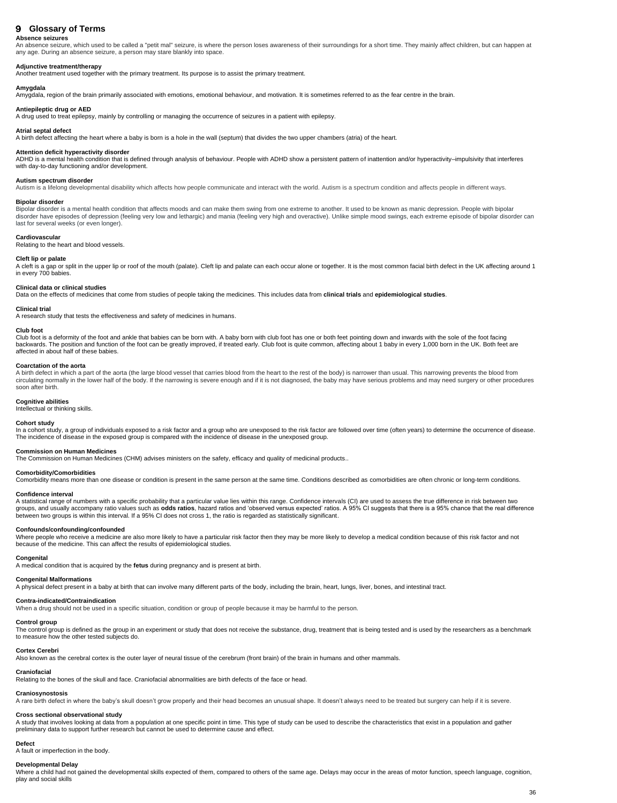## <span id="page-35-0"></span>**Glossary of Terms**

#### **Absence seizures**

An absence seizure, which used to be called a "petit mal" seizure, is where the person loses awareness of their surroundings for a short time. They mainly affect children, but can happen at any age. During an absence seizure, a person may stare blankly into space.

#### **Adjunctive treatment/therapy**

Another treatment used together with the primary treatment. Its purpose is to assist the primary treatment.

#### **Amygdala**

Amygdala, region of the brain primarily associated with emotions, emotional behaviour, and motivation. It is sometimes referred to as the fear centre in the brain.

#### **Antiepileptic drug or AED**

A drug used to treat epilepsy, mainly by controlling or managing the occurrence of seizures in a patient with epilepsy.

#### **Atrial septal defect**

A birth defect affecting the heart where a baby is born is a hole in the wall (septum) that divides the two upper chambers (atria) of the heart.

#### **Attention deficit hyperactivity disorder**

A cleft is a gap or split in the upper lip or roof of the mouth (palate). Cleft lip and palate can each occur alone or together. It is the most common facial birth defect in the UK affecting around 1 in every 700 babies.

ADHD is a mental health condition that is defined through analysis of behaviour. People with ADHD show a persistent pattern of inattention and/or hyperactivity–impulsivity that interferes with day-to-day functioning and/or development.

#### **Autism spectrum disorder**

Autism is a lifelong developmental disability which affects how people communicate and interact with the world. Autism is a spectrum condition and affects people in different ways.

#### **Bipolar disorder**

Bipolar disorder is a mental health condition that affects moods and can make them swing from one extreme to another. It used to be known as manic depression. People with bipolar disorder have episodes of depression (feeling very low and lethargic) and mania (feeling very high and overactive). Unlike simple mood swings, each extreme episode of bipolar disorder can last for several weeks (or even longer).

A birth defect in which a part of the aorta (the large blood vessel that carries blood from the heart to the rest of the body) is narrower than usual. This narrowing prevents the blood from circulating normally in the lower half of the body. If the narrowing is severe enough and if it is not diagnosed, the baby may have serious problems and may need surgery or other procedures soon after birth.

In a cohort study, a group of individuals exposed to a risk factor and a group who are unexposed to the risk factor are followed over time (often years) to determine the occurrence of disease. The incidence of disease in the exposed group is compared with the incidence of disease in the unexposed group.

#### **Cardiovascular**

Relating to the heart and blood vessels.

#### **Cleft lip or palate**

#### **Clinical data or clinical studies**

Data on the effects of medicines that come from studies of people taking the medicines. This includes data from **clinical trials** and **epidemiological studies**.

#### **Clinical trial**

A research study that tests the effectiveness and safety of medicines in humans.

#### **Club foot**

Club foot is a deformity of the foot and ankle that babies can be born with. A baby born with club foot has one or both feet pointing down and inwards with the sole of the foot facing backwards. The position and function of the foot can be greatly improved, if treated early. Club foot is quite common, affecting about 1 baby in every 1,000 born in the UK. Both feet are affected in about half of these babies.

The control group is defined as the group in an experiment or study that does not receive the substance, drug, treatment that is being tested and is used by the researchers as a benchmark to measure how the other tested subjects do.

#### **Coarctation of the aorta**

#### **Cognitive abilities**

Intellectual or thinking skills.

#### **Cohort study**

#### **Commission on Human Medicines**

The Commission on Human Medicines (CHM) advises ministers on the safety, efficacy and quality of medicinal products..

#### **Comorbidity/Comorbidities**

Comorbidity means more than one disease or condition is present in the same person at the same time. Conditions described as comorbidities are often chronic or long-term conditions.

#### **Confidence interval**

A statistical range of numbers with a specific probability that a particular value lies within this range. Confidence intervals (CI) are used to assess the true difference in risk between two groups, and usually accompany ratio values such as **odds ratios**, hazard ratios and 'observed versus expected' ratios. A 95% CI suggests that there is a 95% chance that the real difference between two groups is within this interval. If a 95% CI does not cross 1, the ratio is regarded as statistically significant.

#### **Confounds/confounding/confounded**

Where people who receive a medicine are also more likely to have a particular risk factor then they may be more likely to develop a medical condition because of this risk factor and not because of the medicine. This can affect the results of epidemiological studies.

#### **Congenital**

A medical condition that is acquired by the **fetus** during pregnancy and is present at birth.

#### **Congenital Malformations**

A physical defect present in a baby at birth that can involve many different parts of the body, including the brain, heart, lungs, liver, bones, and intestinal tract.

#### **Contra-indicated/Contraindication**

When a drug should not be used in a specific situation, condition or group of people because it may be harmful to the person.

#### **Control group**

#### **Cortex Cerebri**

Also known as the cerebral cortex is the outer layer of neural tissue of the cerebrum (front brain) of the brain in humans and other mammals.

#### **Craniofacial**

Relating to the bones of the skull and face. Craniofacial abnormalities are birth defects of the face or head.

#### **Craniosynostosis**

A rare birth defect in where the baby's skull doesn't grow properly and their head becomes an unusual shape. It doesn't always need to be treated but surgery can help if it is severe.

#### **Cross sectional observational study**

A study that involves looking at data from a population at one specific point in time. This type of study can be used to describe the characteristics that exist in a population and gather preliminary data to support further research but cannot be used to determine cause and effect.

#### **Defect**

A fault or imperfection in the body.

#### **Developmental Delay**

Where a child had not gained the developmental skills expected of them, compared to others of the same age. Delays may occur in the areas of motor function, speech language, cognition, play and social skills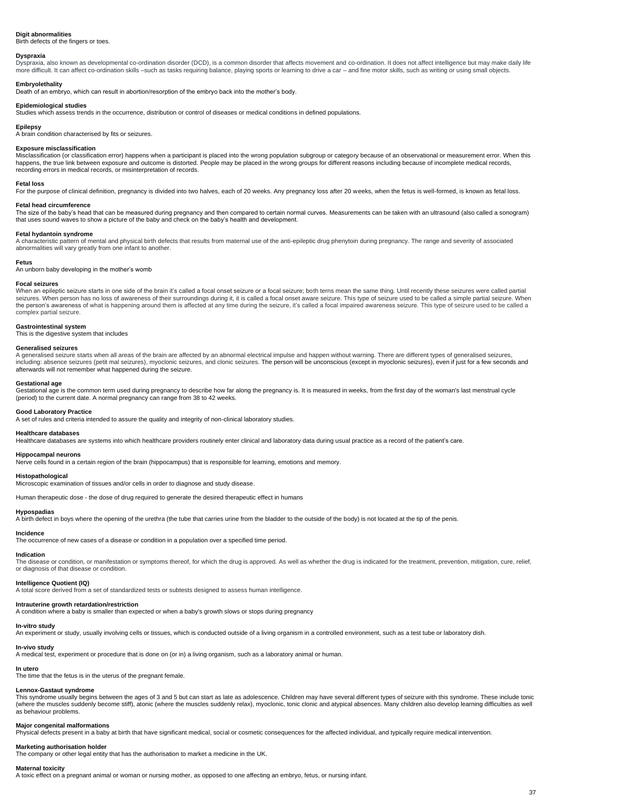#### **Digit abnormalities**

Dyspraxia, also known as developmental co-ordination disorder (DCD), is a common disorder that affects movement and co-ordination. It does not affect intelligence but may make daily life more difficult. It can affect co-ordination skills –such as tasks requiring balance, playing sports or learning to drive a car – and fine motor skills, such as writing or using small objects.

Birth defects of the fingers or toes.

#### **Dyspraxia**

#### **Embryolethality**

Death of an embryo, which can result in abortion/resorption of the embryo back into the mother's body.

#### **Epidemiological studies**

Misclassification (or classification error) happens when a participant is placed into the wrong population subgroup or category because of an observational or measurement error. When this happens, the true link between exposure and outcome is distorted. People may be placed in the wrong groups for different reasons including because of incomplete medical records, recording errors in medical records, or misinterpretation of records.

Studies which assess trends in the occurrence, distribution or control of diseases or medical conditions in defined populations.

#### **Epilepsy**

A brain condition characterised by fits or seizures.

#### **Exposure misclassification**

#### **Fetal loss**

For the purpose of clinical definition, pregnancy is divided into two halves, each of 20 weeks. Any pregnancy loss after 20 weeks, when the fetus is well-formed, is known as fetal loss.

When an epileptic seizure starts in one side of the brain it's called a focal onset seizure or a focal seizure; both terns mean the same thing. Until recently these seizures were called partial seizures. When person has no loss of awareness of their surroundings during it, it is called a focal onset aware seizure. This type of seizure used to be called a simple partial seizure. When the person's awareness of what is happening around them is affected at any time during the seizure, it's called a focal impaired awareness seizure. This type of seizure used to be called a complex partial seizure.

#### **Fetal head circumference**

The size of the baby's head that can be measured during pregnancy and then compared to certain normal curves. Measurements can be taken with an ultrasound (also called a sonogram) that uses sound waves to show a picture of the baby and check on the baby's health and development.

#### **Fetal hydantoin syndrome**

A characteristic pattern of mental and physical birth defects that results from maternal use of the anti-epileptic drug phenytoin during pregnancy. The range and severity of associated abnormalities will vary greatly from one infant to another.

#### **Fetus**

An unborn baby developing in the mother's womb

#### **Focal seizures**

The disease or condition, or manifestation or symptoms thereof, for which the drug is approved. As well as whether the drug is indicated for the treatment, prevention, mitigation, cure, relief, or diagnosis of that disease or condition.

#### **Gastrointestinal system**

This is the digestive system that includes

#### **Generalised seizures**

A generalised seizure starts when all areas of the brain are affected by an abnormal electrical impulse and happen without warning. There are different types of generalised seizures, including: absence seizures (petit mal seizures), myoclonic seizures, and clonic seizures. The person will be unconscious (except in myoclonic seizures), even if just for a few seconds and afterwards will not remember what happened during the seizure.

#### **Gestational age**

Gestational age is the common term used during pregnancy to describe how far along the pregnancy is. It is measured in weeks, from the first day of the woman's last menstrual cycle (period) to the current date. A normal pregnancy can range from 38 to 42 weeks.

#### **Good Laboratory Practice**

A set of rules and criteria intended to assure the quality and integrity of non-clinical laboratory studies.

### **Healthcare databases**

Healthcare databases are systems into which healthcare providers routinely enter clinical and laboratory data during usual practice as a record of the patient's care.

### **Hippocampal neurons**

Nerve cells found in a certain region of the brain (hippocampus) that is responsible for learning, emotions and memory.

## **Histopathological**

Microscopic examination of tissues and/or cells in order to diagnose and study disease.

Human therapeutic dose - the dose of drug required to generate the desired therapeutic effect in humans

## **Hypospadias**

A birth defect in boys where the opening of the urethra (the tube that carries urine from the bladder to the outside of the body) is not located at the tip of the penis.

**Incidence**

The occurrence of new cases of a disease or condition in a population over a specified time period.

## **Indication**

#### **Intelligence Quotient (IQ)**

A total score derived from a set of standardized tests or subtests designed to assess human intelligence.

#### **Intrauterine growth retardation/restriction**

A condition where a baby is smaller than expected or when a baby's growth slows or stops during pregnancy

#### **In-vitro study**

An experiment or study, usually involving cells or tissues, which is conducted outside of a living organism in a controlled environment, such as a test tube or laboratory dish.

#### **In-vivo study**

A medical test, experiment or procedure that is done on (or in) a living organism, such as a laboratory animal or human.

#### **In utero**

The time that the fetus is in the uterus of the pregnant female.

#### **Lennox-Gastaut syndrome**

This syndrome usually begins between the ages of 3 and 5 but can start as late as adolescence. Children may have several different types of seizure with this syndrome. These include tonic (where the muscles suddenly become stiff), atonic (where the muscles suddenly relax), myoclonic, tonic clonic and atypical absences. Many children also develop learning difficulties as well as behaviour problems.

#### **Major congenital malformations**

Physical defects present in a baby at birth that have significant medical, social or cosmetic consequences for the affected individual, and typically require medical intervention.

#### **Marketing authorisation holder**

The company or other legal entity that has the authorisation to market a medicine in the UK.

#### **Maternal toxicity**

A toxic effect on a pregnant animal or woman or nursing mother, as opposed to one affecting an embryo, fetus, or nursing infant.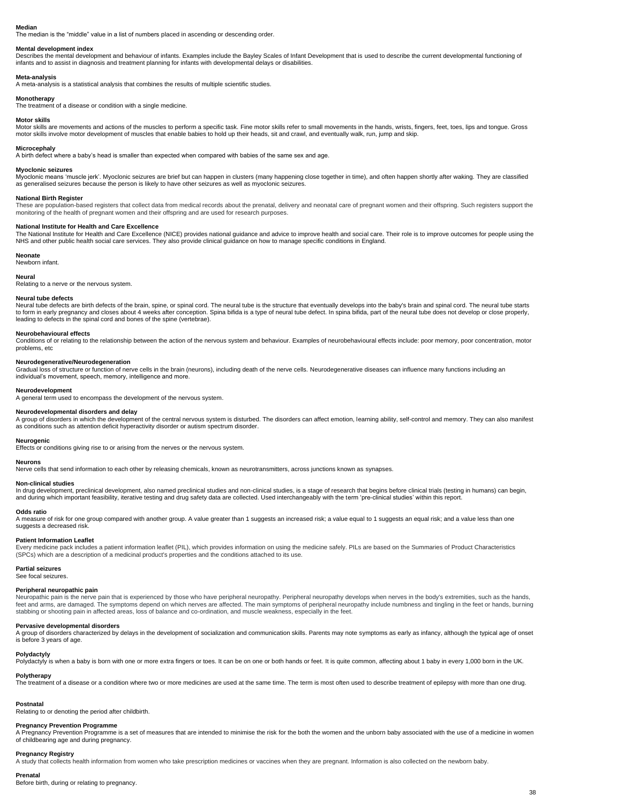#### **Median**

The median is the "middle" value in a list of numbers placed in ascending or descending order.

#### **Mental development index**

Describes the mental development and behaviour of infants. Examples include the Bayley Scales of Infant Development that is used to describe the current developmental functioning of infants and to assist in diagnosis and treatment planning for infants with developmental delays or disabilities.

#### **Meta-analysis**

A meta-analysis is a statistical analysis that combines the results of multiple scientific studies.

#### **Monotherapy**

The treatment of a disease or condition with a single medicine.

#### **Motor skills**

Motor skills are movements and actions of the muscles to perform a specific task. Fine motor skills refer to small movements in the hands, wrists, fingers, feet, toes, lips and tongue. Gross motor skills involve motor development of muscles that enable babies to hold up their heads, sit and crawl, and eventually walk, run, jump and skip.

#### **Microcephaly**

A birth defect where a baby's head is smaller than expected when compared with babies of the same sex and age.

#### **Myoclonic seizures**

Myoclonic means 'muscle jerk'. Myoclonic seizures are brief but can happen in clusters (many happening close together in time), and often happen shortly after waking. They are classified as generalised seizures because the person is likely to have other seizures as well as myoclonic seizures.

Neural tube defects are birth defects of the brain, spine, or spinal cord. The neural tube is the structure that eventually develops into the baby's brain and spinal cord. The neural tube starts to form in early pregnancy and closes about 4 weeks after conception. Spina bifida is a type of neural tube defect. In spina bifida, part of the neural tube does not develop or close properly, leading to defects in the spinal cord and bones of the spine (vertebrae).

#### **National Birth Register**

These are population-based registers that collect data from medical records about the prenatal, delivery and neonatal care of pregnant women and their offspring. Such registers support the monitoring of the health of pregnant women and their offspring and are used for research purposes.

A group of disorders in which the development of the central nervous system is disturbed. The disorders can affect emotion, learning ability, self-control and memory. They can also manifest as conditions such as attention deficit hyperactivity disorder or autism spectrum disorder.

#### **National Institute for Health and Care Excellence**

The National Institute for Health and Care Excellence (NICE) provides national guidance and advice to improve health and social care. Their role is to improve outcomes for people using the NHS and other public health social care services. They also provide clinical guidance on how to manage specific conditions in England.

#### **Neonate**

In drug development, preclinical development, also named preclinical studies and non-clinical studies, is a stage of research that begins before clinical trials (testing in humans) can begin, and during which important feasibility, iterative testing and drug safety data are collected. Used interchangeably with the term 'pre-clinical studies' within this report.

Newborn infant.

#### **Neural**

Relating to a nerve or the nervous system.

#### **Neural tube defects**

A measure of risk for one group compared with another group. A value greater than 1 suggests an increased risk; a value equal to 1 suggests an equal risk; and a value less than one suggests a decreased risk.

Neuropathic pain is the nerve pain that is experienced by those who have peripheral neuropathy. Peripheral neuropathy develops when nerves in the body's extremities, such as the hands, feet and arms, are damaged. The symptoms depend on which nerves are affected. The main symptoms of peripheral neuropathy include numbness and tingling in the feet or hands, burning stabbing or shooting pain in affected areas, loss of balance and co-ordination, and muscle weakness, especially in the feet.

#### **Neurobehavioural effects**

Conditions of or relating to the relationship between the action of the nervous system and behaviour. Examples of neurobehavioural effects include: poor memory, poor concentration, motor problems, etc

#### **Neurodegenerative/Neurodegeneration**

Gradual loss of structure or function of nerve cells in the brain (neurons), including death of the nerve cells. Neurodegenerative diseases can influence many functions including an individual's movement, speech, memory, intelligence and more.

#### **Neurodevelopment**

A general term used to encompass the development of the nervous system.

#### **Neurodevelopmental disorders and delay**

#### **Neurogenic**

Effects or conditions giving rise to or arising from the nerves or the nervous system.

#### **Neurons**

Nerve cells that send information to each other by releasing chemicals, known as neurotransmitters, across junctions known as synapses.

#### **Non-clinical studies**

#### **Odds ratio**

#### **Patient Information Leaflet**

Every medicine pack includes a patient information leaflet (PIL), which provides information on using the medicine safely. PILs are based on the Summaries of Product Characteristics (SPCs) which are a description of a medicinal product's properties and the conditions attached to its use.

#### **Partial seizures** See focal seizures.

#### **Peripheral neuropathic pain**

#### **Pervasive developmental disorders**

A group of disorders characterized by delays in the development of socialization and communication skills. Parents may note symptoms as early as infancy, although the typical age of onset is before 3 years of age.

#### **Polydactyly**

Polydactyly is when a baby is born with one or more extra fingers or toes. It can be on one or both hands or feet. It is quite common, affecting about 1 baby in every 1,000 born in the UK.

#### **Polytherapy**

The treatment of a disease or a condition where two or more medicines are used at the same time. The term is most often used to describe treatment of epilepsy with more than one drug.

#### **Postnatal**

Relating to or denoting the period after childbirth.

#### **Pregnancy Prevention Programme**

A Pregnancy Prevention Programme is a set of measures that are intended to minimise the risk for the both the women and the unborn baby associated with the use of a medicine in women of childbearing age and during pregnancy.

#### **Pregnancy Registry**

A study that collects health information from women who take prescription medicines or vaccines when they are pregnant. Information is also collected on the newborn baby.

#### **Prenatal**

Before birth, during or relating to pregnancy.